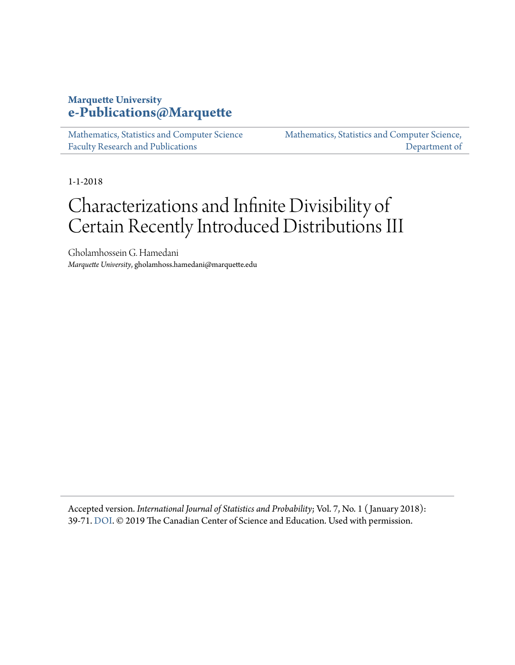# **Marquette University [e-Publications@Marquette](https://epublications.marquette.edu)**

[Mathematics, Statistics and Computer Science](https://epublications.marquette.edu/mscs_fac) [Faculty Research and Publications](https://epublications.marquette.edu/mscs_fac)

[Mathematics, Statistics and Computer Science,](https://epublications.marquette.edu/mscs) [Department of](https://epublications.marquette.edu/mscs)

1-1-2018

# Characterizations and Infinite Divisibility of Certain Recently Introduced Distributions III

Gholamhossein G. Hamedani *Marquette University*, gholamhoss.hamedani@marquette.edu

Accepted version. *International Journal of Statistics and Probability*; Vol. 7, No. 1 ( January 2018): 39-71. [DOI](https://doi.org/10.5539/ijsp.v7n1p39). © 2019 The Canadian Center of Science and Education. Used with permission.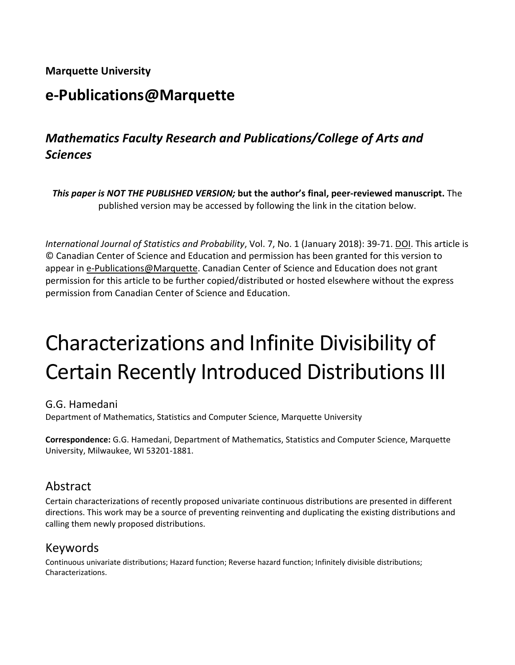**Marquette University**

# **e-Publications@Marquette**

# *Mathematics Faculty Research and Publications/College of Arts and Sciences*

*This paper is NOT THE PUBLISHED VERSION;* **but the author's final, peer-reviewed manuscript.** The published version may be accessed by following the link in the citation below.

*International Journal of Statistics and Probability*, Vol. 7, No. 1 (January 2018): 39-71. DOI. This article is © Canadian Center of Science and Education and permission has been granted for this version to appear i[n e-Publications@Marquette.](http://epublications.marquette.edu/) Canadian Center of Science and Education does not grant permission for this article to be further copied/distributed or hosted elsewhere without the express permission from Canadian Center of Science and Education.

# Characterizations and Infinite Divisibility of Certain Recently Introduced Distributions III

#### G.G. Hamedani

Department of Mathematics, Statistics and Computer Science, Marquette University

**Correspondence:** G.G. Hamedani, Department of Mathematics, Statistics and Computer Science, Marquette University, Milwaukee, WI 53201-1881.

# Abstract

Certain characterizations of recently proposed univariate continuous distributions are presented in different directions. This work may be a source of preventing reinventing and duplicating the existing distributions and calling them newly proposed distributions.

# Keywords

Continuous univariate distributions; Hazard function; Reverse hazard function; Infinitely divisible distributions; Characterizations.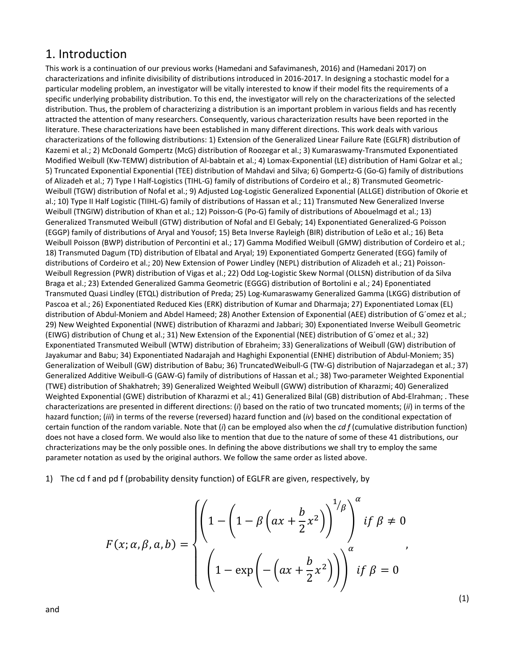## 1. Introduction

This work is a continuation of our previous works (Hamedani and Safavimanesh, 2016) and (Hamedani 2017) on characterizations and infinite divisibility of distributions introduced in 2016-2017. In designing a stochastic model for a particular modeling problem, an investigator will be vitally interested to know if their model fits the requirements of a specific underlying probability distribution. To this end, the investigator will rely on the characterizations of the selected distribution. Thus, the problem of characterizing a distribution is an important problem in various fields and has recently attracted the attention of many researchers. Consequently, various characterization results have been reported in the literature. These characterizations have been established in many different directions. This work deals with various characterizations of the following distributions: 1) Extension of the Generalized Linear Failure Rate (EGLFR) distribution of Kazemi et al.; 2) McDonald Gompertz (McG) distribution of Roozegar et al.; 3) Kumaraswamy-Transmuted Exponentiated Modified Weibull (Kw-TEMW) distribution of Al-babtain et al.; 4) Lomax-Exponential (LE) distribution of Hami Golzar et al.; 5) Truncated Exponential Exponential (TEE) distribution of Mahdavi and Silva; 6) Gompertz-G (Go-G) family of distributions of Alizadeh et al.; 7) Type I Half-Logistics (TIHL-G) family of distributions of Cordeiro et al.; 8) Transmuted Geometric-Weibull (TGW) distribution of Nofal et al.; 9) Adjusted Log-Logistic Generalized Exponential (ALLGE) distribution of Okorie et al.; 10) Type II Half Logistic (TIIHL-G) family of distributions of Hassan et al.; 11) Transmuted New Generalized Inverse Weibull (TNGIW) distribution of Khan et al.; 12) Poisson-G (Po-G) family of distributions of Abouelmagd et al.; 13) Generalized Transmuted Weibull (GTW) distribution of Nofal and El Gebaly; 14) Exponentiated Generalized-G Poisson (EGGP) family of distributions of Aryal and Yousof; 15) Beta Inverse Rayleigh (BIR) distribution of Leão et al.; 16) Beta Weibull Poisson (BWP) distribution of Percontini et al.; 17) Gamma Modified Weibull (GMW) distribution of Cordeiro et al.; 18) Transmuted Dagum (TD) distribution of Elbatal and Aryal; 19) Exponentiated Gompertz Generated (EGG) family of distributions of Cordeiro et al.; 20) New Extension of Power Lindley (NEPL) distribution of Alizadeh et al.; 21) Poisson-Weibull Regression (PWR) distribution of Vigas et al.; 22) Odd Log-Logistic Skew Normal (OLLSN) distribution of da Silva Braga et al.; 23) Extended Generalized Gamma Geometric (EGGG) distribution of Bortolini e al.; 24) Eponentiated Transmuted Quasi Lindley (ETQL) distribution of Preda; 25) Log-Kumaraswamy Generalized Gamma (LKGG) distribution of Pascoa et al.; 26) Exponentiated Reduced Kies (ERK) distribution of Kumar and Dharmaja; 27) Exponentiated Lomax (EL) distribution of Abdul-Moniem and Abdel Hameed; 28) Another Extension of Exponential (AEE) distribution of G´omez et al.; 29) New Weighted Exponential (NWE) distribution of Kharazmi and Jabbari; 30) Exponentiated Inverse Weibull Geometric (EIWG) distribution of Chung et al.; 31) New Extension of the Exponential (NEE) distribution of G´omez et al.; 32) Exponentiated Transmuted Weibull (WTW) distribution of Ebraheim; 33) Generalizations of Weibull (GW) distribution of Jayakumar and Babu; 34) Exponentiated Nadarajah and Haghighi Exponential (ENHE) distribution of Abdul-Moniem; 35) Generalization of Weibull (GW) distribution of Babu; 36) TruncatedWeibull-G (TW-G) distribution of Najarzadegan et al.; 37) Generalized Additive Weibull-G (GAW-G) family of distributions of Hassan et al.; 38) Two-parameter Weighted Exponential (TWE) distribution of Shakhatreh; 39) Generalized Weighted Weibull (GWW) distribution of Kharazmi; 40) Generalized Weighted Exponential (GWE) distribution of Kharazmi et al.; 41) Generalized Bilal (GB) distribution of Abd-Elrahman; . These characterizations are presented in different directions: (*i*) based on the ratio of two truncated moments; (*ii*) in terms of the hazard function; (*iii*) in terms of the reverse (reversed) hazard function and (*iv*) based on the conditional expectation of certain function of the random variable. Note that (*i*) can be employed also when the *cd f* (cumulative distribution function) does not have a closed form. We would also like to mention that due to the nature of some of these 41 distributions, our chracterizations may be the only possible ones. In defining the above distributions we shall try to employ the same parameter notation as used by the original authors. We follow the same order as listed above.

1) The cd f and pd f (probability density function) of EGLFR are given, respectively, by

$$
F(x; \alpha, \beta, a, b) = \begin{cases} \left(1 - \left(1 - \beta\left(ax + \frac{b}{2}x^2\right)\right)^{1/\beta}\right)^\alpha & \text{if } \beta \neq 0 \\ \left(1 - \exp\left(-\left(ax + \frac{b}{2}x^2\right)\right)\right)^\alpha & \text{if } \beta = 0 \end{cases}
$$

(1)

and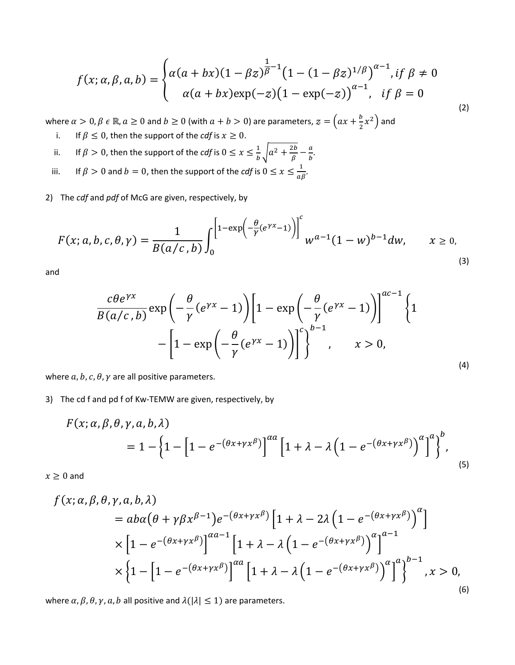$$
f(x; \alpha, \beta, a, b) = \begin{cases} \alpha(a + bx)(1 - \beta z)^{\frac{1}{\beta} - 1} (1 - (1 - \beta z)^{1/\beta})^{\alpha - 1}, & \text{if } \beta \neq 0 \\ \alpha(a + bx) \exp(-z) (1 - \exp(-z))^{\alpha - 1}, & \text{if } \beta = 0 \end{cases}
$$

 $(2)$ 

where  $\alpha > 0$ ,  $\beta \in \mathbb{R}$ ,  $a \ge 0$  and  $b \ge 0$  (with  $a + b > 0$ ) are parameters,  $z = \left(ax + \frac{b}{2}x^2\right)$  and

- If  $\beta \leq 0$ , then the support of the *cdf* is  $x \geq 0$ . i.
- If  $\beta > 0$ , then the support of the *cdf* is  $0 \le x \le \frac{1}{b} \sqrt{a^2 + \frac{2b}{\beta}} \frac{a}{b}$ . ii.
- If  $\beta > 0$  and  $b = 0$ , then the support of the *cdf* is  $0 \le x \le \frac{1}{a\beta}$ . iii.

2) The cdf and pdf of McG are given, respectively, by

$$
F(x; a, b, c, \theta, \gamma) = \frac{1}{B(a/c, b)} \int_0^{\left[1 - \exp\left(-\frac{\theta}{\gamma}(e^{\gamma x} - 1)\right)\right]^c} w^{a-1} (1 - w)^{b-1} dw, \qquad x \ge 0,
$$
\n(3)

and

$$
\frac{c\theta e^{\gamma x}}{B(a/c, b)} \exp\left(-\frac{\theta}{\gamma}(e^{\gamma x} - 1)\right) \left[1 - \exp\left(-\frac{\theta}{\gamma}(e^{\gamma x} - 1)\right)\right]^{a/c-1} \left\{1 - \exp\left(-\frac{\theta}{\gamma}(e^{\gamma x} - 1)\right)\right\}^{b-1}, \qquad x > 0,
$$
\n(4)

where  $a, b, c, \theta, \gamma$  are all positive parameters.

#### 3) The cd f and pd f of Kw-TEMW are given, respectively, by

$$
F(x; \alpha, \beta, \theta, \gamma, a, b, \lambda)
$$
  
=  $1 - \left\{1 - \left[1 - e^{-(\theta x + \gamma x^{\beta})}\right]^{\alpha a} \left[1 + \lambda - \lambda \left(1 - e^{-(\theta x + \gamma x^{\beta})}\right)^{\alpha}\right]^a\right\}^b,$  (5)

 $x \geq 0$  and

$$
f(x; \alpha, \beta, \theta, \gamma, a, b, \lambda)
$$
  
=  $ab\alpha(\theta + \gamma\beta x^{\beta-1})e^{-(\theta x + \gamma x^{\beta})}\left[1 + \lambda - 2\lambda\left(1 - e^{-(\theta x + \gamma x^{\beta})}\right)^{\alpha}\right]$   

$$
\times \left[1 - e^{-(\theta x + \gamma x^{\beta})}\right]^{\alpha a-1}\left[1 + \lambda - \lambda\left(1 - e^{-(\theta x + \gamma x^{\beta})}\right)^{\alpha}\right]^{a-1}
$$
  

$$
\times \left\{1 - \left[1 - e^{-(\theta x + \gamma x^{\beta})}\right]^{\alpha a}\left[1 + \lambda - \lambda\left(1 - e^{-(\theta x + \gamma x^{\beta})}\right)^{\alpha}\right]^{\alpha}\right\}^{b-1}, x > 0,
$$

where  $\alpha$ ,  $\beta$ ,  $\theta$ ,  $\gamma$ ,  $a$ ,  $b$  all positive and  $\lambda(|\lambda| \leq 1)$  are parameters.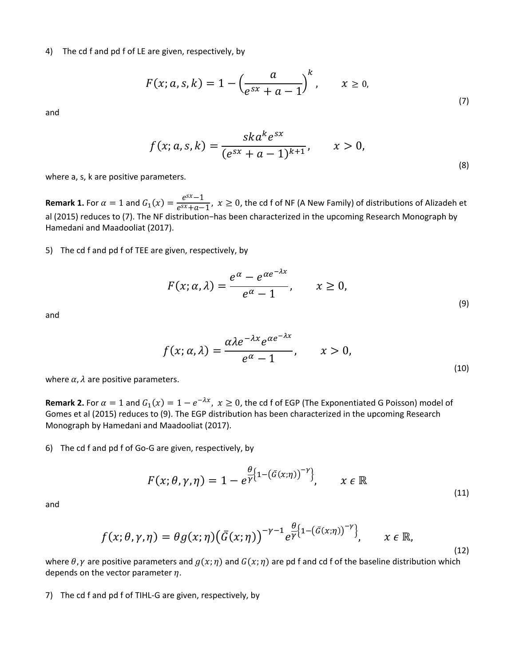4) The cd f and pd f of LE are given, respectively, by

$$
F(x; a, s, k) = 1 - \left(\frac{a}{e^{sx} + a - 1}\right)^k, \qquad x \ge 0,
$$
\n(7)

and

$$
f(x; a, s, k) = \frac{sk a^{k} e^{sx}}{(e^{sx} + a - 1)^{k+1}}, \qquad x > 0,
$$
\n(8)

where a, s, k are positive parameters.

**Remark 1.** For  $\alpha = 1$  and  $G_1(x) = \frac{e^{sx}-1}{e^{sx}+a-1}$ ,  $x \ge 0$ , the cd f of NF (A New Family) of distributions of Alizadeh et al (2015) reduces to (7). The NF distribution−has been characterized in the upcoming Research Monograph by Hamedani and Maadooliat (2017).

5) The cd f and pd f of TEE are given, respectively, by

$$
F(x; \alpha, \lambda) = \frac{e^{\alpha} - e^{\alpha e^{-\lambda x}}}{e^{\alpha} - 1}, \qquad x \ge 0,
$$
\n(9)

and

$$
f(x; \alpha, \lambda) = \frac{\alpha \lambda e^{-\lambda x} e^{\alpha e^{-\lambda x}}}{e^{\alpha} - 1}, \qquad x > 0,
$$
\n
$$
(10)
$$

where  $\alpha$ ,  $\lambda$  are positive parameters.

**Remark 2.** For  $\alpha = 1$  and  $G_1(x) = 1 - e^{-\lambda x}$ ,  $x \ge 0$ , the cd f of EGP (The Exponentiated G Poisson) model of Gomes et al (2015) reduces to (9). The EGP distribution has been characterized in the upcoming Research Monograph by Hamedani and Maadooliat (2017).

6) The cd f and pd f of Go-G are given, respectively, by

$$
F(x; \theta, \gamma, \eta) = 1 - e^{\frac{\theta}{\gamma} \left\{1 - \left(\bar{G}(x; \eta)\right)^{-\gamma}\right\}}, \qquad x \in \mathbb{R}
$$
\n(11)

and

$$
f(x; \theta, \gamma, \eta) = \theta g(x; \eta) (\bar{G}(x; \eta))^{-\gamma - 1} e^{\frac{\theta}{\gamma} \left\{1 - (\bar{G}(x; \eta))^{-\gamma}\right\}}, \qquad x \in \mathbb{R},
$$
\n(12)

where  $\theta$ ,  $\gamma$  are positive parameters and  $g(x; \eta)$  and  $G(x; \eta)$  are pd f and cd f of the baseline distribution which depends on the vector parameter  $\eta$ .

7) The cd f and pd f of TIHL-G are given, respectively, by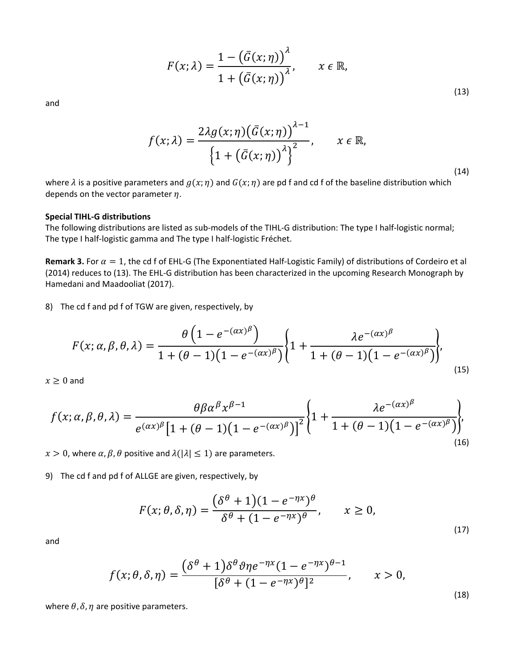$$
F(x; \lambda) = \frac{1 - \left(\bar{G}(x; \eta)\right)^{\lambda}}{1 + \left(\bar{G}(x; \eta)\right)^{\lambda}}, \qquad x \in \mathbb{R},
$$
\n(13)

(14)

and

$$
f(x; \lambda) = \frac{2\lambda g(x; \eta) (\bar{G}(x; \eta))^{ \lambda - 1}}{\left\{1 + (\bar{G}(x; \eta))^{ \lambda}\right\}^2}, \qquad x \in \mathbb{R},
$$

where  $\lambda$  is a positive parameters and  $g(x; \eta)$  and  $G(x; \eta)$  are pd f and cd f of the baseline distribution which depends on the vector parameter  $\eta$ .

#### **Special TIHL-G distributions**

The following distributions are listed as sub-models of the TIHL-G distribution: The type I half-logistic normal; The type I half-logistic gamma and The type I half-logistic Fréchet.

**Remark 3.** For  $\alpha = 1$ , the cd f of EHL-G (The Exponentiated Half-Logistic Family) of distributions of Cordeiro et al (2014) reduces to (13). The EHL-G distribution has been characterized in the upcoming Research Monograph by Hamedani and Maadooliat (2017).

8) The cd f and pd f of TGW are given, respectively, by

$$
F(x; \alpha, \beta, \theta, \lambda) = \frac{\theta \left( 1 - e^{-(\alpha x)^{\beta}} \right)}{1 + (\theta - 1)(1 - e^{-(\alpha x)^{\beta}})} \left\{ 1 + \frac{\lambda e^{-(\alpha x)^{\beta}}}{1 + (\theta - 1)(1 - e^{-(\alpha x)^{\beta}})} \right\},\tag{15}
$$

 $x \geq 0$  and

$$
f(x; \alpha, \beta, \theta, \lambda) = \frac{\theta \beta \alpha^{\beta} x^{\beta - 1}}{e^{(\alpha x)^{\beta}} \left[1 + (\theta - 1)(1 - e^{-(\alpha x)^{\beta}})\right]^2} \left\{1 + \frac{\lambda e^{-(\alpha x)^{\beta}}}{1 + (\theta - 1)(1 - e^{-(\alpha x)^{\beta}})}\right\},\tag{16}
$$

 $x > 0$ , where  $\alpha, \beta, \theta$  positive and  $\lambda(|\lambda| \leq 1)$  are parameters.

9) The cd f and pd f of ALLGE are given, respectively, by

$$
F(x; \theta, \delta, \eta) = \frac{(\delta^{\theta} + 1)(1 - e^{-\eta x})^{\theta}}{\delta^{\theta} + (1 - e^{-\eta x})^{\theta}}, \qquad x \ge 0,
$$
\n(17)

and

$$
f(x; \theta, \delta, \eta) = \frac{(\delta^{\theta} + 1)\delta^{\theta}\vartheta\eta e^{-\eta x}(1 - e^{-\eta x})^{\theta - 1}}{[\delta^{\theta} + (1 - e^{-\eta x})^{\theta}]^2}, \qquad x > 0,
$$
\n(18)

where  $\theta$ ,  $\delta$ ,  $\eta$  are positive parameters.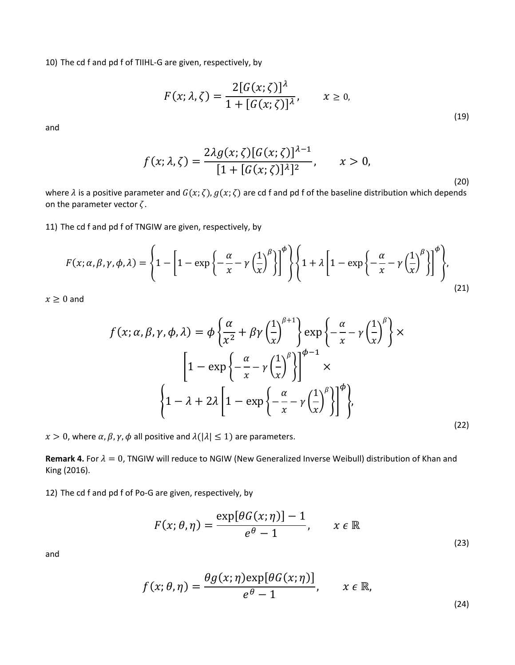10) The cd f and pd f of TIIHL-G are given, respectively, by

$$
F(x; \lambda, \zeta) = \frac{2[G(x; \zeta)]^{\lambda}}{1 + [G(x; \zeta)]^{\lambda}}, \qquad x \ge 0,
$$
\n(19)

and

$$
f(x; \lambda, \zeta) = \frac{2\lambda g(x; \zeta)[G(x; \zeta)]^{\lambda - 1}}{[1 + [G(x; \zeta)]^{\lambda}]^2}, \qquad x > 0,
$$

(20)

where  $\lambda$  is a positive parameter and  $G(x; \zeta)$ ,  $g(x; \zeta)$  are cd f and pd f of the baseline distribution which depends on the parameter vector  $\zeta$ .

11) The cd f and pd f of TNGIW are given, respectively, by

$$
F(x; \alpha, \beta, \gamma, \phi, \lambda) = \left\{ 1 - \left[ 1 - \exp\left\{ -\frac{\alpha}{x} - \gamma \left( \frac{1}{x} \right)^{\beta} \right\} \right]^{ \phi} \right\} \left\{ 1 + \lambda \left[ 1 - \exp\left\{ -\frac{\alpha}{x} - \gamma \left( \frac{1}{x} \right)^{\beta} \right\} \right]^{ \phi} \right\},\tag{21}
$$

 $x \geq 0$  and

$$
f(x; \alpha, \beta, \gamma, \phi, \lambda) = \phi \left\{ \frac{\alpha}{x^2} + \beta \gamma \left( \frac{1}{x} \right)^{\beta+1} \right\} \exp \left\{ -\frac{\alpha}{x} - \gamma \left( \frac{1}{x} \right)^{\beta} \right\} \times \left[ 1 - \exp \left\{ -\frac{\alpha}{x} - \gamma \left( \frac{1}{x} \right)^{\beta} \right\} \right]^{ \phi - 1} \times \left\{ 1 - \lambda + 2\lambda \left[ 1 - \exp \left\{ -\frac{\alpha}{x} - \gamma \left( \frac{1}{x} \right)^{\beta} \right\} \right]^{ \phi} \right\},
$$
\n(22)

 $x > 0$ , where  $\alpha$ ,  $\beta$ ,  $\gamma$ ,  $\phi$  all positive and  $\lambda(|\lambda| \leq 1)$  are parameters.

**Remark 4.** For  $\lambda = 0$ , TNGIW will reduce to NGIW (New Generalized Inverse Weibull) distribution of Khan and King (2016).

12) The cd f and pd f of Po-G are given, respectively, by

$$
F(x; \theta, \eta) = \frac{\exp[\theta G(x; \eta)] - 1}{e^{\theta} - 1}, \qquad x \in \mathbb{R}
$$
\n(23)

and

$$
f(x; \theta, \eta) = \frac{\theta g(x; \eta) \exp[\theta G(x; \eta)]}{e^{\theta} - 1}, \qquad x \in \mathbb{R},
$$
\n(24)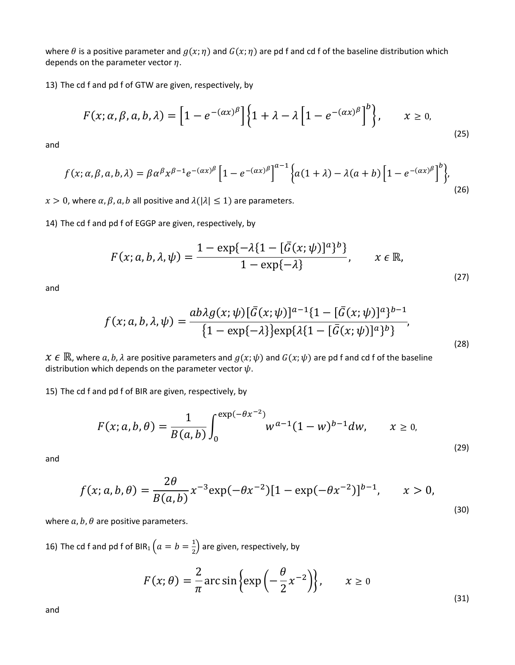where  $\theta$  is a positive parameter and  $g(x; \eta)$  and  $G(x; \eta)$  are pd f and cd f of the baseline distribution which depends on the parameter vector  $\eta$ .

13) The cd f and pd f of GTW are given, respectively, by

$$
F(x; \alpha, \beta, a, b, \lambda) = \left[1 - e^{-(\alpha x)^{\beta}}\right] \left\{1 + \lambda - \lambda \left[1 - e^{-(\alpha x)^{\beta}}\right]^{b}\right\}, \qquad x \ge 0,
$$
\n<sup>(25)</sup>

and

$$
f(x; \alpha, \beta, a, b, \lambda) = \beta \alpha^{\beta} x^{\beta - 1} e^{-(\alpha x)^{\beta}} \left[ 1 - e^{-(\alpha x)^{\beta}} \right]^{a-1} \left\{ a(1 + \lambda) - \lambda (a + b) \left[ 1 - e^{-(\alpha x)^{\beta}} \right]^{b} \right\},\tag{26}
$$

 $x > 0$ , where  $\alpha, \beta, a, b$  all positive and  $\lambda(|\lambda| \leq 1)$  are parameters.

14) The cd f and pd f of EGGP are given, respectively, by

$$
F(x;a,b,\lambda,\psi) = \frac{1 - \exp\{-\lambda\{1 - [\bar{G}(x;\psi)]^a\}^b\}}{1 - \exp\{-\lambda\}}, \qquad x \in \mathbb{R},
$$
\n(27)

and

$$
f(x; a, b, \lambda, \psi) = \frac{ab\lambda g(x; \psi)[\bar{G}(x; \psi)]^{a-1} \{1 - [\bar{G}(x; \psi)]^a\}^{b-1}}{\{1 - \exp\{-\lambda\}\} \exp\{\lambda \{1 - [\bar{G}(x; \psi)]^a\}^b\}},
$$
\n(28)

 $x \in \mathbb{R}$ , where a, b,  $\lambda$  are positive parameters and  $g(x; \psi)$  and  $G(x; \psi)$  are pd f and cd f of the baseline distribution which depends on the parameter vector  $\psi$ .

15) The cd f and pd f of BIR are given, respectively, by

$$
F(x; a, b, \theta) = \frac{1}{B(a, b)} \int_0^{\exp(-\theta x^{-2})} w^{a-1} (1 - w)^{b-1} dw, \qquad x \ge 0,
$$
\n(29)

and

$$
f(x; a, b, \theta) = \frac{2\theta}{B(a, b)} x^{-3} \exp(-\theta x^{-2}) [1 - \exp(-\theta x^{-2})]^{b-1}, \qquad x > 0,
$$
\n(30)

where  $a, b, \theta$  are positive parameters.

16) The cd f and pd f of BIR<sub>1</sub>  $\left(a=b=\frac{1}{2}\right)$  are given, respectively, by

$$
F(x; \theta) = \frac{2}{\pi} \arcsin \left\{ \exp\left( -\frac{\theta}{2} x^{-2} \right) \right\}, \qquad x \ge 0
$$
\n(31)

and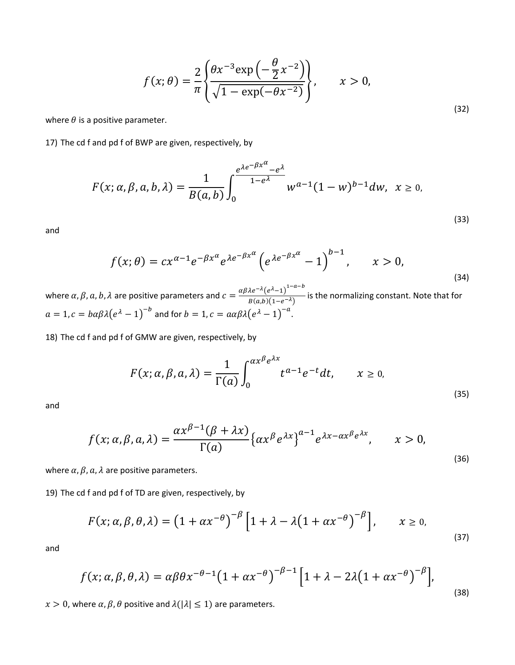$$
f(x; \theta) = \frac{2}{\pi} \left\{ \frac{\theta x^{-3} \exp\left(-\frac{\theta}{2} x^{-2}\right)}{\sqrt{1 - \exp(-\theta x^{-2})}} \right\}, \qquad x > 0,
$$
\n
$$
(32)
$$

where  $\theta$  is a positive parameter.

17) The cd f and pd f of BWP are given, respectively, by

$$
F(x; \alpha, \beta, a, b, \lambda) = \frac{1}{B(a, b)} \int_0^{e^{\lambda e^{-\beta x^{\alpha}}} - e^{\lambda}} w^{\alpha - 1} (1 - w)^{b - 1} dw, \ \ x \ge 0,
$$

and

$$
f(x; \theta) = cx^{\alpha - 1} e^{-\beta x^{\alpha}} e^{\lambda e^{-\beta x^{\alpha}}} \left( e^{\lambda e^{-\beta x^{\alpha}}} - 1 \right)^{b - 1}, \qquad x > 0,
$$
\n<sup>(34)</sup>

(33)

where  $\alpha$ ,  $\beta$ ,  $a$ ,  $b$ ,  $\lambda$  are positive parameters and  $c = \frac{\alpha\beta\lambda e^{-\lambda} (e^{\lambda}-1)^{1-a-b}}{B(a,b)(1-e^{-\lambda})}$  is the normalizing constant. Note that for  $a = 1, c = b\alpha\beta\lambda\big(e^{\lambda} - 1\big)^{-b}$  and for  $b = 1, c = a\alpha\beta\lambda\big(e^{\lambda} - 1\big)^{-a}$ .

18) The cd f and pd f of GMW are given, respectively, by

$$
F(x; \alpha, \beta, a, \lambda) = \frac{1}{\Gamma(a)} \int_0^{\alpha x^{\beta} e^{\lambda x}} t^{a-1} e^{-t} dt, \qquad x \ge 0,
$$
\n(35)

and

$$
f(x; \alpha, \beta, a, \lambda) = \frac{\alpha x^{\beta - 1} (\beta + \lambda x)}{\Gamma(a)} \{ \alpha x^{\beta} e^{\lambda x} \}^{a - 1} e^{\lambda x - \alpha x^{\beta} e^{\lambda x}}, \qquad x > 0,
$$
\n(36)

where  $\alpha$ ,  $\beta$ ,  $\alpha$ ,  $\lambda$  are positive parameters.

19) The cd f and pd f of TD are given, respectively, by

$$
F(x; \alpha, \beta, \theta, \lambda) = \left(1 + \alpha x^{-\theta}\right)^{-\beta} \left[1 + \lambda - \lambda \left(1 + \alpha x^{-\theta}\right)^{-\beta}\right], \qquad x \ge 0,
$$
\n(37)

and

$$
f(x; \alpha, \beta, \theta, \lambda) = \alpha \beta \theta x^{-\theta - 1} \left( 1 + \alpha x^{-\theta} \right)^{-\beta - 1} \left[ 1 + \lambda - 2\lambda \left( 1 + \alpha x^{-\theta} \right)^{-\beta} \right],
$$
\n(38)

 $x > 0$ , where  $\alpha, \beta, \theta$  positive and  $\lambda(|\lambda| \leq 1)$  are parameters.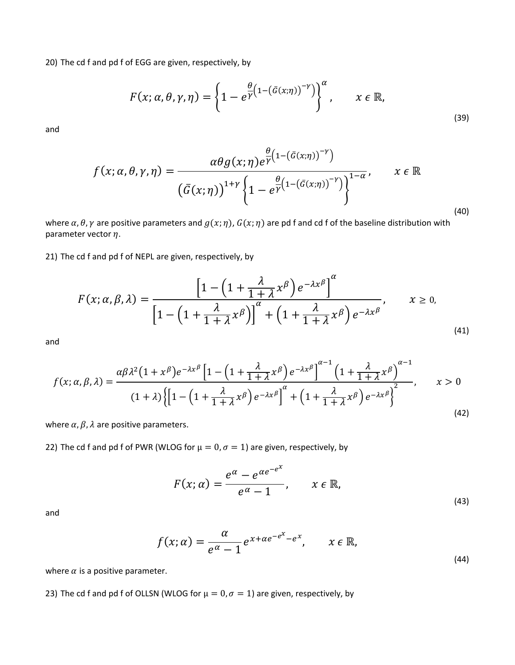20) The cd f and pd f of EGG are given, respectively, by

$$
F(x; \alpha, \theta, \gamma, \eta) = \left\{ 1 - e^{\frac{\theta}{\gamma} \left( 1 - \left( \bar{G}(x; \eta) \right)^{-\gamma} \right)} \right\}^{\alpha}, \qquad x \in \mathbb{R},
$$
\n(39)

and

$$
f(x; \alpha, \theta, \gamma, \eta) = \frac{\alpha \theta g(x; \eta) e^{\frac{\theta}{\gamma} (1 - (\bar{G}(x; \eta))^{-\gamma})}}{\left(\bar{G}(x; \eta)\right)^{1+\gamma} \left\{1 - e^{\frac{\theta}{\gamma} (1 - (\bar{G}(x; \eta))^{-\gamma})}\right\}^{1-\alpha}}, \qquad x \in \mathbb{R}
$$
\n(40)

where  $\alpha$ ,  $\theta$ ,  $\gamma$  are positive parameters and  $g(x; \eta)$ ,  $G(x; \eta)$  are pd f and cd f of the baseline distribution with parameter vector  $\eta$ .

21) The cd f and pd f of NEPL are given, respectively, by

$$
F(x; \alpha, \beta, \lambda) = \frac{\left[1 - \left(1 + \frac{\lambda}{1 + \lambda} x^{\beta}\right) e^{-\lambda x^{\beta}}\right]^{\alpha}}{\left[1 - \left(1 + \frac{\lambda}{1 + \lambda} x^{\beta}\right)\right]^{\alpha} + \left(1 + \frac{\lambda}{1 + \lambda} x^{\beta}\right) e^{-\lambda x^{\beta}}}, \qquad x \ge 0,
$$
\n(41)

and

$$
f(x; \alpha, \beta, \lambda) = \frac{\alpha \beta \lambda^2 (1 + x^{\beta}) e^{-\lambda x^{\beta}} \left[ 1 - \left( 1 + \frac{\lambda}{1 + \lambda} x^{\beta} \right) e^{-\lambda x^{\beta}} \right]^{\alpha - 1} \left( 1 + \frac{\lambda}{1 + \lambda} x^{\beta} \right)^{\alpha - 1}}{(1 + \lambda) \left\{ \left[ 1 - \left( 1 + \frac{\lambda}{1 + \lambda} x^{\beta} \right) e^{-\lambda x^{\beta}} \right]^{\alpha} + \left( 1 + \frac{\lambda}{1 + \lambda} x^{\beta} \right) e^{-\lambda x^{\beta}} \right\}^2}, \qquad x > 0
$$
\n(42)

where  $\alpha$ ,  $\beta$ ,  $\lambda$  are positive parameters.

22) The cd f and pd f of PWR (WLOG for  $\mu = 0$ ,  $\sigma = 1$ ) are given, respectively, by

$$
F(x; \alpha) = \frac{e^{\alpha} - e^{\alpha e^{-\alpha}}}{e^{\alpha} - 1}, \qquad x \in \mathbb{R},
$$
\n(43)

and

$$
f(x; \alpha) = \frac{\alpha}{e^{\alpha} - 1} e^{x + \alpha e^{-e^{x}} - e^{x}}, \qquad x \in \mathbb{R},
$$
\n(44)

where  $\alpha$  is a positive parameter.

23) The cd f and pd f of OLLSN (WLOG for  $\mu = 0$ ,  $\sigma = 1$ ) are given, respectively, by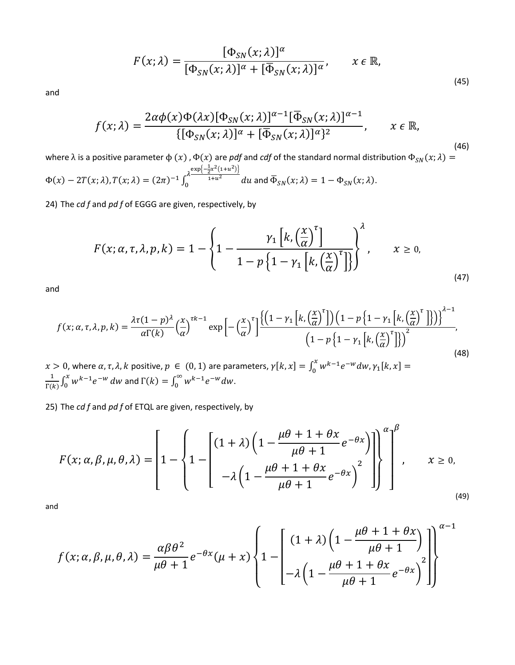$$
F(x; \lambda) = \frac{[\Phi_{SN}(x; \lambda)]^{\alpha}}{[\Phi_{SN}(x; \lambda)]^{\alpha} + [\overline{\Phi}_{SN}(x; \lambda)]^{\alpha}}, \qquad x \in \mathbb{R},
$$
\n(45)

and

$$
f(x; \lambda) = \frac{2\alpha\phi(x)\Phi(\lambda x)[\Phi_{SN}(x; \lambda)]^{\alpha-1}[\overline{\Phi}_{SN}(x; \lambda)]^{\alpha-1}}{\{[\Phi_{SN}(x; \lambda)]^{\alpha} + [\overline{\Phi}_{SN}(x; \lambda)]^{\alpha}\}^2}, \qquad x \in \mathbb{R},
$$
\n(46)

where  $\lambda$  is a positive parameter  $\phi(x)$  ,  $\Phi(x)$  are *pdf* and *cdf* of the standard normal distribution  $\Phi_{SN}(x;\lambda) =$  $\Phi(x) - 2T(x;\lambda), T(x;\lambda) = (2\pi)^{-1} \int_0^{\lambda \frac{\exp\left(-\frac{1}{2}x^2(1+u^2)\right)}{1+u^2}} du$  and  $\overline{\Phi}_{SN}(x;\lambda) = 1 - \Phi_{SN}(x;\lambda)$ .

24) The *cd f* and *pd f* of EGGG are given, respectively, by

$$
F(x; \alpha, \tau, \lambda, p, k) = 1 - \left\{ 1 - \frac{\gamma_1 \left[ k, \left( \frac{x}{\alpha} \right)^{\tau} \right]}{1 - p \left\{ 1 - \gamma_1 \left[ k, \left( \frac{x}{\alpha} \right)^{\tau} \right] \right\}} \right\}, \qquad x \ge 0,
$$
\n(47)

and

$$
f(x; \alpha, \tau, \lambda, p, k) = \frac{\lambda \tau (1 - p)^{\lambda}}{\alpha \Gamma(k)} \left(\frac{x}{\alpha}\right)^{\tau k - 1} \exp\left[-\left(\frac{x}{\alpha}\right)^{\tau}\right] \frac{\left\{\left(1 - \gamma_{1}\left[k, \left(\frac{x}{\alpha}\right)^{\tau}\right]\right)\left(1 - p\left\{1 - \gamma_{1}\left[k, \left(\frac{x}{\alpha}\right)^{\tau}\right]\right\}\right)\right\}^{\lambda - 1}}{\left(1 - p\left\{1 - \gamma_{1}\left[k, \left(\frac{x}{\alpha}\right)^{\tau}\right]\right\}\right)^{2}},
$$
\n
$$
0, \text{ where } \alpha, \tau, \lambda, k \text{ positive, } p \in (0, 1) \text{ are parameters, } \gamma[k, x] = \int_{0}^{x} w^{k - 1} e^{-w} dw, \gamma_{1}[k, x] =
$$
\n
$$
(48)
$$

 $x > 0$ , where  $\alpha$ ,  $\tau$ ,  $\lambda$ ,  $k$  positive,  $p \in (0, 1)$  are parameters,  $\gamma[k, x] = \int_0^x w^{k-1} e^{-w} dw$ ,  $\gamma_1[k, x] = \frac{1}{\Gamma(k)} \int_0^x w^{k-1} e^{-w} dw$  and  $\Gamma(k) = \int_0^{\infty} w^{k-1} e^{-w} dw$ .

25) The *cd f* and *pd f* of ETQL are given, respectively, by

$$
F(x; \alpha, \beta, \mu, \theta, \lambda) = \left[1 - \left\{1 - \left\{1 - \left[\frac{(1+\lambda)\left(1 - \frac{\mu\theta + 1 + \theta x}{\mu\theta + 1}e^{-\theta x}\right)}{\mu\theta + 1}e^{-\theta x}\right]^2\right]\right\}^{\alpha}\right\}^{\beta}, \qquad x \ge 0,
$$
\n(49)

and

$$
f(x; \alpha, \beta, \mu, \theta, \lambda) = \frac{\alpha \beta \theta^2}{\mu \theta + 1} e^{-\theta x} (\mu + x) \left\{ 1 - \left[ \frac{(1 + \lambda) \left( 1 - \frac{\mu \theta + 1 + \theta x}{\mu \theta + 1} \right)}{\mu \theta + 1} \right] \right\}^{\alpha - 1}
$$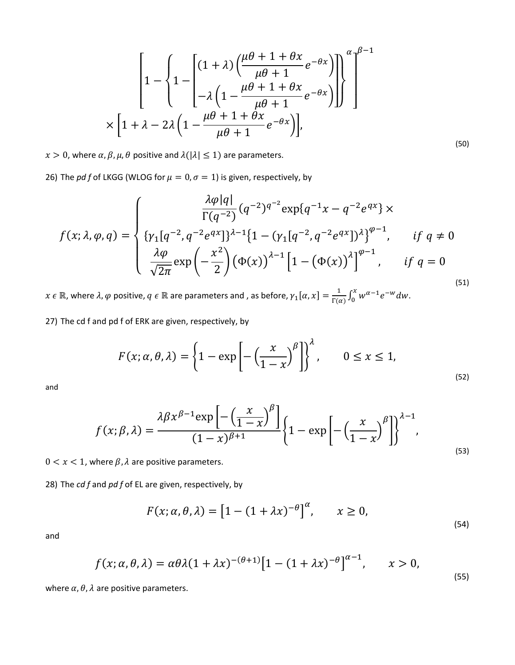$$
\left[1 - \left\{1 - \left[\frac{(1+\lambda)\left(\frac{\mu\theta + 1 + \theta x}{\mu\theta + 1}e^{-\theta x}\right)}{-\lambda\left(1 - \frac{\mu\theta + 1 + \theta x}{\mu\theta + 1}e^{-\theta x}\right)}\right]\right\}^{\alpha}\right]^{B-1}
$$
  
 
$$
\times \left[1 + \lambda - 2\lambda\left(1 - \frac{\mu\theta + 1 + \theta x}{\mu\theta + 1}e^{-\theta x}\right)\right],
$$

(50)

 $x > 0$ , where  $\alpha$ ,  $\beta$ ,  $\mu$ ,  $\theta$  positive and  $\lambda(|\lambda| \leq 1)$  are parameters.

26) The *pd f* of LKGG (WLOG for  $\mu = 0$ ,  $\sigma = 1$ ) is given, respectively, by

$$
f(x; \lambda, \varphi, q) = \begin{cases} \frac{\lambda \varphi|q|}{\Gamma(q^{-2})} (q^{-2})^{q^{-2}} \exp\{q^{-1}x - q^{-2}e^{qx}\} \times \\ \{ \gamma_1[q^{-2}, q^{-2}e^{qx}]\}^{\lambda - 1} \{ 1 - (\gamma_1[q^{-2}, q^{-2}e^{qx}])^{\lambda} \}^{\varphi - 1}, & \text{if } q \neq 0 \\ \frac{\lambda \varphi}{\sqrt{2\pi}} \exp\left(-\frac{x^2}{2}\right) (\Phi(x))^{\lambda - 1} \left[ 1 - (\Phi(x))^{\lambda} \right]^{\varphi - 1}, & \text{if } q = 0 \end{cases}
$$
\n
$$
(51)
$$

 $x \in \mathbb{R}$ , where  $\lambda$ ,  $\varphi$  positive,  $q \in \mathbb{R}$  are parameters and , as before,  $\gamma_1[\alpha, x] = \frac{1}{\Gamma(\alpha)} \int_0^x w^{\alpha-1} e^{-w} dw$ .

27) The cd f and pd f of ERK are given, respectively, by

$$
F(x; \alpha, \theta, \lambda) = \left\{ 1 - \exp\left[ -\left(\frac{x}{1-x}\right)^{\beta} \right] \right\}^{\lambda}, \qquad 0 \le x \le 1,
$$
\n<sup>(52)</sup>

and

$$
f(x; \beta, \lambda) = \frac{\lambda \beta x^{\beta - 1} \exp\left[-\left(\frac{x}{1 - x}\right)^{\beta}\right]}{(1 - x)^{\beta + 1}} \left\{1 - \exp\left[-\left(\frac{x}{1 - x}\right)^{\beta}\right]\right\}^{\lambda - 1},\tag{53}
$$

 $0 < x < 1$ , where  $\beta$ ,  $\lambda$  are positive parameters.

28) The *cd f* and *pd f* of EL are given, respectively, by

$$
F(x; \alpha, \theta, \lambda) = \left[1 - (1 + \lambda x)^{-\theta}\right]^{\alpha}, \qquad x \ge 0,
$$
\n<sup>(54)</sup>

and

$$
f(x; \alpha, \theta, \lambda) = \alpha \theta \lambda (1 + \lambda x)^{-(\theta + 1)} [1 - (1 + \lambda x)^{-\theta}]^{\alpha - 1}, \qquad x > 0,
$$
\n<sup>(55)</sup>

where  $\alpha$ ,  $\theta$ ,  $\lambda$  are positive parameters.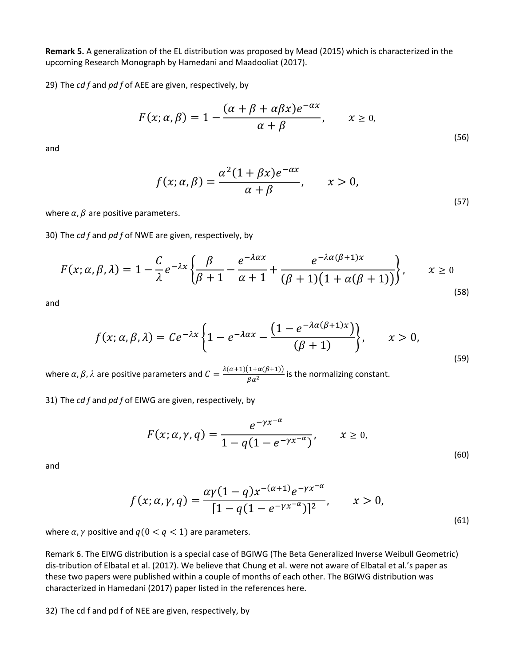**Remark 5.** A generalization of the EL distribution was proposed by Mead (2015) which is characterized in the upcoming Research Monograph by Hamedani and Maadooliat (2017).

29) The *cd f* and *pd f* of AEE are given, respectively, by

$$
F(x; \alpha, \beta) = 1 - \frac{(\alpha + \beta + \alpha \beta x)e^{-\alpha x}}{\alpha + \beta}, \qquad x \ge 0,
$$
\n
$$
(56)
$$

and

$$
f(x; \alpha, \beta) = \frac{\alpha^2 (1 + \beta x)e^{-\alpha x}}{\alpha + \beta}, \qquad x > 0,
$$
\n
$$
(57)
$$

where  $\alpha$ ,  $\beta$  are positive parameters.

30) The *cd f* and *pd f* of NWE are given, respectively, by

$$
F(x; \alpha, \beta, \lambda) = 1 - \frac{C}{\lambda} e^{-\lambda x} \left\{ \frac{\beta}{\beta + 1} - \frac{e^{-\lambda \alpha x}}{\alpha + 1} + \frac{e^{-\lambda \alpha (\beta + 1)x}}{(\beta + 1)(1 + \alpha (\beta + 1))} \right\}, \qquad x \ge 0
$$
\n(58)

and

$$
f(x; \alpha, \beta, \lambda) = Ce^{-\lambda x} \left\{ 1 - e^{-\lambda \alpha x} - \frac{\left( 1 - e^{-\lambda \alpha (\beta + 1)x} \right)}{(\beta + 1)} \right\}, \qquad x > 0,
$$
\n<sup>(59)</sup>

where  $\alpha$ ,  $\beta$ ,  $\lambda$  are positive parameters and  $C = \frac{\lambda(\alpha+1)(1+\alpha(\beta+1))}{\beta\alpha^2}$  is the normalizing constant.

31) The *cd f* and *pd f* of EIWG are given, respectively, by

$$
F(x; \alpha, \gamma, q) = \frac{e^{-\gamma x^{-\alpha}}}{1 - q(1 - e^{-\gamma x^{-\alpha}})}, \qquad x \ge 0,
$$
\n(60)

and

$$
f(x; \alpha, \gamma, q) = \frac{\alpha \gamma (1 - q) x^{-(\alpha + 1)} e^{-\gamma x^{-\alpha}}}{[1 - q(1 - e^{-\gamma x^{-\alpha}})]^2}, \qquad x > 0,
$$
\n(61)

where  $\alpha$ ,  $\gamma$  positive and  $q(0 < q < 1)$  are parameters.

Remark 6. The EIWG distribution is a special case of BGIWG (The Beta Generalized Inverse Weibull Geometric) dis-tribution of Elbatal et al. (2017). We believe that Chung et al. were not aware of Elbatal et al.'s paper as these two papers were published within a couple of months of each other. The BGIWG distribution was characterized in Hamedani (2017) paper listed in the references here.

32) The cd f and pd f of NEE are given, respectively, by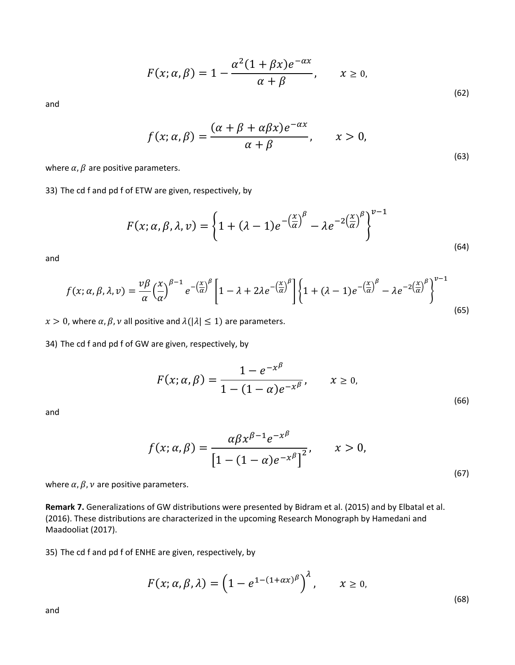$$
F(x; \alpha, \beta) = 1 - \frac{\alpha^2 (1 + \beta x) e^{-\alpha x}}{\alpha + \beta}, \qquad x \ge 0,
$$
\n(62)

and

$$
f(x; \alpha, \beta) = \frac{(\alpha + \beta + \alpha \beta x)e^{-\alpha x}}{\alpha + \beta}, \qquad x > 0,
$$
\n(63)

where  $\alpha$ ,  $\beta$  are positive parameters.

33) The cd f and pd f of ETW are given, respectively, by

$$
F(x; \alpha, \beta, \lambda, \nu) = \left\{ 1 + (\lambda - 1)e^{-\left(\frac{x}{\alpha}\right)^{\beta}} - \lambda e^{-2\left(\frac{x}{\alpha}\right)^{\beta}} \right\}^{\nu - 1}
$$
\n(64)

and

$$
f(x; \alpha, \beta, \lambda, \nu) = \frac{\nu \beta}{\alpha} \left(\frac{x}{\alpha}\right)^{\beta - 1} e^{-\left(\frac{x}{\alpha}\right)^{\beta}} \left[1 - \lambda + 2\lambda e^{-\left(\frac{x}{\alpha}\right)^{\beta}}\right] \left\{1 + (\lambda - 1)e^{-\left(\frac{x}{\alpha}\right)^{\beta}} - \lambda e^{-2\left(\frac{x}{\alpha}\right)^{\beta}}\right\}^{\nu - 1}
$$
\n(65)

 $x > 0$ , where  $\alpha$ ,  $\beta$ ,  $\nu$  all positive and  $\lambda(|\lambda| \leq 1)$  are parameters.

34) The cd f and pd f of GW are given, respectively, by

$$
F(x; \alpha, \beta) = \frac{1 - e^{-x^{\beta}}}{1 - (1 - \alpha)e^{-x^{\beta}}}, \qquad x \ge 0,
$$
\n(66)

and

$$
f(x; \alpha, \beta) = \frac{\alpha \beta x^{\beta - 1} e^{-x^{\beta}}}{\left[1 - (1 - \alpha)e^{-x^{\beta}}\right]^2}, \qquad x > 0,
$$
\n(67)

where  $\alpha$ ,  $\beta$ ,  $\nu$  are positive parameters.

**Remark 7.** Generalizations of GW distributions were presented by Bidram et al. (2015) and by Elbatal et al. (2016). These distributions are characterized in the upcoming Research Monograph by Hamedani and Maadooliat (2017).

35) The cd f and pd f of ENHE are given, respectively, by

$$
F(x; \alpha, \beta, \lambda) = \left(1 - e^{1 - (1 + \alpha x)^{\beta}}\right)^{\lambda}, \qquad x \geq 0,
$$

(68)

and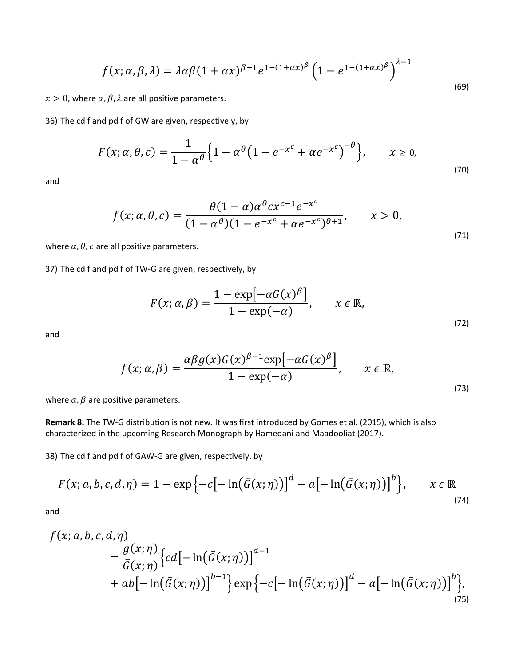$$
f(x; \alpha, \beta, \lambda) = \lambda \alpha \beta (1 + \alpha x)^{\beta - 1} e^{1 - (1 + \alpha x)^{\beta}} \left( 1 - e^{1 - (1 + \alpha x)^{\beta}} \right)^{\lambda - 1}
$$
\n(69)

 $x > 0$ , where  $\alpha$ ,  $\beta$ ,  $\lambda$  are all positive parameters.

36) The cd f and pd f of GW are given, respectively, by

$$
F(x; \alpha, \theta, c) = \frac{1}{1 - \alpha^{\theta}} \Big\{ 1 - \alpha^{\theta} \Big( 1 - e^{-x^{c}} + \alpha e^{-x^{c}} \Big)^{-\theta} \Big\}, \qquad x \ge 0,
$$
\n<sup>(70)</sup>

and

$$
f(x; \alpha, \theta, c) = \frac{\theta(1 - \alpha)\alpha^{\theta}cx^{c-1}e^{-x^{c}}}{(1 - \alpha^{\theta})(1 - e^{-x^{c}} + \alpha e^{-x^{c}})^{\theta + 1}}, \qquad x > 0,
$$
\n(71)

where  $\alpha$ ,  $\theta$ ,  $c$  are all positive parameters.

37) The cd f and pd f of TW-G are given, respectively, by

$$
F(x; \alpha, \beta) = \frac{1 - \exp[-\alpha G(x)^{\beta}]}{1 - \exp(-\alpha)}, \qquad x \in \mathbb{R},
$$
\n(72)

and

$$
f(x; \alpha, \beta) = \frac{\alpha \beta g(x) G(x)^{\beta - 1} \exp[-\alpha G(x)^{\beta}]}{1 - \exp(-\alpha)}, \qquad x \in \mathbb{R},
$$
\n(73)

where  $\alpha$ ,  $\beta$  are positive parameters.

**Remark 8.** The TW-G distribution is not new. It was first introduced by Gomes et al. (2015), which is also characterized in the upcoming Research Monograph by Hamedani and Maadooliat (2017).

38) The cd f and pd f of GAW-G are given, respectively, by

$$
F(x;a,b,c,d,\eta) = 1 - \exp\left\{-c\big[-\ln(\bar{G}(x;\eta))\big]^d - a\big[-\ln(\bar{G}(x;\eta))\big]^b\right\}, \qquad x \in \mathbb{R}
$$
\n(74)

and

$$
f(x; a, b, c, d, \eta)
$$
  
=  $\frac{g(x; \eta)}{\bar{G}(x; \eta)} \{cd[-\ln(\bar{G}(x; \eta))]^{d-1}$   
+  $ab[-\ln(\bar{G}(x; \eta))]^{b-1}\} \exp\{-c[-\ln(\bar{G}(x; \eta))]^{d} - a[-\ln(\bar{G}(x; \eta))]^{b}\},$  (75)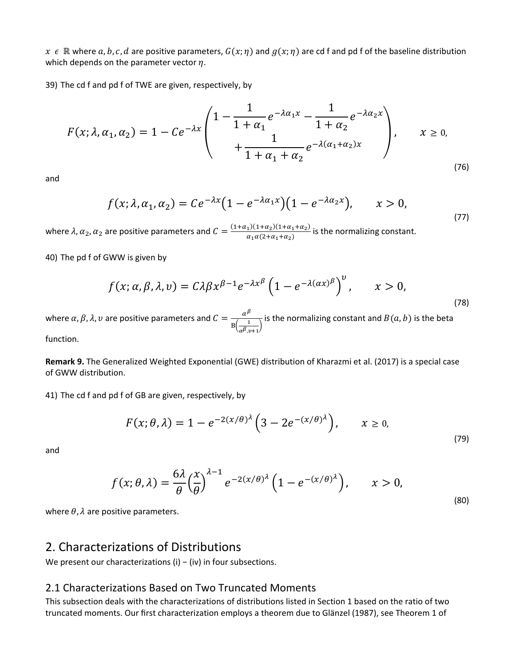$x \in \mathbb{R}$  where a, b, c, d are positive parameters,  $G(x; \eta)$  and  $g(x; \eta)$  are cd f and pd f of the baseline distribution which depends on the parameter vector  $\eta$ .

39) The cd f and pd f of TWE are given, respectively, by

$$
F(x; \lambda, \alpha_1, \alpha_2) = 1 - Ce^{-\lambda x} \begin{pmatrix} 1 - \frac{1}{1 + \alpha_1} e^{-\lambda \alpha_1 x} - \frac{1}{1 + \alpha_2} e^{-\lambda \alpha_2 x} \\ + \frac{1}{1 + \alpha_1 + \alpha_2} e^{-\lambda (\alpha_1 + \alpha_2)x} \end{pmatrix}, \quad x \ge 0,
$$
\n(76)

and

$$
f(x; \lambda, \alpha_1, \alpha_2) = Ce^{-\lambda x} \left(1 - e^{-\lambda \alpha_1 x}\right) \left(1 - e^{-\lambda \alpha_2 x}\right), \qquad x > 0,
$$
\n<sup>(77)</sup>

where  $\lambda$ ,  $\alpha_2$ ,  $\alpha_2$  are positive parameters and  $C = \frac{(1+\alpha_1)(1+\alpha_2)(1+\alpha_1+\alpha_2)}{\alpha_1\alpha(2+\alpha_1+\alpha_2)}$  is the normalizing constant.

40) The pd f of GWW is given by

$$
f(x; \alpha, \beta, \lambda, \nu) = C\lambda \beta x^{\beta - 1} e^{-\lambda x^{\beta}} \left( 1 - e^{-\lambda (\alpha x)^{\beta}} \right)^{\nu}, \qquad x > 0,
$$
\n
$$
(78)
$$

where  $\alpha$ ,  $\beta$ ,  $\lambda$ ,  $v$  are positive parameters and  $C = \frac{\alpha^{\beta}}{B(\frac{1}{\alpha^{\beta}, v+1})}$  is the normalizing constant and  $B(a, b)$  is the beta function.

**Remark 9.** The Generalized Weighted Exponential (GWE) distribution of Kharazmi et al. (2017) is a special case of GWW distribution.

41) The cd f and pd f of GB are given, respectively, by

$$
F(x; \theta, \lambda) = 1 - e^{-2(x/\theta)^{\lambda}} \left( 3 - 2e^{-(x/\theta)^{\lambda}} \right), \qquad x \ge 0,
$$
\n<sup>(79)</sup>

and

$$
f(x; \theta, \lambda) = \frac{6\lambda}{\theta} \left(\frac{x}{\theta}\right)^{\lambda - 1} e^{-2(x/\theta)^{\lambda}} \left(1 - e^{-(x/\theta)^{\lambda}}\right), \qquad x > 0,
$$
\n(80)

where  $\theta$ ,  $\lambda$  are positive parameters.

#### 2. Characterizations of Distributions

We present our characterizations (i) − (iv) in four subsections.

#### 2.1 Characterizations Based on Two Truncated Moments

This subsection deals with the characterizations of distributions listed in Section 1 based on the ratio of two truncated moments. Our first characterization employs a theorem due to Glänzel (1987), see Theorem 1 of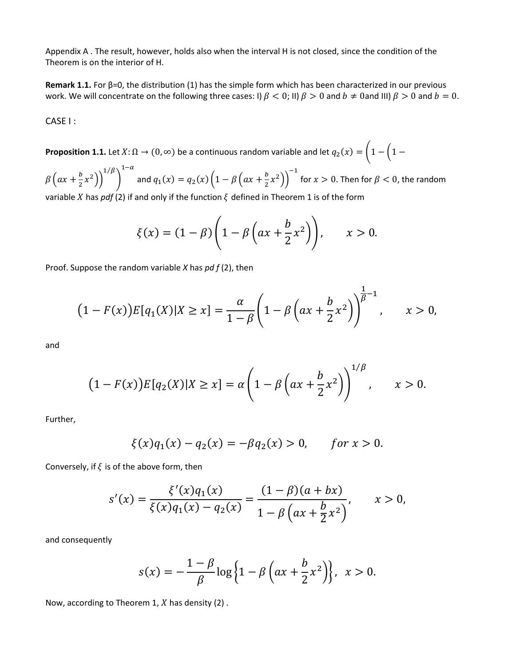Appendix A . The result, however, holds also when the interval H is not closed, since the condition of the Theorem is on the interior of H.

**Remark 1.1.** For β=0, the distribution (1) has the simple form which has been characterized in our previous work. We will concentrate on the following three cases: I)  $\beta$  < 0; II)  $\beta$  > 0 and  $b \neq 0$  and III)  $\beta$  > 0 and  $b = 0$ .

CASE I :

**Proposition 1.1.** Let  $X: \Omega \to (0, \infty)$  be a continuous random variable and let  $q_2(x) = \left(1 - \left(1 - \frac{1}{x}\right)\right)$ 

 $\beta\left(ax+\frac{b}{2}x^2\right)\bigg)^{1/\beta}$  $\big)$  $1-\alpha$ and  $q_1(x) = q_2(x) \left(1 - \beta \left(ax + \frac{b}{2}x^2\right)\right)^{-1}$  for  $x > 0$ . Then for  $\beta < 0$ , the random variable X has *pdf* (2) if and only if the function  $\xi$  defined in Theorem 1 is of the form

$$
\xi(x) = (1 - \beta) \left( 1 - \beta \left( ax + \frac{b}{2} x^2 \right) \right), \qquad x > 0.
$$

Proof. Suppose the random variable *X* has *pd f* (2), then

$$
(1 - F(x))E[q_1(X)|X \ge x] = \frac{\alpha}{1 - \beta} \left(1 - \beta \left(ax + \frac{b}{2}x^2\right)\right)^{\frac{1}{\beta} - 1}, \qquad x > 0,
$$

and

$$
(1 - F(x))E[q_2(X)|X \ge x] = \alpha \left(1 - \beta \left(ax + \frac{b}{2}x^2\right)\right)^{1/\beta}, \qquad x > 0.
$$

Further,

$$
\xi(x)q_1(x) - q_2(x) = -\beta q_2(x) > 0, \quad \text{for } x > 0.
$$

Conversely, if  $\xi$  is of the above form, then

$$
s'(x) = \frac{\xi'(x)q_1(x)}{\xi(x)q_1(x) - q_2(x)} = \frac{(1-\beta)(a+bx)}{1-\beta\left(ax+\frac{b}{2}x^2\right)}, \qquad x > 0,
$$

and consequently

$$
s(x) = -\frac{1-\beta}{\beta}\log\left\{1-\beta\left(ax+\frac{b}{2}x^2\right)\right\}, \quad x > 0.
$$

Now, according to Theorem 1,  $X$  has density (2).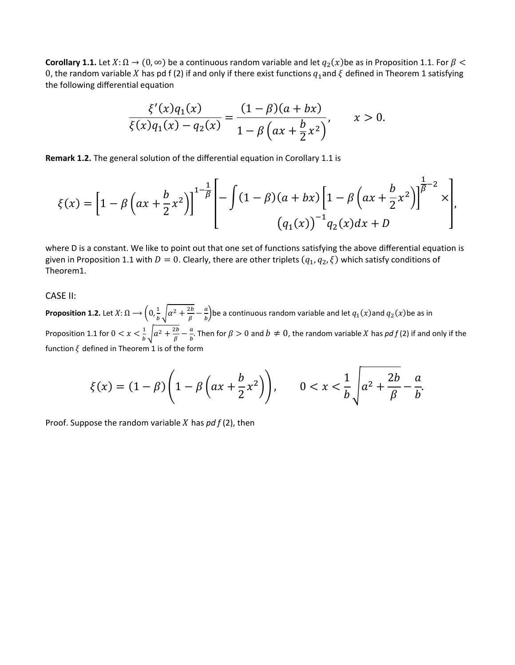**Corollary 1.1.** Let  $X: \Omega \to (0, \infty)$  be a continuous random variable and let  $q_2(x)$ be as in Proposition 1.1. For  $\beta$  < 0, the random variable X has pd f (2) if and only if there exist functions  $q_1$  and  $\zeta$  defined in Theorem 1 satisfying the following differential equation

$$
\frac{\xi'(x)q_1(x)}{\xi(x)q_1(x)-q_2(x)} = \frac{(1-\beta)(a+bx)}{1-\beta\left(ax+\frac{b}{2}x^2\right)}, \qquad x > 0.
$$

**Remark 1.2.** The general solution of the differential equation in Corollary 1.1 is

$$
\xi(x) = \left[1 - \beta \left(ax + \frac{b}{2}x^2\right)\right]^{1 - \frac{1}{\beta}} \left[-\int (1 - \beta)(a + bx)\left[1 - \beta \left(ax + \frac{b}{2}x^2\right)\right]^{\frac{1}{\beta} - 2} x\right],
$$
  

$$
(q_1(x))^{-1} q_2(x) dx + D
$$

where D is a constant. We like to point out that one set of functions satisfying the above differential equation is given in Proposition 1.1 with  $D = 0$ . Clearly, there are other triplets  $(q_1, q_2, \xi)$  which satisfy conditions of Theorem1.

#### CASE II:

**Proposition 1.2.** Let  $X:\Omega\to\left(0,\frac{1}{b}\sqrt{\alpha^2+\frac{2b}{\beta}-\frac{a}{b}}\right)$ be a continuous random variable and let  $q_1(x)$ and  $q_2(x)$ be as in Proposition 1.1 for  $0 < x < \frac{1}{b} \sqrt{a^2 + \frac{2b}{\beta} - \frac{a}{b}}$ . Then for  $\beta > 0$  and  $b \neq 0$ , the random variable X has pdf(2) if and only if the function  $\xi$  defined in Theorem 1 is of the form

$$
\xi(x) = (1 - \beta) \left( 1 - \beta \left( ax + \frac{b}{2} x^2 \right) \right), \qquad 0 < x < \frac{1}{b} \sqrt{a^2 + \frac{2b}{\beta} - \frac{a}{b}}.
$$

Proof. Suppose the random variable  $X$  has  $pdf(2)$ , then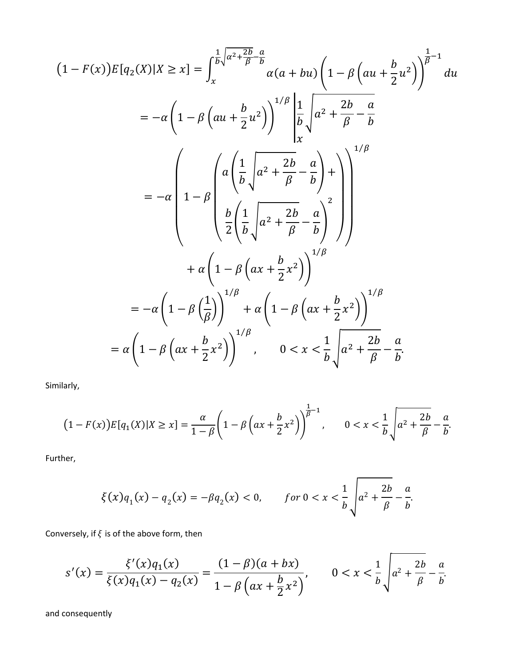$$
(1 - F(x))E[q_2(X)|X \ge x] = \int_x^{\frac{1}{b}\sqrt{\alpha^2 + \frac{2b}{\beta} - \alpha}} \alpha(a + bu) \left(1 - \beta\left(au + \frac{b}{2}u^2\right)\right)^{\frac{1}{\beta}-1} du
$$
  
\n
$$
= -\alpha\left(1 - \beta\left(au + \frac{b}{2}u^2\right)\right)^{1/\beta} \left|\frac{1}{b}\sqrt{\alpha^2 + \frac{2b}{\beta} - \frac{a}{b}}\right|
$$
  
\n
$$
= -\alpha\left(1 - \beta\left(a\left(\frac{1}{b}\sqrt{a^2 + \frac{2b}{\beta} - \frac{a}{b}}\right) + \right)\right)^{1/\beta}
$$
  
\n
$$
+ \alpha\left(1 - \beta\left(ax + \frac{b}{2}x^2\right)\right)^{1/\beta}
$$
  
\n
$$
= -\alpha\left(1 - \beta\left(\frac{1}{\beta}\right)\right)^{1/\beta} + \alpha\left(1 - \beta\left(ax + \frac{b}{2}x^2\right)\right)^{1/\beta}
$$
  
\n
$$
= \alpha\left(1 - \beta\left(ax + \frac{b}{2}x^2\right)\right)^{1/\beta}
$$
  
\n
$$
= \alpha\left(1 - \beta\left(ax + \frac{b}{2}x^2\right)\right)^{1/\beta}, \qquad 0 < x < \frac{1}{b}\sqrt{a^2 + \frac{2b}{\beta} - \frac{a}{b}}.
$$

Similarly,

$$
(1 - F(x))E[q_1(X)|X \ge x] = \frac{\alpha}{1 - \beta} \left(1 - \beta \left(ax + \frac{b}{2}x^2\right)\right)^{\frac{1}{\beta} - 1}, \qquad 0 < x < \frac{1}{b} \sqrt{a^2 + \frac{2b}{\beta} - \frac{a}{b}}.
$$

Further,

$$
\xi(x)q_1(x) - q_2(x) = -\beta q_2(x) < 0, \qquad \text{for } 0 < x < \frac{1}{b} \sqrt{a^2 + \frac{2b}{\beta} - \frac{a}{b}}.
$$

Conversely, if  $\xi$  is of the above form, then

$$
s'(x) = \frac{\xi'(x)q_1(x)}{\xi(x)q_1(x) - q_2(x)} = \frac{(1-\beta)(a+bx)}{1-\beta\left(ax+\frac{b}{2}x^2\right)}, \qquad 0 < x < \frac{1}{b}\sqrt{a^2 + \frac{2b}{\beta} - \frac{a}{b}}.
$$

and consequently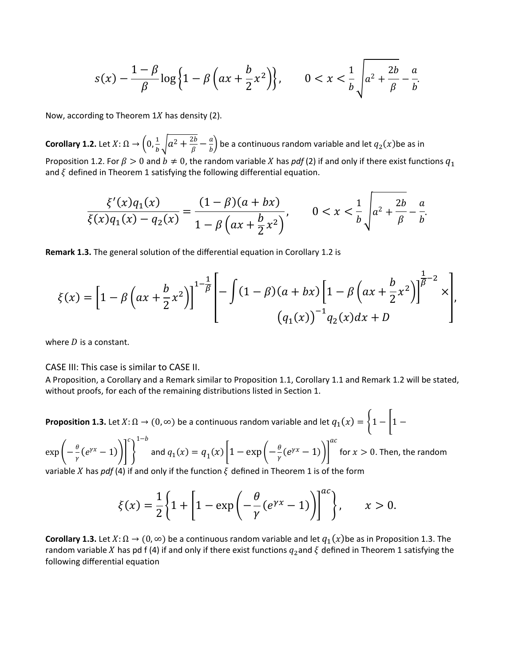$$
s(x) - \frac{1-\beta}{\beta} \log \left\{ 1 - \beta \left( ax + \frac{b}{2} x^2 \right) \right\}, \qquad 0 < x < \frac{1}{b} \sqrt{a^2 + \frac{2b}{\beta} - \frac{a}{b}}.
$$

Now, according to Theorem  $1X$  has density (2).

**Corollary 1.2.** Let  $X: \Omega \to \left(0, \frac{1}{b} \sqrt{a^2 + \frac{2b}{\beta} - \frac{a}{b}}\right)$  be a continuous random variable and let  $q_2(x)$ be as in Proposition 1.2. For  $\beta > 0$  and  $b \neq 0$ , the random variable X has *pdf* (2) if and only if there exist functions  $q_1$ and  $\xi$  defined in Theorem 1 satisfying the following differential equation.

$$
\frac{\xi'(x)q_1(x)}{\xi(x)q_1(x)-q_2(x)} = \frac{(1-\beta)(a+bx)}{1-\beta\left(ax+\frac{b}{2}x^2\right)}, \qquad 0 < x < \frac{1}{b}\sqrt{a^2 + \frac{2b}{\beta} - \frac{a}{b}}.
$$

**Remark 1.3.** The general solution of the differential equation in Corollary 1.2 is

$$
\xi(x) = \left[1 - \beta \left(ax + \frac{b}{2}x^2\right)\right]^{1 - \frac{1}{\beta}} \left[-\int (1 - \beta)(a + bx)\left[1 - \beta \left(ax + \frac{b}{2}x^2\right)\right]^{\frac{1}{\beta} - 2} x\right],
$$
  

$$
(q_1(x))^{-1} q_2(x) dx + D
$$

where  $D$  is a constant.

CASE III: This case is similar to CASE II.

A Proposition, a Corollary and a Remark similar to Proposition 1.1, Corollary 1.1 and Remark 1.2 will be stated, without proofs, for each of the remaining distributions listed in Section 1.

**Proposition 1.3.** Let  $X: \Omega \to (0, \infty)$  be a continuous random variable and let  $q_1(x) = \begin{cases} 1 - \end{cases}$   $1 - \begin{cases} 1 - \end{cases}$ 

 $\exp\left(-\frac{\theta}{\gamma}(e^{\gamma x}-1)\right)$  $\mathcal{C}_{\mathcal{C}}$ �  $1-p$ and  $q_1(x) = q_1(x) \left| 1 - \exp\left( -\frac{\theta}{\gamma} (e^{\gamma x} - 1) \right) \right|$  $\boldsymbol{a}$ for  $x > 0$ . Then, the random

variable X has *pdf* (4) if and only if the function  $\xi$  defined in Theorem 1 is of the form

$$
\xi(x) = \frac{1}{2} \left\{ 1 + \left[ 1 - \exp\left( -\frac{\theta}{\gamma} (e^{\gamma x} - 1) \right) \right]^{ac} \right\}, \qquad x > 0.
$$

**Corollary 1.3.** Let  $X: \Omega \to (0, \infty)$  be a continuous random variable and let  $q_1(x)$ be as in Proposition 1.3. The random variable X has pd f (4) if and only if there exist functions  $q_2$  and  $\zeta$  defined in Theorem 1 satisfying the following differential equation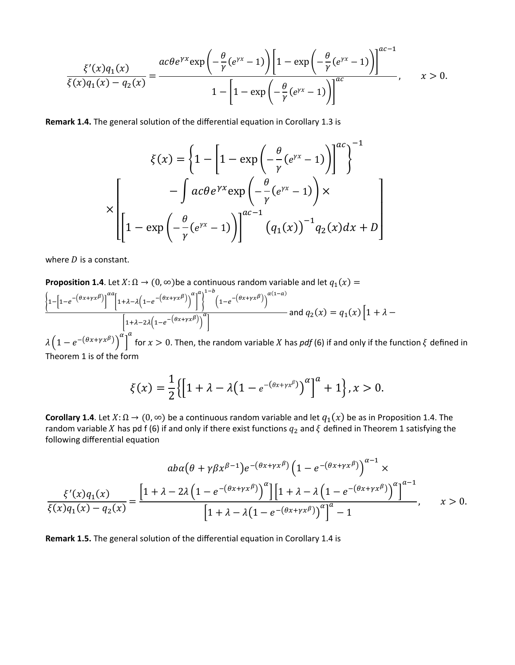$$
\frac{\xi'(x)q_1(x)}{\xi(x)q_1(x)-q_2(x)} = \frac{ac\theta e^{\gamma x} \exp\left(-\frac{\theta}{\gamma}(e^{\gamma x}-1)\right) \left[1-\exp\left(-\frac{\theta}{\gamma}(e^{\gamma x}-1)\right)\right]^{ac-1}}{1-\left[1-\exp\left(-\frac{\theta}{\gamma}(e^{\gamma x}-1)\right)\right]^{ac}}, \qquad x > 0.
$$

Remark 1.4. The general solution of the differential equation in Corollary 1.3 is

$$
\xi(x) = \left\{ 1 - \left[ 1 - \exp\left( -\frac{\theta}{\gamma} (e^{\gamma x} - 1) \right) \right]^{ac} \right\}^{-1}
$$

$$
\times \left[ -\int ac\theta e^{\gamma x} \exp\left( -\frac{\theta}{\gamma} (e^{\gamma x} - 1) \right) \times \left[ 1 - \exp\left( -\frac{\theta}{\gamma} (e^{\gamma x} - 1) \right) \right]^{ac - 1} (q_1(x))^{-1} q_2(x) dx + D \right]
$$

where  $D$  is a constant.

**Proposition 1.4.** Let 
$$
X: \Omega \to (0, \infty)
$$
 be a continuous random variable and let  $q_1(x) =$   
\n
$$
\left\{\frac{1-[1-e^{-(\theta x+ \gamma x^{\beta})}]^{\alpha a}}{1+\lambda-\lambda(1-e^{-(\theta x+ \gamma x^{\beta})})}\right\}^{\alpha a}\right\}^{1-b} \left(1-e^{-(\theta x+ \gamma x^{\beta})}\right)^{\alpha(1-a)} \text{ and } q_2(x) = q_1(x) \left[1+\lambda-\frac{1}{2}\lambda(1-e^{-(\theta x+ \gamma x^{\beta})})\right]^{\alpha a} \text{ and } q_2(x) = q_2(x) \text{ and } q_3(x) = 0
$$

 $\lambda\left(1-e^{-(\theta x+\gamma x^{\beta})}\right)^{T}$  for  $x>0$ . Then, the random variable X has pdf (6) if and only if the function  $\xi$  defined in Theorem 1 is of the form

$$
\xi(x) = \frac{1}{2} \{ \left[ 1 + \lambda - \lambda \left( 1 - e^{-(\theta x + \gamma x^{\beta})} \right)^{\alpha} \right]^a + 1 \}, x > 0.
$$

**Corollary 1.4**. Let  $X: \Omega \to (0, \infty)$  be a continuous random variable and let  $q_1(x)$  be as in Proposition 1.4. The random variable X has pd f (6) if and only if there exist functions  $q_2$  and  $\xi$  defined in Theorem 1 satisfying the following differential equation

$$
ab\alpha \left(\theta + \gamma \beta x^{\beta - 1}\right) e^{-\left(\theta x + \gamma x^{\beta}\right)} \left(1 - e^{-\left(\theta x + \gamma x^{\beta}\right)}\right)^{\alpha - 1} \times
$$

$$
\frac{\xi'(x)q_1(x)}{\xi(x)q_1(x) - q_2(x)} = \frac{\left[1 + \lambda - 2\lambda \left(1 - e^{-\left(\theta x + \gamma x^{\beta}\right)}\right)^{\alpha}\right] \left[1 + \lambda - \lambda \left(1 - e^{-\left(\theta x + \gamma x^{\beta}\right)}\right)^{\alpha}\right]^{\alpha - 1}}{\left[1 + \lambda - \lambda \left(1 - e^{-\left(\theta x + \gamma x^{\beta}\right)}\right)^{\alpha}\right]^{\alpha} - 1}, \qquad x > 0.
$$

Remark 1.5. The general solution of the differential equation in Corollary 1.4 is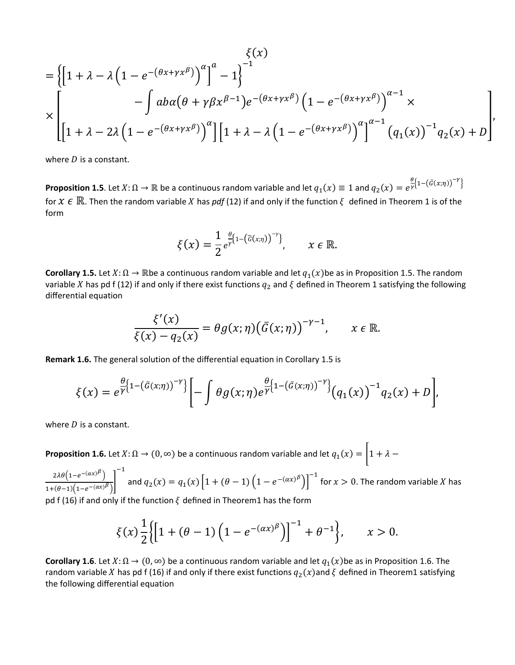$$
\begin{aligned}\n&\left\{\zeta(x)\\
&= \left\{\left[1 + \lambda - \lambda \left(1 - e^{-(\theta x + \gamma x^{\beta})}\right)^{\alpha}\right]^{a} - 1\right\}^{-1} \\
&\times \left[\frac{-\int ab\alpha(\theta + \gamma \beta x^{\beta - 1})e^{-(\theta x + \gamma x^{\beta})}\left(1 - e^{-(\theta x + \gamma x^{\beta})}\right)^{\alpha - 1}}{\left[1 + \lambda - 2\lambda \left(1 - e^{-(\theta x + \gamma x^{\beta})}\right)^{\alpha}\right]\left[1 + \lambda - \lambda \left(1 - e^{-(\theta x + \gamma x^{\beta})}\right)^{\alpha}\right]^{\alpha - 1}\left(q_{1}(x)\right)^{-1}q_{2}(x) + D\right]\n\end{aligned}
$$

where  $D$  is a constant.

**Proposition 1.5**. Let  $X: \Omega \to \mathbb{R}$  be a continuous random variable and let  $q_1(x) \equiv 1$  and  $q_2(x) = e^{\frac{\theta}{\gamma}(1-(\bar{G}(x;\eta))^{-\gamma}}$ for  $X \in \mathbb{R}$ . Then the random variable X has *pdf* (12) if and only if the function  $\xi$  defined in Theorem 1 is of the form

$$
\xi(x)=\frac{1}{2}e^{\frac{\theta}{\gamma}\left\{1-\left(\overline{G}(x;\eta)\right)^{-\gamma}\right\}},\qquad x\in\mathbb{R}.
$$

**Corollary 1.5.** Let  $X: \Omega \to \mathbb{R}$ be a continuous random variable and let  $q_1(x)$ be as in Proposition 1.5. The random variable X has pd f (12) if and only if there exist functions  $q_2$  and  $\xi$  defined in Theorem 1 satisfying the following differential equation

$$
\frac{\xi'(x)}{\xi(x)-q_2(x)}=\theta g(x;\eta)\big(\bar{G}(x;\eta)\big)^{-\gamma-1},\qquad x\in\mathbb{R}.
$$

**Remark 1.6.** The general solution of the differential equation in Corollary 1.5 is

$$
\xi(x)=e^{\frac{\theta}{\gamma}\left\{1-\left(\bar{G}(x;\eta)\right)^{-\gamma}\right\}}\left[-\int\theta g(x;\eta)e^{\frac{\theta}{\gamma}\left\{1-\left(\bar{G}(x;\eta)\right)^{-\gamma}\right\}}\left(q_1(x)\right)^{-1}q_2(x)+D\right],
$$

where  $D$  is a constant.

**Proposition 1.6.** Let  $X: \Omega \to (0, \infty)$  be a continuous random variable and let  $q_1(x) = \left|1 + \lambda - \frac{1}{x}\right|$ 

 $2\lambda \theta \left(1-e^{-(\alpha x)^{\beta}}\right)$  $\frac{1+(\theta-1)\left(1-e^{-(\alpha x)^{\beta}}\right)}{1+(\theta-1)\left(1-e^{-(\alpha x)^{\beta}}\right)}$ −1 and  $q_2(x) = q_1(x) \left[ 1 + (\theta - 1) \left( 1 - e^{-(\alpha x)^{\beta}} \right) \right]$  $\frac{-1}{\pi}$  for  $x > 0$ . The random variable X has pd f (16) if and only if the function  $\xi$  defined in Theorem1 has the form

$$
\xi(x)\frac{1}{2}\Big\{\Big[1+(\theta-1)\Big(1-e^{-(\alpha x)^{\beta}}\Big)\Big]^{-1}+\theta^{-1}\Big\}, \qquad x>0.
$$

**Corollary 1.6**. Let  $X: \Omega \to (0, \infty)$  be a continuous random variable and let  $q_1(x)$ be as in Proposition 1.6. The random variable X has pd f (16) if and only if there exist functions  $q_2(x)$ and  $\xi$  defined in Theorem1 satisfying the following differential equation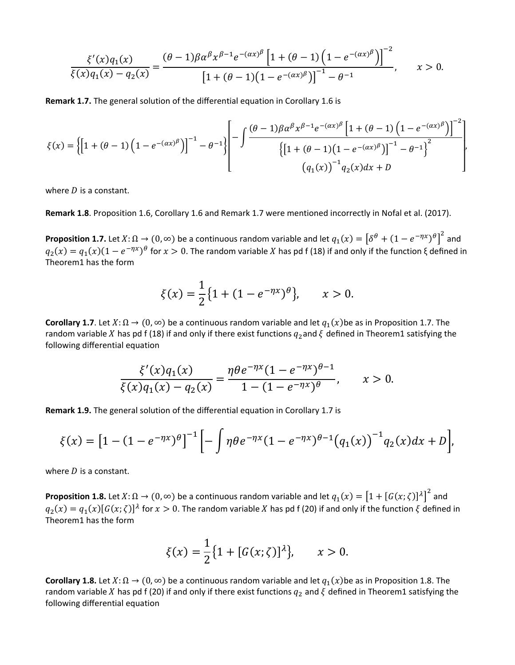$$
\frac{\xi'(x)q_1(x)}{\xi(x)q_1(x)-q_2(x)} = \frac{(\theta-1)\beta\alpha^{\beta}x^{\beta-1}e^{-(\alpha x)^{\beta}}\left[1+(\theta-1)\left(1-e^{-(\alpha x)^{\beta}}\right)\right]^{-2}}{\left[1+(\theta-1)\left(1-e^{-(\alpha x)^{\beta}}\right)\right]^{-1}-\theta^{-1}}, \qquad x > 0.
$$

**Remark 1.7.** The general solution of the differential equation in Corollary 1.6 is

$$
\xi(x) = \left\{ \left[ 1 + (\theta - 1) \left( 1 - e^{-(\alpha x)^{\beta}} \right) \right]^{-1} - \theta^{-1} \right\} \left[ - \int \frac{(\theta - 1)\beta \alpha^{\beta} x^{\beta - 1} e^{-(\alpha x)^{\beta}} \left[ 1 + (\theta - 1) \left( 1 - e^{-(\alpha x)^{\beta}} \right) \right]^{-2}}{\left\{ \left[ 1 + (\theta - 1) \left( 1 - e^{-(\alpha x)^{\beta}} \right) \right]^{-1} - \theta^{-1} \right\}^{2}} \right\} \frac{d\alpha}{\left( q_1(x) \right)^{-1} q_2(x) dx + D}
$$

where  $D$  is a constant.

**Remark 1.8**. Proposition 1.6, Corollary 1.6 and Remark 1.7 were mentioned incorrectly in Nofal et al. (2017).

**Proposition 1.7.** Let  $X: \Omega \to (0, \infty)$  be a continuous random variable and let  $q_1(x) = [\delta^{\theta} + (1 - e^{-\eta x})^{\theta}]^2$  and  $q_2(x) = q_1(x)(1 - e^{-\eta x})^{\theta}$  for  $x > 0$ . The random variable X has pd f (18) if and only if the function ξ defined in Theorem1 has the form

$$
\xi(x) = \frac{1}{2} \{ 1 + (1 - e^{-\eta x})^{\theta} \}, \qquad x > 0.
$$

**Corollary 1.7**. Let  $X: \Omega \to (0, \infty)$  be a continuous random variable and let  $q_1(x)$ be as in Proposition 1.7. The random variable X has pd f (18) if and only if there exist functions  $q_2$  and  $\zeta$  defined in Theorem1 satisfying the following differential equation

$$
\frac{\xi'(x)q_1(x)}{\xi(x)q_1(x)-q_2(x)} = \frac{\eta \theta e^{-\eta x}(1-e^{-\eta x})^{\theta-1}}{1-(1-e^{-\eta x})^{\theta}}, \qquad x > 0.
$$

**Remark 1.9.** The general solution of the differential equation in Corollary 1.7 is

$$
\xi(x) = [1 - (1 - e^{-\eta x})^{\theta}]^{-1} \left[ -\int \eta \theta e^{-\eta x} (1 - e^{-\eta x})^{\theta - 1} (q_1(x))^{-1} q_2(x) dx + D \right],
$$

where  $D$  is a constant.

**Proposition 1.8.** Let  $X: \Omega \to (0, \infty)$  be a continuous random variable and let  $q_1(x) = [1 + [G(x;\zeta)]^{\lambda}]^2$  and  $q_2(x) = q_1(x)[G(x;\zeta)]^{\lambda}$  for  $x > 0$ . The random variable X has pd f (20) if and only if the function  $\xi$  defined in Theorem1 has the form

$$
\xi(x) = \frac{1}{2} \{ 1 + [G(x; \zeta)]^{\lambda} \}, \qquad x > 0.
$$

**Corollary 1.8.** Let  $X: \Omega \to (0, \infty)$  be a continuous random variable and let  $q_1(x)$ be as in Proposition 1.8. The random variable X has pd f (20) if and only if there exist functions  $q_2$  and  $\xi$  defined in Theorem1 satisfying the following differential equation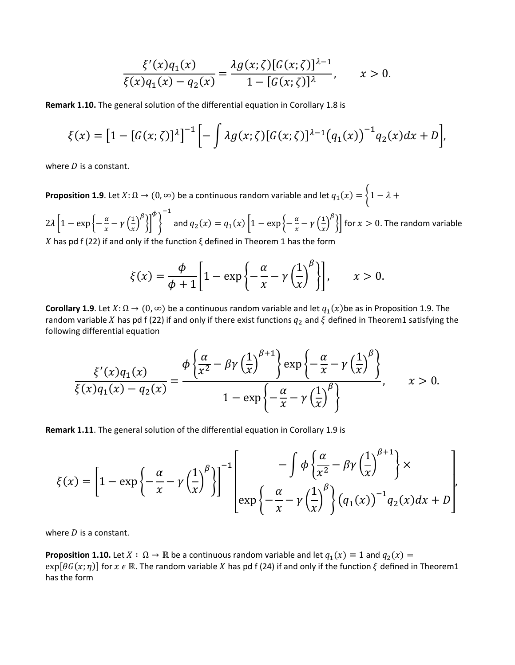$$
\frac{\xi'(x)q_1(x)}{\xi(x)q_1(x) - q_2(x)} = \frac{\lambda g(x;\zeta)[G(x;\zeta)]^{\lambda - 1}}{1 - [G(x;\zeta)]^{\lambda}}, \qquad x > 0.
$$

**Remark 1.10.** The general solution of the differential equation in Corollary 1.8 is

$$
\xi(x) = [1 - [G(x;\zeta)]^{\lambda}]^{-1} \left[ - \int \lambda g(x;\zeta) [G(x;\zeta)]^{\lambda - 1} (q_1(x))^{-1} q_2(x) dx + D \right],
$$

where  $D$  is a constant.

**Proposition 1.9**. Let  $X: \Omega \to (0, \infty)$  be a continuous random variable and let  $q_1(x) = \begin{cases} 1 - \lambda + \lambda \end{cases}$ 

 $2\lambda \left| 1 - \exp \left\{ -\frac{\alpha}{x} - \gamma \left( \frac{1}{x} \right) \right\} \right|$ ß �� φ � −1 and  $q_2(x) = q_1(x) \left| 1 - \exp\left\{-\frac{\alpha}{x} - \gamma\left(\frac{1}{x}\right)\right\}\right|$  $\begin{bmatrix} \beta \\ \end{bmatrix}$  for  $x > 0$ . The random variable X has pd f (22) if and only if the function ξ defined in Theorem 1 has the form

$$
\xi(x) = \frac{\phi}{\phi + 1} \left[ 1 - \exp\left\{-\frac{\alpha}{x} - \gamma \left(\frac{1}{x}\right)^{\beta}\right\} \right], \qquad x > 0.
$$

**Corollary 1.9**. Let  $X: \Omega \to (0, \infty)$  be a continuous random variable and let  $q_1(x)$ be as in Proposition 1.9. The random variable X has pd f (22) if and only if there exist functions  $q_2$  and  $\zeta$  defined in Theorem1 satisfying the following differential equation

$$
\frac{\xi'(x)q_1(x)}{\xi(x)q_1(x)-q_2(x)} = \frac{\phi\left\{\frac{\alpha}{x^2}-\beta\gamma\left(\frac{1}{x}\right)^{\beta+1}\right\}\exp\left\{-\frac{\alpha}{x}-\gamma\left(\frac{1}{x}\right)^{\beta}\right\}}{1-\exp\left\{-\frac{\alpha}{x}-\gamma\left(\frac{1}{x}\right)^{\beta}\right\}}, \qquad x > 0.
$$

**Remark 1.11**. The general solution of the differential equation in Corollary 1.9 is

$$
\xi(x) = \left[1 - \exp\left\{-\frac{\alpha}{x} - \gamma \left(\frac{1}{x}\right)^{\beta}\right\}\right]^{-1} \left[\exp\left\{-\frac{\alpha}{x} - \gamma \left(\frac{1}{x}\right)^{\beta}\right\} \left(\alpha_1(x)\right)^{-1} q_2(x) dx + D\right]
$$

where  $D$  is a constant.

**Proposition 1.10.** Let  $X : \Omega \to \mathbb{R}$  be a continuous random variable and let  $q_1(x) \equiv 1$  and  $q_2(x) =$  $exp[*θG*(*x*; *η*)]$  for  $x \in \mathbb{R}$ . The random variable  $X$  has pd f (24) if and only if the function  $\xi$  defined in Theorem1 has the form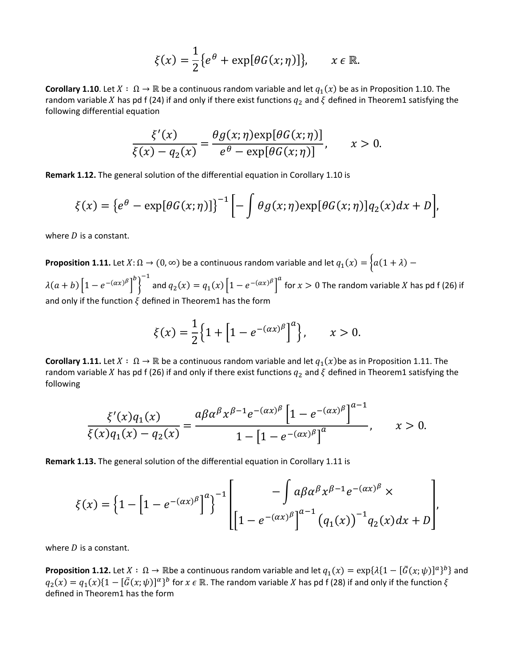$$
\xi(x) = \frac{1}{2} \{ e^{\theta} + \exp[\theta G(x; \eta)] \}, \qquad x \in \mathbb{R}.
$$

**Corollary 1.10**. Let  $X : \Omega \to \mathbb{R}$  be a continuous random variable and let  $q_1(x)$  be as in Proposition 1.10. The random variable X has pd f (24) if and only if there exist functions  $q_2$  and  $\xi$  defined in Theorem1 satisfying the following differential equation

$$
\frac{\xi'(x)}{\xi(x) - q_2(x)} = \frac{\theta g(x; \eta) \exp[\theta G(x; \eta)]}{e^{\theta} - \exp[\theta G(x; \eta)]}, \qquad x > 0.
$$

**Remark 1.12.** The general solution of the differential equation in Corollary 1.10 is

$$
\xi(x) = \{e^{\theta} - \exp[\theta G(x;\eta)]\}^{-1} \left[ -\int \theta g(x;\eta) \exp[\theta G(x;\eta)] q_2(x) dx + D \right],
$$

where  $D$  is a constant.

**Proposition 1.11.** Let  $X: \Omega \to (0, \infty)$  be a continuous random variable and let  $q_1(x) = \begin{cases} a(1 + \lambda) - b \end{cases}$ 

 $\lambda(a + b) \left[1 - e^{-(\alpha x)^{\beta}}\right]^{b}$ �  $\int_0^{-1}$  and  $q_2(x) = q_1(x) \left[1 - e^{-(\alpha x) \beta}\right]^a$  for  $x > 0$  The random variable *X* has pd f (26) if and only if the function  $\xi$  defined in Theorem1 has the form

$$
\xi(x) = \frac{1}{2} \Big\{ 1 + \Big[ 1 - e^{-(\alpha x)^{\beta}} \Big]^a \Big\}, \qquad x > 0.
$$

**Corollary 1.11.** Let  $X : \Omega \to \mathbb{R}$  be a continuous random variable and let  $q_1(x)$ be as in Proposition 1.11. The random variable X has pd f (26) if and only if there exist functions  $q_2$  and  $\xi$  defined in Theorem1 satisfying the following

$$
\frac{\xi'(x)q_1(x)}{\xi(x)q_1(x)-q_2(x)} = \frac{a\beta\alpha^{\beta}x^{\beta-1}e^{-(\alpha x)^{\beta}}\left[1-e^{-(\alpha x)^{\beta}}\right]^{a-1}}{1-\left[1-e^{-(\alpha x)^{\beta}}\right]^a}, \qquad x > 0.
$$

**Remark 1.13.** The general solution of the differential equation in Corollary 1.11 is

$$
\xi(x) = \left\{1 - \left[1 - e^{-(\alpha x)^{\beta}}\right]^{a}\right\}^{-1} \left[\frac{-\int a\beta \alpha^{\beta} x^{\beta-1} e^{-(\alpha x)^{\beta}} \times \left[1 - e^{-(\alpha x)^{\beta}}\right]^{a-1} \left(q_{1}(x)\right)^{-1} q_{2}(x) dx + D\right],
$$

where  $D$  is a constant.

**Proposition 1.12.** Let  $X: \Omega \to \mathbb{R}$  be a continuous random variable and let  $q_1(x) = \exp{\lambda \{1 - [G(x; \psi)]^a\}}^b$  and  $q_2(x) = q_1(x)\{1 - [G(x; \psi)]^\alpha\}$ <sup>b</sup> for  $x \in \mathbb{R}$ . The random variable X has pd f (28) if and only if the function  $\xi$ defined in Theorem1 has the form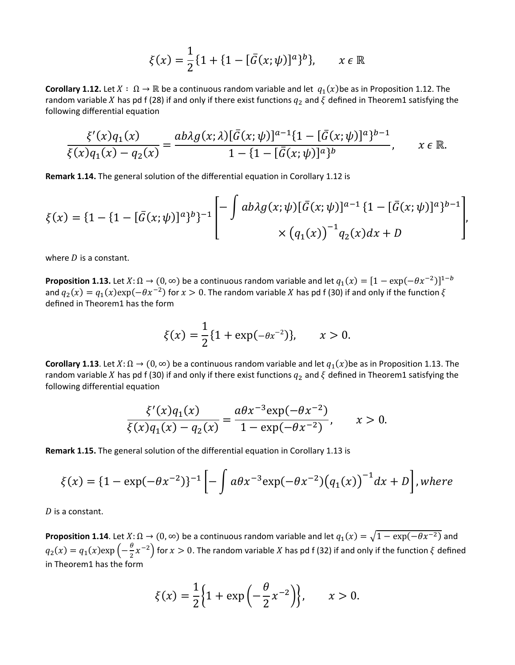$$
\xi(x) = \frac{1}{2} \{ 1 + \{ 1 - [\bar{G}(x; \psi)]^a \}^b \}, \qquad x \in \mathbb{R}
$$

**Corollary 1.12.** Let  $X : \Omega \to \mathbb{R}$  be a continuous random variable and let  $q_1(x)$ be as in Proposition 1.12. The random variable X has pd f (28) if and only if there exist functions  $q_2$  and  $\xi$  defined in Theorem1 satisfying the following differential equation

$$
\frac{\xi'(x)q_1(x)}{\xi(x)q_1(x)-q_2(x)}=\frac{ab\lambda g(x;\lambda)[\bar{G}(x;\psi)]^{a-1}\{1-[\bar{G}(x;\psi)]^a\}^{b-1}}{1-\{1-[\bar{G}(x;\psi)]^a\}^b}, \qquad x \in \mathbb{R}.
$$

**Remark 1.14.** The general solution of the differential equation in Corollary 1.12 is

$$
\xi(x) = \{1 - \{1 - [\bar{G}(x; \psi)]^a\}^{b}\}^{-1} \left[ - \int ab\lambda g(x; \psi) [\bar{G}(x; \psi)]^{a-1} \{1 - [\bar{G}(x; \psi)]^a\}^{b-1} \right],
$$
  
 
$$
\times (q_1(x))^{-1} q_2(x) dx + D
$$

where  $D$  is a constant.

**Proposition 1.13.** Let  $X: \Omega \to (0, \infty)$  be a continuous random variable and let  $q_1(x) = [1 - \exp(-\theta x^{-2})]^{1-b}$ and  $q_2(x) = q_1(x) \exp(-\theta x^{-2})$  for  $x > 0$ . The random variable X has pd f (30) if and only if the function  $\xi$ defined in Theorem1 has the form

$$
\xi(x) = \frac{1}{2} \{ 1 + \exp(-\theta x^{-2}) \}, \qquad x > 0.
$$

**Corollary 1.13**. Let  $X: \Omega \to (0, \infty)$  be a continuous random variable and let  $q_1(x)$ be as in Proposition 1.13. The random variable X has pd f (30) if and only if there exist functions  $q_2$  and  $\xi$  defined in Theorem1 satisfying the following differential equation

$$
\frac{\xi'(x)q_1(x)}{\xi(x)q_1(x) - q_2(x)} = \frac{a\theta x^{-3} \exp(-\theta x^{-2})}{1 - \exp(-\theta x^{-2})}, \qquad x > 0.
$$

**Remark 1.15.** The general solution of the differential equation in Corollary 1.13 is

$$
\xi(x) = \{1 - \exp(-\theta x^{-2})\}^{-1} \left[ -\int a\theta x^{-3} \exp(-\theta x^{-2}) (q_1(x))^{-1} dx + D \right], \text{where}
$$

 $D$  is a constant.

**Proposition 1.14**. Let  $X: \Omega \to (0, \infty)$  be a continuous random variable and let  $q_1(x) = \sqrt{1 - \exp(-\theta x^{-2})}$  and  $q_2(x) = q_1(x) \exp\left(-\frac{\theta}{2}x^{-2}\right)$  for  $x > 0$ . The random variable X has pd f (32) if and only if the function  $\xi$  defined in Theorem1 has the form

$$
\xi(x) = \frac{1}{2} \{ 1 + \exp \left( -\frac{\theta}{2} x^{-2} \right) \}, \qquad x > 0.
$$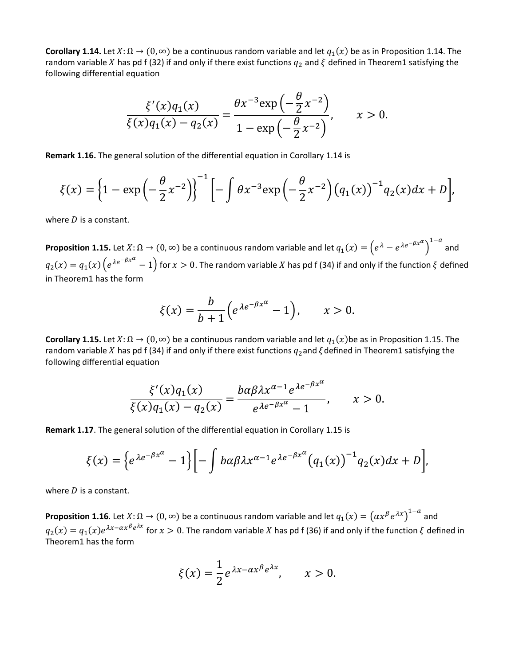**Corollary 1.14.** Let  $X: \Omega \to (0, \infty)$  be a continuous random variable and let  $q_1(x)$  be as in Proposition 1.14. The random variable X has pd f (32) if and only if there exist functions  $q_2$  and  $\xi$  defined in Theorem1 satisfying the following differential equation

$$
\frac{\xi'(x)q_1(x)}{\xi(x)q_1(x)-q_2(x)} = \frac{\theta x^{-3} \exp\left(-\frac{\theta}{2}x^{-2}\right)}{1-\exp\left(-\frac{\theta}{2}x^{-2}\right)}, \qquad x > 0.
$$

**Remark 1.16.** The general solution of the differential equation in Corollary 1.14 is

$$
\xi(x) = \left\{1 - \exp\left(-\frac{\theta}{2}x^{-2}\right)\right\}^{-1} \left[-\int \theta x^{-3} \exp\left(-\frac{\theta}{2}x^{-2}\right) \left(q_1(x)\right)^{-1} q_2(x) dx + D\right],
$$

where  $D$  is a constant.

**Proposition 1.15.** Let  $X: \Omega \to (0, \infty)$  be a continuous random variable and let  $q_1(x) = \left(e^{\lambda} - e^{\lambda e^{-\beta x^{\alpha}}}\right)$ 1− and  $q_2(x)=q_1(x)\left(e^{\lambda e^{-\beta x^{\alpha}}}-1\right)$  for  $x>0$ . The random variable  $X$  has pd f (34) if and only if the function  $\xi$  defined in Theorem1 has the form

$$
\xi(x) = \frac{b}{b+1} \Big( e^{\lambda e^{-\beta x^{\alpha}}} - 1 \Big), \qquad x > 0.
$$

**Corollary 1.15.** Let  $X: \Omega \to (0, \infty)$  be a continuous random variable and let  $q_1(x)$ be as in Proposition 1.15. The random variable X has pd f (34) if and only if there exist functions  $q_2$  and  $\zeta$  defined in Theorem1 satisfying the following differential equation

$$
\frac{\xi'(x)q_1(x)}{\xi(x)q_1(x)-q_2(x)}=\frac{b\alpha\beta\lambda x^{\alpha-1}e^{\lambda e^{-\beta x^{\alpha}}}}{e^{\lambda e^{-\beta x^{\alpha}}}-1}, \qquad x>0.
$$

**Remark 1.17**. The general solution of the differential equation in Corollary 1.15 is

$$
\xi(x) = \left\{ e^{\lambda e^{-\beta x^{\alpha}}} - 1 \right\} \left[ - \int b\alpha \beta \lambda x^{\alpha-1} e^{\lambda e^{-\beta x^{\alpha}}} \left( q_1(x) \right)^{-1} q_2(x) dx + D \right],
$$

where  $D$  is a constant.

**Proposition 1.16**. Let  $X: \Omega \to (0, \infty)$  be a continuous random variable and let  $q_1(x) = (\alpha x^{\beta} e^{\lambda x})^{1-a}$  and  $q_2(x) = q_1(x)e^{\lambda x - \alpha x^{\beta}e^{\lambda x}}$  for  $x > 0$ . The random variable X has pd f (36) if and only if the function  $\xi$  defined in Theorem1 has the form

$$
\xi(x) = \frac{1}{2} e^{\lambda x - \alpha x^{\beta} e^{\lambda x}}, \qquad x > 0.
$$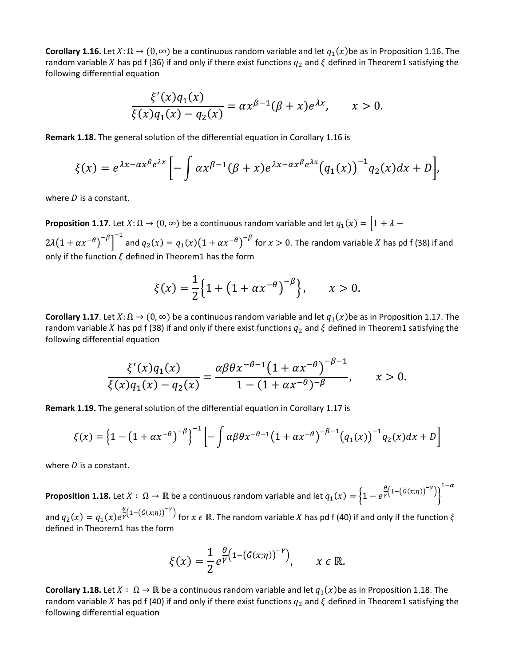**Corollary 1.16.** Let  $X: \Omega \to (0, \infty)$  be a continuous random variable and let  $q_1(x)$ be as in Proposition 1.16. The random variable X has pd f (36) if and only if there exist functions  $q_2$  and  $\zeta$  defined in Theorem1 satisfying the following differential equation

$$
\frac{\xi'(x)q_1(x)}{\xi(x)q_1(x) - q_2(x)} = \alpha x^{\beta - 1}(\beta + x)e^{\lambda x}, \qquad x > 0.
$$

**Remark 1.18.** The general solution of the differential equation in Corollary 1.16 is

$$
\xi(x) = e^{\lambda x - \alpha x^{\beta} e^{\lambda x}} \left[ - \int \alpha x^{\beta - 1} (\beta + x) e^{\lambda x - \alpha x^{\beta} e^{\lambda x}} (q_1(x))^{-1} q_2(x) dx + D \right],
$$

where  $D$  is a constant.

**Proposition 1.17**. Let  $X: \Omega \to (0, \infty)$  be a continuous random variable and let  $q_1(x) = \left[1 + \lambda - \frac{1}{x}\right]$  $2\lambda(1+\alpha x^{-\theta})^{-\beta}$  $\int_0^{-1}$  and  $q_2(x) = q_1(x)(1 + \alpha x^{-\theta})^{-\beta}$  for  $x > 0$ . The random variable X has pd f (38) if and only if the function  $\xi$  defined in Theorem1 has the form

$$
\xi(x) = \frac{1}{2} \left\{ 1 + \left( 1 + \alpha x^{-\theta} \right)^{-\beta} \right\}, \qquad x > 0.
$$

**Corollary 1.17**. Let  $X: \Omega \to (0, \infty)$  be a continuous random variable and let  $q_1(x)$ be as in Proposition 1.17. The random variable X has pd f (38) if and only if there exist functions  $q_2$  and  $\xi$  defined in Theorem1 satisfying the following differential equation

$$
\frac{\xi'(x)q_1(x)}{\xi(x)q_1(x)-q_2(x)} = \frac{\alpha\beta\theta x^{-\theta-1}(1+\alpha x^{-\theta})^{-\beta-1}}{1-(1+\alpha x^{-\theta})^{-\beta}}, \qquad x > 0.
$$

**Remark 1.19.** The general solution of the differential equation in Corollary 1.17 is

$$
\xi(x) = \left\{1 - \left(1 + \alpha x^{-\theta}\right)^{-\beta}\right\}^{-1} \left[-\int \alpha \beta \theta x^{-\theta - 1} \left(1 + \alpha x^{-\theta}\right)^{-\beta - 1} \left(q_1(x)\right)^{-1} q_2(x) dx + D\right]
$$

where  $D$  is a constant.

**Proposition 1.18.** Let  $X:\ \Omega\to\mathbb R$  be a continuous random variable and let  $q_1(x)=\Big\{1-e^{\frac{\theta}{Y}\left(1-\left(\bar{G}(x;\eta)\right)^{-Y}\right)}\Big\}$  $1-\alpha$ 

and  $q_2(x) = q_1(x)e^{\frac{\theta}{Y}(1-(\bar{G}(x;\eta))^{-Y})}$  for  $x \in \mathbb{R}$ . The random variable X has pd f (40) if and only if the function  $\xi$ defined in Theorem1 has the form

$$
\xi(x) = \frac{1}{2} e^{\frac{\theta}{\gamma} \left(1 - \left(\bar{G}(x;\eta)\right)^{-\gamma}\right)}, \qquad x \in \mathbb{R}.
$$

**Corollary 1.18.** Let  $X : \Omega \to \mathbb{R}$  be a continuous random variable and let  $q_1(x)$ be as in Proposition 1.18. The random variable X has pd f (40) if and only if there exist functions  $q_2$  and  $\xi$  defined in Theorem1 satisfying the following differential equation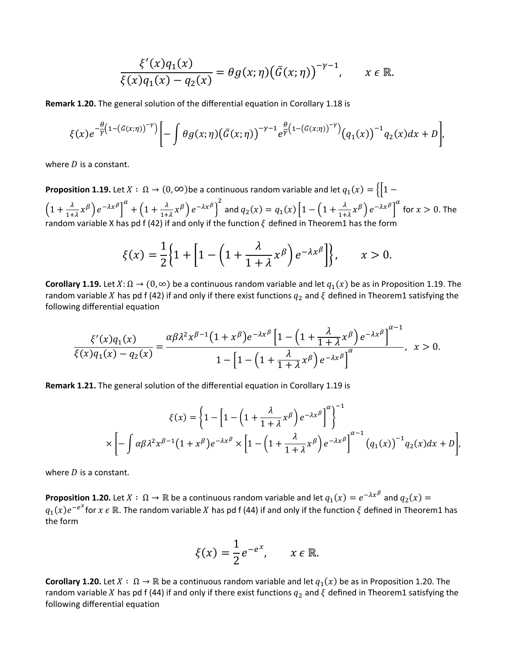$$
\frac{\xi'(x)q_1(x)}{\xi(x)q_1(x)-q_2(x)}=\theta g(x;\eta)\big(\bar{G}(x;\eta)\big)^{-\gamma-1},\qquad x\in\mathbb{R}.
$$

**Remark 1.20.** The general solution of the differential equation in Corollary 1.18 is

$$
\xi(x)e^{-\frac{\theta}{\gamma}(1-(\bar{G}(x;\eta))^{-\gamma})}\bigg[-\int \theta g(x;\eta)\big(\bar{G}(x;\eta)\big)^{-\gamma-1}e^{\frac{\theta}{\gamma}(1-(\bar{G}(x;\eta))^{-\gamma})}\big(q_1(x)\big)^{-1}q_2(x)dx+D\bigg],
$$

where  $D$  is a constant.

**Proposition 1.19.** Let  $X : \Omega \to (0, \infty)$  be a continuous random variable and let  $q_1(x) = \{ |1 - \emptyset| | 1 - \emptyset | 1 \}$  $\left(1+\frac{\lambda}{1+\lambda}x^{\beta}\right)e^{-\lambda x^{\beta}}$  $\alpha^{\alpha} + \left(1 + \frac{\lambda}{1+\lambda}x^{\beta}\right)e^{-\lambda x^{\beta}}$  $\int^2$  and  $q_2(x) = q_1(x) \left[ 1 - \left( 1 + \frac{\lambda}{1 + \lambda} x^{\beta} \right) e^{-\lambda x^{\beta}} \right]$  $\int_{0}^{\alpha}$  for  $x > 0$ . The random variable X has pd f (42) if and only if the function  $\zeta$  defined in Theorem1 has the form

$$
\xi(x) = \frac{1}{2} \Big\{ 1 + \Big[ 1 - \Big( 1 + \frac{\lambda}{1 + \lambda} x^{\beta} \Big) e^{-\lambda x^{\beta}} \Big] \Big\}, \qquad x > 0.
$$

**Corollary 1.19.** Let  $X: \Omega \to (0, \infty)$  be a continuous random variable and let  $q_1(x)$  be as in Proposition 1.19. The random variable X has pd f (42) if and only if there exist functions  $q_2$  and  $\zeta$  defined in Theorem1 satisfying the following differential equation

$$
\frac{\xi'(x)q_1(x)}{\xi(x)q_1(x)-q_2(x)}=\frac{\alpha\beta\lambda^2x^{\beta-1}(1+x^{\beta})e^{-\lambda x^{\beta}}\left[1-\left(1+\frac{\lambda}{1+\lambda}x^{\beta}\right)e^{-\lambda x^{\beta}}\right]^{\alpha-1}}{1-\left[1-\left(1+\frac{\lambda}{1+\lambda}x^{\beta}\right)e^{-\lambda x^{\beta}}\right]^{\alpha}},\ \ x>0.
$$

**Remark 1.21.** The general solution of the differential equation in Corollary 1.19 is

$$
\xi(x) = \left\{ 1 - \left[ 1 - \left( 1 + \frac{\lambda}{1 + \lambda} x^{\beta} \right) e^{-\lambda x^{\beta}} \right]^{a} \right\}^{-1}
$$

$$
\times \left[ - \int \alpha \beta \lambda^{2} x^{\beta - 1} (1 + x^{\beta}) e^{-\lambda x^{\beta}} \times \left[ 1 - \left( 1 + \frac{\lambda}{1 + \lambda} x^{\beta} \right) e^{-\lambda x^{\beta}} \right]^{a - 1} (q_{1}(x))^{-1} q_{2}(x) dx + D \right],
$$

where  $D$  is a constant.

**Proposition 1.20.** Let  $X: \Omega \to \mathbb{R}$  be a continuous random variable and let  $q_1(x) = e^{-\lambda x^{\beta}}$  and  $q_2(x) =$  $q_1(x)e^{-e^x}$  for  $x \in \mathbb{R}$ . The random variable  $X$  has pd f (44) if and only if the function  $\xi$  defined in Theorem1 has the form

$$
\xi(x) = \frac{1}{2}e^{-e^x}, \qquad x \in \mathbb{R}.
$$

**Corollary 1.20.** Let  $X : \Omega \to \mathbb{R}$  be a continuous random variable and let  $q_1(x)$  be as in Proposition 1.20. The random variable X has pd f (44) if and only if there exist functions  $q_2$  and  $\zeta$  defined in Theorem1 satisfying the following differential equation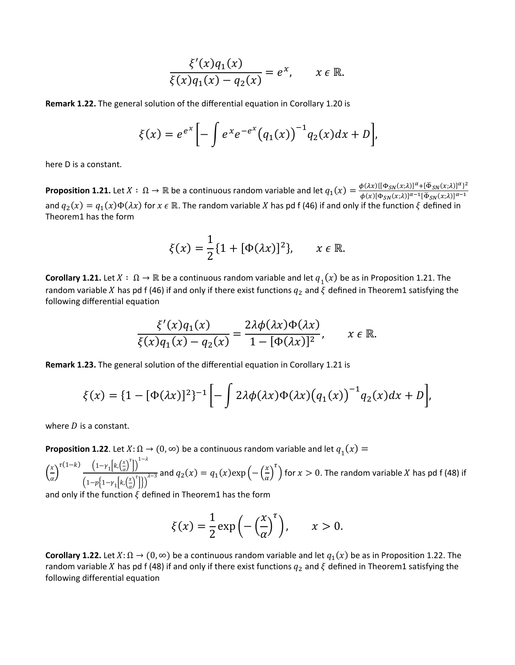$$
\frac{\xi'(x)q_1(x)}{\xi(x)q_1(x)-q_2(x)}=e^x, \qquad x \in \mathbb{R}.
$$

**Remark 1.22.** The general solution of the differential equation in Corollary 1.20 is

$$
\xi(x) = e^{e^x} \left[ - \int e^x e^{-e^x} (q_1(x))^{-1} q_2(x) dx + D \right],
$$

here D is a constant.

**Proposition 1.21.** Let  $X: \ \Omega \to \mathbb{R}$  be a continuous random variable and let  $q_1(x) = \frac{\phi(\lambda x) \{[\Phi_{SN}(x;\lambda)]^{\alpha} + [\overline{\Phi}_{SN}(x;\lambda)]^{\alpha}\}^2}{\phi(x)[\Phi_{SN}(x;\lambda)]^{\alpha-1}[\overline{\Phi}_{SN}(x;\lambda)]^{\alpha-1}}$ and  $q_2(x) = q_1(x)\Phi(\lambda x)$  for  $x \in \mathbb{R}$ . The random variable X has pd f (46) if and only if the function  $\xi$  defined in Theorem1 has the form

$$
\xi(x) = \frac{1}{2} \{1 + [\Phi(\lambda x)]^2\}, \qquad x \in \mathbb{R}.
$$

**Corollary 1.21.** Let  $X : \Omega \to \mathbb{R}$  be a continuous random variable and let  $q_1(x)$  be as in Proposition 1.21. The random variable X has pd f (46) if and only if there exist functions  $q_2$  and  $\xi$  defined in Theorem1 satisfying the following differential equation

$$
\frac{\xi'(x)q_1(x)}{\xi(x)q_1(x)-q_2(x)}=\frac{2\lambda\phi(\lambda x)\Phi(\lambda x)}{1-[\Phi(\lambda x)]^2}, \qquad x \in \mathbb{R}.
$$

**Remark 1.23.** The general solution of the differential equation in Corollary 1.21 is

$$
\xi(x) = \left\{1 - [\Phi(\lambda x)]^2\right\}^{-1} \left[-\int 2\lambda \phi(\lambda x) \Phi(\lambda x) \left(q_1(x)\right)^{-1} q_2(x) dx + D\right],
$$

where  $D$  is a constant.

**Proposition 1.22**. Let  $X: \Omega \to (0, \infty)$  be a continuous random variable and let  $q_1(x) =$ 

 $\Big(\frac{x}{a}\Big)$  $\frac{1}{\alpha}$  $\tau(1-k)$   $\left(1-\gamma_1\right|k,\left(\frac{x}{\alpha}\right)$  $\left[\frac{x}{\alpha}\right)^{\tau}$ ])<sup>1- $\lambda$ </sup>  $\left(1-p\left\{1-\gamma_1\right\vert k,\left(\frac{x}{\alpha}\right)\right\}$  $\left[\frac{x}{\alpha}\right)^{\tau}$ ]})  $\frac{1}{\lambda-3}$  and  $q_2(x) = q_1(x) \exp\left(-\left(\frac{x}{\alpha}\right)\right)$  $\int_0^{\tau}$  for  $x > 0$ . The random variable  $X$  has pd f (48) if

and only if the function  $\xi$  defined in Theorem1 has the form

$$
\xi(x) = \frac{1}{2} \exp\left(-\left(\frac{x}{\alpha}\right)^{\tau}\right), \qquad x > 0.
$$

**Corollary 1.22.** Let  $X: \Omega \to (0, \infty)$  be a continuous random variable and let  $q_1(x)$  be as in Proposition 1.22. The random variable X has pd f (48) if and only if there exist functions  $q_2$  and  $\xi$  defined in Theorem1 satisfying the following differential equation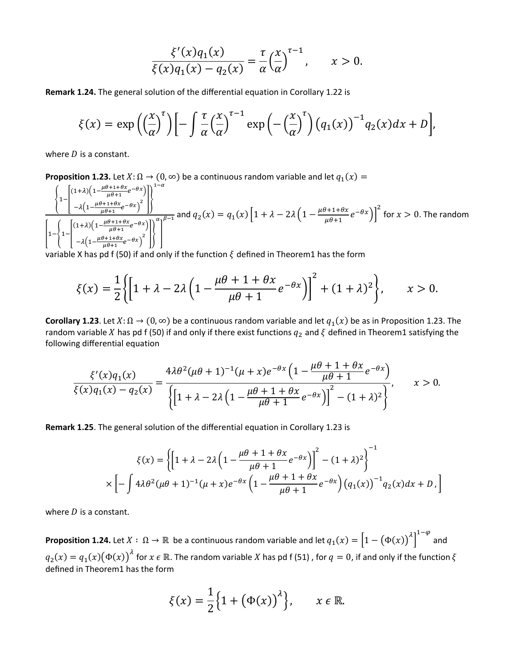$$
\frac{\xi'(x)q_1(x)}{\xi(x)q_1(x)-q_2(x)} = \frac{\tau}{\alpha} \left(\frac{x}{\alpha}\right)^{\tau-1}, \qquad x > 0.
$$

**Remark 1.24.** The general solution of the differential equation in Corollary 1.22 is

$$
\xi(x) = \exp\left(\left(\frac{x}{\alpha}\right)^{\tau}\right) \left[-\int \frac{\tau}{\alpha} \left(\frac{x}{\alpha}\right)^{\tau-1} \exp\left(-\left(\frac{x}{\alpha}\right)^{\tau}\right) \left(q_1(x)\right)^{-1} q_2(x) dx + D\right],
$$

where  $D$  is a constant.

**Proposition 1.23.** Let  $X: \Omega \to (0, \infty)$  be a continuous random variable and let  $q_1(x)$  =

$$
\left\{\frac{1-\left[\frac{(1+\lambda)\left(1-\frac{\mu\theta+1+\theta x}{\mu\theta+1}e^{-\theta x}\right)}{-\lambda\left(1-\frac{\mu\theta+1+\theta x}{\mu\theta+1}e^{-\theta x}\right)^2}\right]\right\}^{1-\alpha}}{-\lambda\left(1-\frac{\mu\theta+1+\theta x}{\mu\theta+1}e^{-\theta x}\right)^2}\right\}^{\alpha-\beta-1} \text{ and } q_2(x) = q_1(x)\left[1+\lambda-2\lambda\left(1-\frac{\mu\theta+1+\theta x}{\mu\theta+1}e^{-\theta x}\right)\right]^2 \text{ for } x > 0. \text{ The random variable } x \text{ has a constant value.}
$$

variable X has pd f (50) if and only if the function  $\xi$  defined in Theorem1 has the form

$$
\xi(x) = \frac{1}{2} \left\{ \left[ 1 + \lambda - 2\lambda \left( 1 - \frac{\mu\theta + 1 + \theta x}{\mu\theta + 1} e^{-\theta x} \right) \right]^2 + (1 + \lambda)^2 \right\}, \qquad x > 0.
$$

**Corollary 1.23**. Let  $X: \Omega \to (0, \infty)$  be a continuous random variable and let  $q_1(x)$  be as in Proposition 1.23. The random variable X has pd f (50) if and only if there exist functions  $q_2$  and  $\zeta$  defined in Theorem1 satisfying the following differential equation

$$
\frac{\xi'(x)q_1(x)}{\xi(x)q_1(x) - q_2(x)} = \frac{4\lambda\theta^2(\mu\theta + 1)^{-1}(\mu + x)e^{-\theta x}\left(1 - \frac{\mu\theta + 1 + \theta x}{\mu\theta + 1}e^{-\theta x}\right)}{\left\{\left[1 + \lambda - 2\lambda\left(1 - \frac{\mu\theta + 1 + \theta x}{\mu\theta + 1}e^{-\theta x}\right)\right]^2 - (1 + \lambda)^2\right\}}, \qquad x > 0.
$$

**Remark 1.25**. The general solution of the differential equation in Corollary 1.23 is

$$
\xi(x) = \left\{ \left[ 1 + \lambda - 2\lambda \left( 1 - \frac{\mu\theta + 1 + \theta x}{\mu\theta + 1} e^{-\theta x} \right) \right]^2 - (1 + \lambda)^2 \right\}^{-1}
$$

$$
\times \left[ -\int 4\lambda \theta^2 (\mu\theta + 1)^{-1} (\mu + x) e^{-\theta x} \left( 1 - \frac{\mu\theta + 1 + \theta x}{\mu\theta + 1} e^{-\theta x} \right) \left( q_1(x) \right)^{-1} q_2(x) dx + D \right]
$$

where  $D$  is a constant.

**Proposition 1.24.** Let  $X: \ \Omega \to \mathbb{R}$  be a continuous random variable and let  $q_1(x) = \left[1 - (\Phi(x))^{A}\right]$ 1− and  $q_2(x)=q_1(x)\big(\Phi(x)\big)^{\Lambda}$  for  $x\in\mathbb R.$  The random variable  $X$  has pd f (51) , for  $q=0$ , if and only if the function  $\xi$ defined in Theorem1 has the form

$$
\xi(x) = \frac{1}{2} \Big\{ 1 + \big(\Phi(x)\big)^{\lambda}\Big\}, \qquad x \in \mathbb{R}.
$$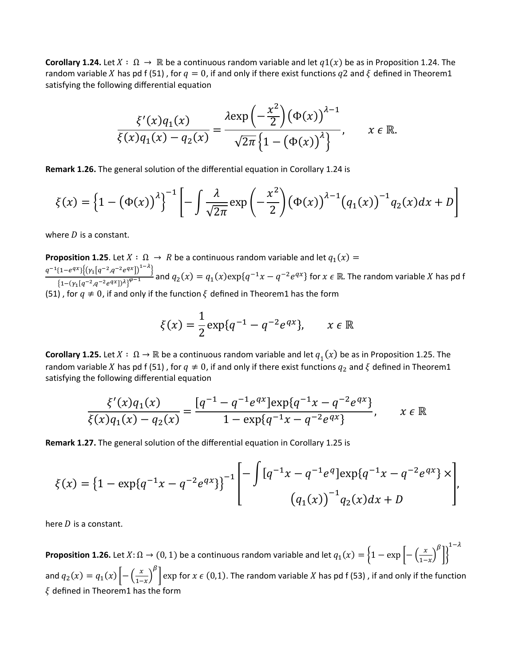**Corollary 1.24.** Let  $X: \Omega \to \mathbb{R}$  be a continuous random variable and let  $q_1(x)$  be as in Proposition 1.24. The random variable X has pd f (51), for  $q = 0$ , if and only if there exist functions  $q2$  and  $\zeta$  defined in Theorem1 satisfying the following differential equation

$$
\frac{\xi'(x)q_1(x)}{\xi(x)q_1(x)-q_2(x)}=\frac{\lambda \exp\left(-\frac{x^2}{2}\right)\left(\Phi(x)\right)^{\lambda-1}}{\sqrt{2\pi}\left\{1-\left(\Phi(x)\right)^{\lambda}\right\}}, \qquad x \in \mathbb{R}.
$$

**Remark 1.26.** The general solution of the differential equation in Corollary 1.24 is

$$
\xi(x) = \left\{1 - \left(\Phi(x)\right)^{\lambda}\right\}^{-1} \left[-\int \frac{\lambda}{\sqrt{2\pi}} \exp\left(-\frac{x^2}{2}\right) \left(\Phi(x)\right)^{\lambda-1} \left(q_1(x)\right)^{-1} q_2(x) dx + D\right]
$$

where  $D$  is a constant.

**Proposition 1.25**. Let  $X : \Omega \to R$  be a continuous random variable and let  $q_1(x) =$  $q^{-1}\left\{1-e^{qx}\right\}\left\{\left(\gamma_{1}[q^{-2},q^{-2}e^{qx}]\right)^{1-\lambda}\right\}$  $\frac{(-1)^{-(1+1)(n-1)}}{(1-(\gamma_1[a^{-2},q^{-2}e^{qx}])^{\lambda})^{q-1}}$  and  $q_2(x) = q_1(x) \exp\{q^{-1}x - q^{-2}e^{qx}\}\$  for  $x \in \mathbb{R}$ . The random variable X has pd f (51), for  $q \neq 0$ , if and only if the function  $\xi$  defined in Theorem1 has the form

$$
\xi(x) = \frac{1}{2} \exp\{q^{-1} - q^{-2} e^{qx}\}, \qquad x \in \mathbb{R}
$$

**Corollary 1.25.** Let  $X : \Omega \to \mathbb{R}$  be a continuous random variable and let  $q_1(x)$  be as in Proposition 1.25. The random variable X has pd f (51), for  $q \neq 0$ , if and only if there exist functions  $q_2$  and  $\xi$  defined in Theorem1 satisfying the following differential equation

$$
\frac{\xi'(x)q_1(x)}{\xi(x)q_1(x)-q_2(x)} = \frac{[q^{-1}-q^{-1}e^{qx}]\exp\{q^{-1}x-q^{-2}e^{qx}\}}{1-\exp\{q^{-1}x-q^{-2}e^{qx}\}}, \qquad x \in \mathbb{R}
$$

**Remark 1.27.** The general solution of the differential equation in Corollary 1.25 is

$$
\xi(x) = \left\{1 - \exp\{q^{-1}x - q^{-2}e^{qx}\}\right\}^{-1} \left[ -\int [q^{-1}x - q^{-1}e^q] \exp\{q^{-1}x - q^{-2}e^{qx}\} \times \right],
$$
  

$$
(q_1(x))^{-1} q_2(x) dx + D
$$

here  $D$  is a constant.

**Proposition 1.26.** Let  $X: \Omega \to (0,1)$  be a continuous random variable and let  $q_1(x) = \left\{1 - \exp\left[-\left(\frac{x}{1-x}\right)\right]\right\}$ β  $\mathcal{I}$ 1− and  $q_2(x) = q_1(x) \left[ -\left( \frac{x}{1-x} \right) \right]$  $\int_{0}^{\beta}$  exp for  $x \in (0,1)$ . The random variable  $X$  has pd f (53) , if and only if the function  $\xi$  defined in Theorem1 has the form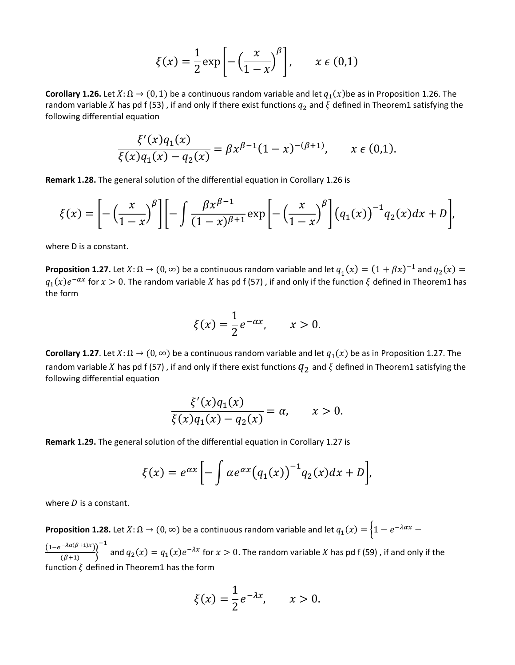$$
\xi(x) = \frac{1}{2} \exp\left[-\left(\frac{x}{1-x}\right)^{\beta}\right], \qquad x \in (0,1)
$$

**Corollary 1.26.** Let  $X: \Omega \to (0, 1)$  be a continuous random variable and let  $q_1(x)$ be as in Proposition 1.26. The random variable X has pd f (53), if and only if there exist functions  $q_2$  and  $\xi$  defined in Theorem1 satisfying the following differential equation

$$
\frac{\xi'(x)q_1(x)}{\xi(x)q_1(x)-q_2(x)} = \beta x^{\beta-1}(1-x)^{-(\beta+1)}, \qquad x \in (0,1).
$$

**Remark 1.28.** The general solution of the differential equation in Corollary 1.26 is

$$
\xi(x) = \left[ -\left(\frac{x}{1-x}\right)^{\beta} \right] \left[ -\int \frac{\beta x^{\beta-1}}{(1-x)^{\beta+1}} \exp\left[ -\left(\frac{x}{1-x}\right)^{\beta} \right] \left(q_1(x)\right)^{-1} q_2(x) dx + D \right],
$$

where D is a constant.

**Proposition 1.27.** Let  $X: \Omega \to (0, \infty)$  be a continuous random variable and let  $q_1(x) = (1 + \beta x)^{-1}$  and  $q_2(x) =$  $q_1(x)e^{-\alpha x}$  for  $x > 0$ . The random variable X has pd f (57), if and only if the function  $\xi$  defined in Theorem1 has the form

$$
\xi(x) = \frac{1}{2}e^{-\alpha x}, \qquad x > 0.
$$

**Corollary 1.27**. Let  $X: \Omega \to (0, \infty)$  be a continuous random variable and let  $q_1(x)$  be as in Proposition 1.27. The random variable X has pd f (57), if and only if there exist functions  $q_2$  and  $\xi$  defined in Theorem1 satisfying the following differential equation

$$
\frac{\xi'(x)q_1(x)}{\xi(x)q_1(x) - q_2(x)} = \alpha, \qquad x > 0.
$$

**Remark 1.29.** The general solution of the differential equation in Corollary 1.27 is

$$
\xi(x) = e^{\alpha x} \left[ - \int \alpha e^{\alpha x} (q_1(x))^{-1} q_2(x) dx + D \right],
$$

where  $D$  is a constant.

**Proposition 1.28.** Let  $X: \Omega \to (0, \infty)$  be a continuous random variable and let  $q_1(x) = \left\{1 - e^{-\lambda ax} - \right\}$  $\frac{(1-e^{-\lambda\alpha(\beta+1)x})}{(\beta+1)}$ −1 and  $q_2(x) = q_1(x)e^{-\lambda x}$  for  $x > 0$ . The random variable X has pd f (59), if and only if the function  $\xi$  defined in Theorem1 has the form

$$
\xi(x) = \frac{1}{2}e^{-\lambda x}, \qquad x > 0.
$$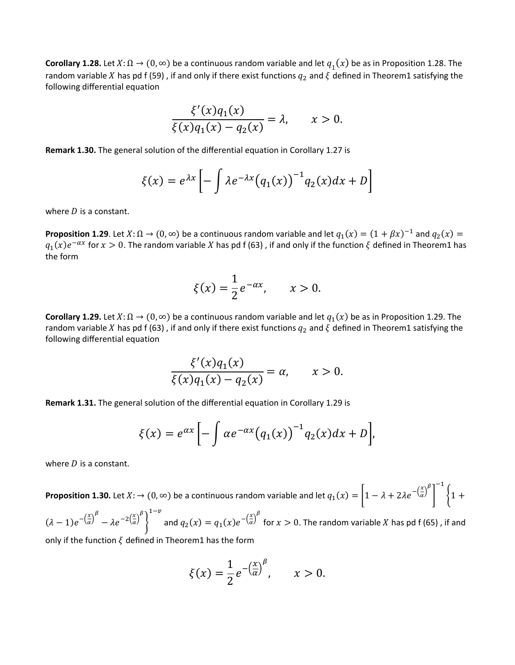**Corollary 1.28.** Let  $X: \Omega \to (0, \infty)$  be a continuous random variable and let  $q_1(x)$  be as in Proposition 1.28. The random variable X has pd f (59), if and only if there exist functions  $q_2$  and  $\xi$  defined in Theorem1 satisfying the following differential equation

$$
\frac{\xi'(x)q_1(x)}{\xi(x)q_1(x)-q_2(x)}=\lambda, \qquad x>0.
$$

**Remark 1.30.** The general solution of the differential equation in Corollary 1.27 is

$$
\xi(x) = e^{\lambda x} \left[ -\int \lambda e^{-\lambda x} (q_1(x))^{-1} q_2(x) dx + D \right]
$$

where  $D$  is a constant.

**Proposition 1.29**. Let  $X: \Omega \to (0, \infty)$  be a continuous random variable and let  $q_1(x) = (1 + \beta x)^{-1}$  and  $q_2(x) =$  $q_1(x)e^{-\alpha x}$  for  $x > 0$ . The random variable X has pd f (63), if and only if the function  $\xi$  defined in Theorem1 has the form

$$
\xi(x) = \frac{1}{2}e^{-\alpha x}, \qquad x > 0.
$$

**Corollary 1.29.** Let  $X: \Omega \to (0, \infty)$  be a continuous random variable and let  $q_1(x)$  be as in Proposition 1.29. The random variable X has pd f (63), if and only if there exist functions  $q_2$  and  $\xi$  defined in Theorem1 satisfying the following differential equation

$$
\frac{\xi'(x)q_1(x)}{\xi(x)q_1(x) - q_2(x)} = \alpha, \qquad x > 0.
$$

**Remark 1.31.** The general solution of the differential equation in Corollary 1.29 is

$$
\xi(x) = e^{\alpha x} \left[ -\int \alpha e^{-\alpha x} (q_1(x))^{-1} q_2(x) dx + D \right],
$$

where  $D$  is a constant.

**Proposition 1.30.** Let  $X: \to (0, \infty)$  be a continuous random variable and let  $q_1(x) = \left[1 - \lambda + 2\lambda e^{-\left(\frac{x}{\alpha}\right)^{\beta}}\right]$  $\bigg\}$ −1  $\{1 +$  $1-\nu$ 

 $(\lambda - 1)e^{-\left(\frac{x}{a}\right)^{\beta}} - \lambda e^{-2\left(\frac{x}{a}\right)^{\beta}}$ � and  $q_2(x) = q_1(x)e^{-\left(\frac{x}{\alpha}\right)^{\beta}}$  for  $x > 0$ . The random variable  $X$  has pd f (65) , if and only if the function  $\xi$  defined in Theorem1 has the form

$$
\xi(x) = \frac{1}{2} e^{-\left(\frac{x}{\alpha}\right)^{\beta}}, \qquad x > 0.
$$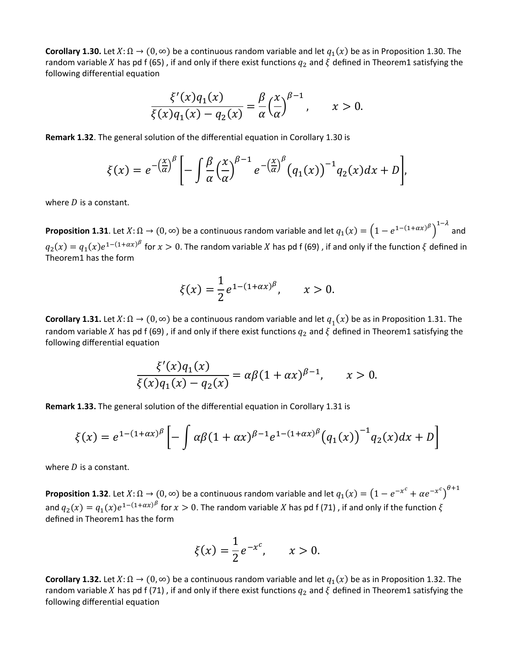**Corollary 1.30.** Let  $X: \Omega \to (0, \infty)$  be a continuous random variable and let  $q_1(x)$  be as in Proposition 1.30. The random variable X has pd f (65), if and only if there exist functions  $q_2$  and  $\zeta$  defined in Theorem1 satisfying the following differential equation

$$
\frac{\xi'(x)q_1(x)}{\xi(x)q_1(x)-q_2(x)} = \frac{\beta}{\alpha} \left(\frac{x}{\alpha}\right)^{\beta-1}, \qquad x > 0.
$$

**Remark 1.32**. The general solution of the differential equation in Corollary 1.30 is

$$
\xi(x) = e^{-\left(\frac{x}{\alpha}\right)^{\beta}} \left[ -\int \frac{\beta}{\alpha} \left(\frac{x}{\alpha}\right)^{\beta-1} e^{-\left(\frac{x}{\alpha}\right)^{\beta}} \left(q_1(x)\right)^{-1} q_2(x) dx + D \right],
$$

where  $D$  is a constant.

**Proposition 1.31**. Let  $X: \Omega \to (0, \infty)$  be a continuous random variable and let  $q_1(x) = (1 - e^{1-(1+ax)^{\beta}})$ 1− and  $q_2(x) = q_1(x)e^{1-(1+ax)^{\beta}}$  for  $x > 0$ . The random variable X has pd f (69), if and only if the function  $\xi$  defined in Theorem1 has the form

$$
\xi(x) = \frac{1}{2} e^{1 - (1 + \alpha x)^{\beta}}, \qquad x > 0.
$$

**Corollary 1.31.** Let  $X: \Omega \to (0, \infty)$  be a continuous random variable and let  $q_1(x)$  be as in Proposition 1.31. The random variable X has pd f (69), if and only if there exist functions  $q_2$  and  $\xi$  defined in Theorem1 satisfying the following differential equation

$$
\frac{\xi'(x)q_1(x)}{\xi(x)q_1(x) - q_2(x)} = \alpha \beta (1 + \alpha x)^{\beta - 1}, \qquad x > 0.
$$

**Remark 1.33.** The general solution of the differential equation in Corollary 1.31 is

$$
\xi(x) = e^{1-(1+\alpha x)^{\beta}} \left[ -\int \alpha \beta (1+\alpha x)^{\beta-1} e^{1-(1+\alpha x)^{\beta}} (q_1(x))^{-1} q_2(x) dx + D \right]
$$

where  $D$  is a constant.

**Proposition 1.32**. Let  $X: \Omega \to (0, \infty)$  be a continuous random variable and let  $q_1(x) = (1 - e^{-x^c} + \alpha e^{-x^c})^{\theta+1}$ and  $q_2(x) = q_1(x)e^{1-(1+\alpha x)^{\beta}}$  for  $x > 0$ . The random variable X has pd f (71), if and only if the function  $\xi$ defined in Theorem1 has the form

$$
\xi(x) = \frac{1}{2}e^{-x^c}, \qquad x > 0.
$$

**Corollary 1.32.** Let  $X: \Omega \to (0, \infty)$  be a continuous random variable and let  $q_1(x)$  be as in Proposition 1.32. The random variable X has pd f (71), if and only if there exist functions  $q_2$  and  $\xi$  defined in Theorem1 satisfying the following differential equation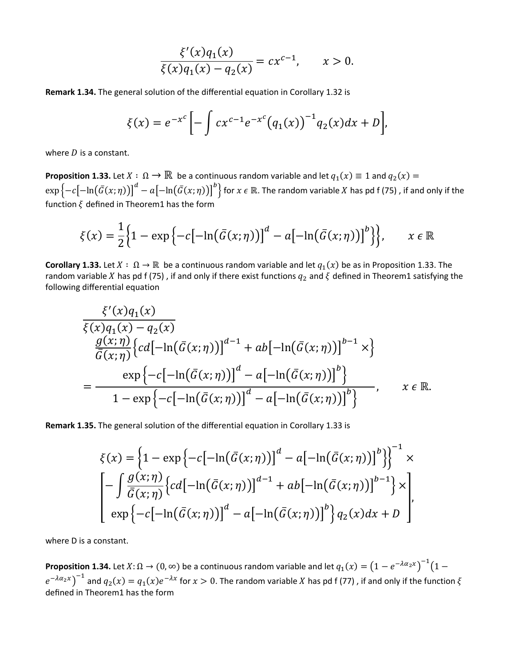$$
\frac{\xi'(x)q_1(x)}{\xi(x)q_1(x) - q_2(x)} = cx^{c-1}, \qquad x > 0.
$$

Remark 1.34. The general solution of the differential equation in Corollary 1.32 is

$$
\xi(x) = e^{-x^c} \left[ - \int cx^{c-1} e^{-x^c} (q_1(x))^{-1} q_2(x) dx + D \right],
$$

where  $D$  is a constant.

**Proposition 1.33.** Let  $X : \Omega \to \mathbb{R}$  be a continuous random variable and let  $q_1(x) \equiv 1$  and  $q_2(x) =$  $\exp\{-c[-\ln(\bar{G}(x;\eta))]^d - a[-\ln(\bar{G}(x;\eta))]^b\}$  for  $x \in \mathbb{R}$ . The random variable X has pd f (75), if and only if the function  $\xi$  defined in Theorem1 has the form

$$
\xi(x) = \frac{1}{2} \Big\{ 1 - \exp \Big\{ -c \big[ -\ln(\bar{G}(x;\eta)) \big]^d - a \big[ -\ln(\bar{G}(x;\eta)) \big]^b \Big\}, \qquad x \in \mathbb{R}
$$

**Corollary 1.33.** Let  $X : \Omega \to \mathbb{R}$  be a continuous random variable and let  $q_1(x)$  be as in Proposition 1.33. The random variable X has pd f (75), if and only if there exist functions  $q_2$  and  $\xi$  defined in Theorem1 satisfying the following differential equation

$$
\frac{\xi'(x)q_1(x)}{\xi(x)q_1(x) - q_2(x)}
$$
\n
$$
\frac{g(x;\eta)}{\overline{G}(x;\eta)} \left\{ cd[-\ln(\overline{G}(x;\eta))]^{d-1} + ab[-\ln(\overline{G}(x;\eta))]^{b-1} \times \right\}
$$
\n
$$
= \frac{\exp\{-c[-\ln(\overline{G}(x;\eta))]^d - a[-\ln(\overline{G}(x;\eta))]^b\}}{1 - \exp\{-c[-\ln(\overline{G}(x;\eta))]^d - a[-\ln(\overline{G}(x;\eta))]^b\}}, \quad x \in \mathbb{R}.
$$

Remark 1.35. The general solution of the differential equation in Corollary 1.33 is

$$
\xi(x) = \left\{1 - \exp\left\{-c\left[-\ln(\bar{G}(x;\eta))\right]^d - a\left[-\ln(\bar{G}(x;\eta))\right]^b\right\}\right\}^{-1} \times
$$
  

$$
\left[-\int \frac{g(x;\eta)}{\bar{G}(x;\eta)} \left\{cd\left[-\ln(\bar{G}(x;\eta))\right]^{d-1} + ab\left[-\ln(\bar{G}(x;\eta))\right]^{b-1}\right\} \times \right]
$$
  

$$
\exp\left\{-c\left[-\ln(\bar{G}(x;\eta))\right]^d - a\left[-\ln(\bar{G}(x;\eta))\right]^b\right\} q_2(x)dx + D
$$

where D is a constant.

**Proposition 1.34.** Let  $X: \Omega \to (0, \infty)$  be a continuous random variable and let  $q_1(x) = (1 - e^{-\lambda \alpha_2 x})^{-1}(1$  $e^{-\lambda \alpha_2 x}$  and  $q_2(x) = q_1(x)e^{-\lambda x}$  for  $x > 0$ . The random variable X has pd f (77), if and only if the function  $\xi$ defined in Theorem1 has the form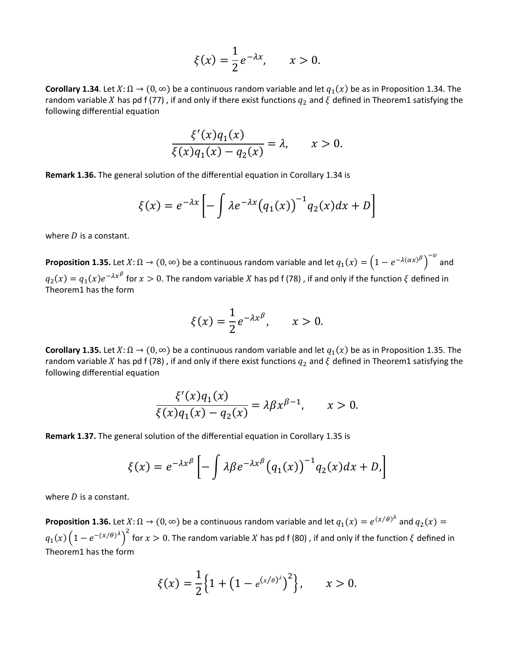$$
\xi(x) = \frac{1}{2}e^{-\lambda x}, \qquad x > 0.
$$

**Corollary 1.34**. Let  $X: \Omega \to (0, \infty)$  be a continuous random variable and let  $q_1(x)$  be as in Proposition 1.34. The random variable X has pd f (77), if and only if there exist functions  $q_2$  and  $\xi$  defined in Theorem1 satisfying the following differential equation

$$
\frac{\xi'(x)q_1(x)}{\xi(x)q_1(x)-q_2(x)}=\lambda, \qquad x>0.
$$

**Remark 1.36.** The general solution of the differential equation in Corollary 1.34 is

$$
\xi(x) = e^{-\lambda x} \left[ -\int \lambda e^{-\lambda x} (q_1(x))^{-1} q_2(x) dx + D \right]
$$

where  $D$  is a constant.

**Proposition 1.35.** Let  $X: \Omega \to (0, \infty)$  be a continuous random variable and let  $q_1(x) = (1 - e^{-\lambda(\alpha x)^\beta})$ − and  $q_2(x) = q_1(x)e^{-\lambda x^{\beta}}$  for  $x > 0$ . The random variable X has pd f (78), if and only if the function  $\xi$  defined in Theorem1 has the form

$$
\xi(x) = \frac{1}{2}e^{-\lambda x^{\beta}}, \qquad x > 0.
$$

**Corollary 1.35.** Let  $X: \Omega \to (0, \infty)$  be a continuous random variable and let  $q_1(x)$  be as in Proposition 1.35. The random variable X has pd f (78), if and only if there exist functions  $q_2$  and  $\xi$  defined in Theorem1 satisfying the following differential equation

$$
\frac{\xi'(x)q_1(x)}{\xi(x)q_1(x) - q_2(x)} = \lambda \beta x^{\beta - 1}, \qquad x > 0.
$$

**Remark 1.37.** The general solution of the differential equation in Corollary 1.35 is

$$
\xi(x) = e^{-\lambda x^{\beta}} \left[ -\int \lambda \beta e^{-\lambda x^{\beta}} (q_1(x))^{-1} q_2(x) dx + D \right]
$$

where  $D$  is a constant.

**Proposition 1.36.** Let  $X: \Omega \to (0, \infty)$  be a continuous random variable and let  $q_1(x) = e^{(x/\theta)^{\lambda}}$  and  $q_2(x) =$  $q_1(x)\left(1-e^{-(x/\theta)^{\lambda}}\right)$ for  $x > 0$ . The random variable X has pd f (80) , if and only if the function  $\xi$  defined in Theorem1 has the form

$$
\xi(x) = \frac{1}{2} \Big\{ 1 + \big( 1 - e^{(x/\theta)^{\lambda}} \big)^2 \Big\}, \qquad x > 0.
$$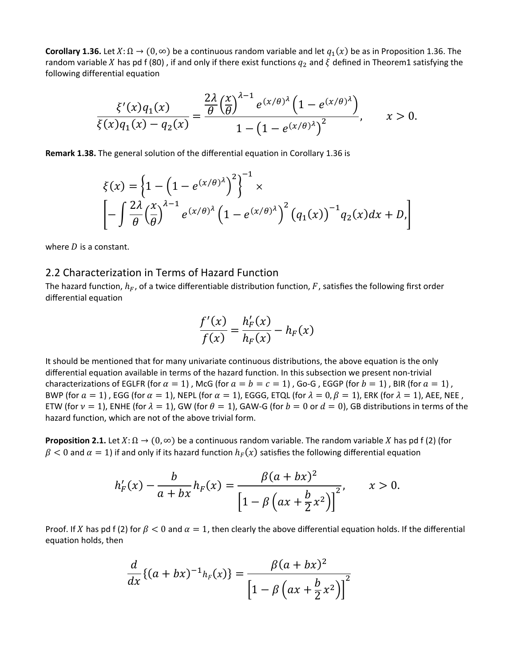**Corollary 1.36.** Let  $X: \Omega \to (0, \infty)$  be a continuous random variable and let  $q_1(x)$  be as in Proposition 1.36. The random variable X has pd f (80), if and only if there exist functions  $q_2$  and  $\zeta$  defined in Theorem1 satisfying the following differential equation

$$
\frac{\xi'(x)q_1(x)}{\xi(x)q_1(x) - q_2(x)} = \frac{\frac{2\lambda}{\theta} \left(\frac{x}{\theta}\right)^{\lambda-1} e^{(x/\theta)^{\lambda}} \left(1 - e^{(x/\theta)^{\lambda}}\right)}{1 - \left(1 - e^{(x/\theta)^{\lambda}}\right)^2}, \qquad x > 0.
$$

**Remark 1.38.** The general solution of the differential equation in Corollary 1.36 is

$$
\xi(x) = \left\{ 1 - \left( 1 - e^{(x/\theta)^{\lambda}} \right)^2 \right\}^{-1} \times \left[ - \int \frac{2\lambda}{\theta} \left( \frac{x}{\theta} \right)^{\lambda - 1} e^{(x/\theta)^{\lambda}} \left( 1 - e^{(x/\theta)^{\lambda}} \right)^2 \left( q_1(x) \right)^{-1} q_2(x) dx + D, \right]
$$

where  $D$  is a constant.

#### 2.2 Characterization in Terms of Hazard Function

The hazard function,  $h_F$ , of a twice differentiable distribution function, F, satisfies the following first order differential equation

$$
\frac{f'(x)}{f(x)} = \frac{h'_F(x)}{h_F(x)} - h_F(x)
$$

It should be mentioned that for many univariate continuous distributions, the above equation is the only differential equation available in terms of the hazard function. In this subsection we present non-trivial characterizations of EGLFR (for  $\alpha = 1$ ), McG (for  $a = b = c = 1$ ), Go-G, EGGP (for  $b = 1$ ), BIR (for  $a = 1$ ), BWP (for  $a = 1$ ), EGG (for  $\alpha = 1$ ), NEPL (for  $\alpha = 1$ ), EGGG, ETQL (for  $\lambda = 0, \beta = 1$ ), ERK (for  $\lambda = 1$ ), AEE, NEE, ETW (for  $v = 1$ ), ENHE (for  $\lambda = 1$ ), GW (for  $\theta = 1$ ), GAW-G (for  $b = 0$  or  $d = 0$ ), GB distributions in terms of the hazard function, which are not of the above trivial form.

**Proposition 2.1.** Let  $X: \Omega \to (0, \infty)$  be a continuous random variable. The random variable X has pd f (2) (for  $\beta$  < 0 and  $\alpha$  = 1) if and only if its hazard function  $h_F(x)$  satisfies the following differential equation

$$
h'_{F}(x) - \frac{b}{a + bx}h_{F}(x) = \frac{\beta(a + bx)^{2}}{\left[1 - \beta\left(ax + \frac{b}{2}x^{2}\right)\right]^{2}}, \qquad x > 0.
$$

Proof. If X has pd f (2) for  $\beta$  < 0 and  $\alpha = 1$ , then clearly the above differential equation holds. If the differential equation holds, then

$$
\frac{d}{dx}\{(a+bx)^{-1}h_F(x)\} = \frac{\beta(a+bx)^2}{\left[1-\beta\left(ax+\frac{b}{2}x^2\right)\right]^2}
$$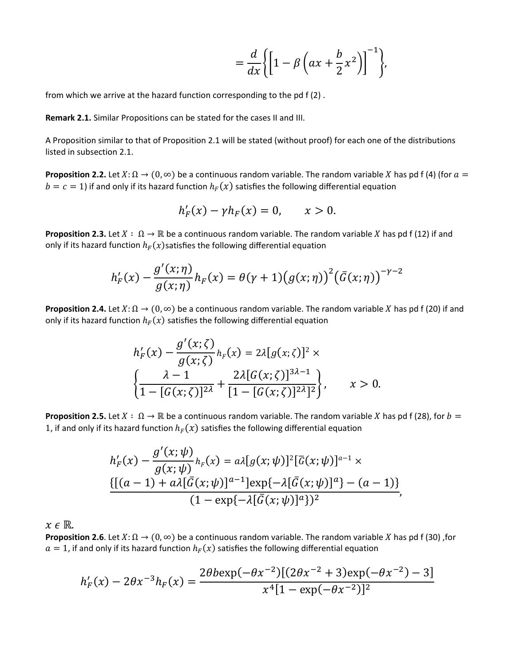$$
= \frac{d}{dx}\bigg\{\bigg[1-\beta\left(ax+\frac{b}{2}x^2\right)\bigg]^{-1}\bigg\},\
$$

from which we arrive at the hazard function corresponding to the pd f (2) .

**Remark 2.1.** Similar Propositions can be stated for the cases II and III.

A Proposition similar to that of Proposition 2.1 will be stated (without proof) for each one of the distributions listed in subsection 2.1.

**Proposition 2.2.** Let  $X: \Omega \to (0, \infty)$  be a continuous random variable. The random variable X has pd f (4) (for  $a =$  $b = c = 1$ ) if and only if its hazard function  $h_F(x)$  satisfies the following differential equation

$$
h'_{F}(x) - \gamma h_{F}(x) = 0, \qquad x > 0.
$$

**Proposition 2.3.** Let  $X : \Omega \to \mathbb{R}$  be a continuous random variable. The random variable X has pd f (12) if and only if its hazard function  $h_F(x)$  satisfies the following differential equation

$$
h'_{F}(x) - \frac{g'(x;\eta)}{g(x;\eta)}h_{F}(x) = \theta(\gamma+1)\big(g(x;\eta)\big)^{2}\big(\bar{G}(x;\eta)\big)^{-\gamma-2}
$$

**Proposition 2.4.** Let  $X: \Omega \to (0, \infty)$  be a continuous random variable. The random variable X has pd f (20) if and only if its hazard function  $h_F(x)$  satisfies the following differential equation

$$
h'_{F}(x) - \frac{g'(x;\zeta)}{g(x;\zeta)} h_{F}(x) = 2\lambda [g(x;\zeta)]^{2} \times \left\{ \frac{\lambda - 1}{1 - [G(x;\zeta)]^{2\lambda}} + \frac{2\lambda [G(x;\zeta)]^{3\lambda - 1}}{[1 - [G(x;\zeta)]^{2\lambda}]^{2}} \right\}, \qquad x > 0.
$$

**Proposition 2.5.** Let  $X : \Omega \to \mathbb{R}$  be a continuous random variable. The random variable X has pd f (28), for  $b =$ 1, if and only if its hazard function  $h_F(x)$  satisfies the following differential equation

$$
h'_{F}(x) - \frac{g'(x;\psi)}{g(x;\psi)} h_{F}(x) = a\lambda [g(x;\psi)]^{2} [\bar{G}(x;\psi)]^{a-1} \times
$$
  

$$
\{[(a-1) + a\lambda [\bar{G}(x;\psi)]^{a-1}] \exp\{-\lambda [\bar{G}(x;\psi)]^{a}\} - (a-1)\}
$$
  

$$
(1 - \exp\{-\lambda [\bar{G}(x;\psi)]^{a}\})^{2}
$$

 $X \in \mathbb{R}$ .<br>**Proposition 2.6**. Let  $X: \Omega \to (0, \infty)$  be a continuous random variable. The random variable *X* has pd f (30), for  $a = 1$ , if and only if its hazard function  $h_F(x)$  satisfies the following differential equation

$$
h'_{F}(x) - 2\theta x^{-3} h_{F}(x) = \frac{2\theta b \exp(-\theta x^{-2})[(2\theta x^{-2} + 3)\exp(-\theta x^{-2}) - 3]}{x^{4}[1 - \exp(-\theta x^{-2})]^{2}}
$$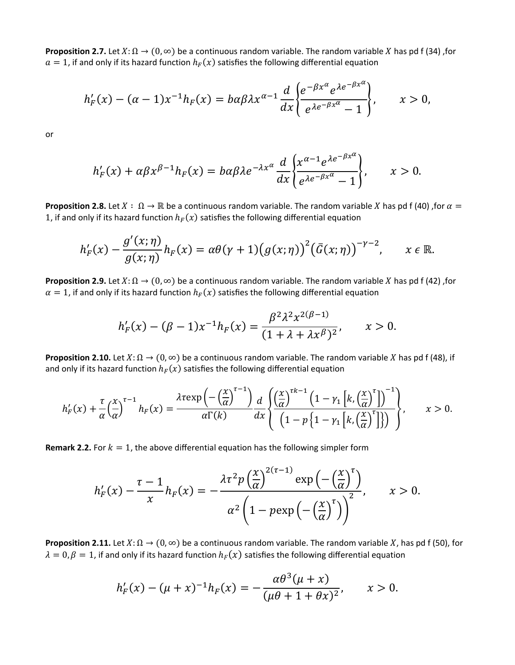**Proposition 2.7.** Let  $X: \Omega \to (0, \infty)$  be a continuous random variable. The random variable X has pd f (34) , for  $a = 1$ , if and only if its hazard function  $h_F(x)$  satisfies the following differential equation

$$
h'_{F}(x) - (\alpha - 1)x^{-1}h_{F}(x) = b\alpha\beta\lambda x^{\alpha-1} \frac{d}{dx} \left\{ \frac{e^{-\beta x^{\alpha}}e^{\lambda e^{-\beta x^{\alpha}}}}{e^{\lambda e^{-\beta x^{\alpha}}}-1} \right\}, \qquad x > 0,
$$

or

$$
h'_{F}(x) + \alpha \beta x^{\beta-1} h_{F}(x) = b \alpha \beta \lambda e^{-\lambda x^{\alpha}} \frac{d}{dx} \left\{ \frac{x^{\alpha-1} e^{\lambda e^{-\beta x^{\alpha}}}}{e^{\lambda e^{-\beta x^{\alpha}}}-1} \right\}, \qquad x > 0.
$$

**Proposition 2.8.** Let  $X : \Omega \to \mathbb{R}$  be a continuous random variable. The random variable X has pd f (40) , for  $\alpha =$ 1, if and only if its hazard function  $h_F(x)$  satisfies the following differential equation

$$
h'_{F}(x) - \frac{g'(x;\eta)}{g(x;\eta)}h_{F}(x) = \alpha\theta(\gamma+1)\big(g(x;\eta)\big)^{2}\big(\bar{G}(x;\eta)\big)^{-\gamma-2}, \qquad x \in \mathbb{R}.
$$

**Proposition 2.9.** Let  $X: \Omega \to (0, \infty)$  be a continuous random variable. The random variable X has pd f (42) ,for  $\alpha = 1$ , if and only if its hazard function  $h_F(x)$  satisfies the following differential equation

$$
h'_{F}(x) - (\beta - 1)x^{-1}h_{F}(x) = \frac{\beta^{2}\lambda^{2}x^{2(\beta - 1)}}{(1 + \lambda + \lambda x^{\beta})^{2}}, \qquad x > 0.
$$

**Proposition 2.10.** Let  $X: \Omega \to (0, \infty)$  be a continuous random variable. The random variable X has pd f (48), if and only if its hazard function  $h_F(x)$  satisfies the following differential equation

$$
h'_{F}(x) + \frac{\tau}{\alpha} \left(\frac{x}{\alpha}\right)^{\tau-1} h_{F}(x) = \frac{\lambda \tau \exp\left(-\left(\frac{x}{\alpha}\right)^{\tau-1}\right)}{\alpha \Gamma(k)} \frac{d}{dx} \left\{ \frac{\left(\frac{x}{\alpha}\right)^{\tau k-1} \left(1 - \gamma_{1}\left[k,\left(\frac{x}{\alpha}\right)^{\tau}\right]\right)^{-1}}{\left(1 - \gamma_{1}\left[k,\left(\frac{x}{\alpha}\right)^{\tau}\right]\right)} \right\}, \qquad x > 0.
$$

**Remark 2.2.** For  $k = 1$ , the above differential equation has the following simpler form

$$
h'_{F}(x) - \frac{\tau - 1}{x} h_{F}(x) = -\frac{\lambda \tau^{2} p \left(\frac{x}{\alpha}\right)^{2(\tau - 1)} \exp\left(-\left(\frac{x}{\alpha}\right)^{\tau}\right)}{\alpha^{2} \left(1 - p \exp\left(-\left(\frac{x}{\alpha}\right)^{\tau}\right)\right)^{2}}, \qquad x > 0.
$$

**Proposition 2.11.** Let  $X: \Omega \to (0, \infty)$  be a continuous random variable. The random variable X, has pd f (50), for  $\lambda = 0$ ,  $\beta = 1$ , if and only if its hazard function  $h_F(x)$  satisfies the following differential equation

$$
h'_{F}(x) - (\mu + x)^{-1}h_{F}(x) = -\frac{\alpha\theta^{3}(\mu + x)}{(\mu\theta + 1 + \theta x)^{2}}, \qquad x > 0.
$$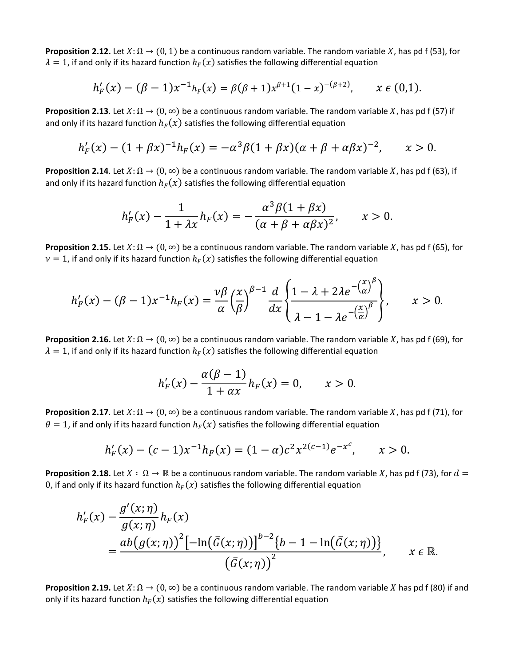**Proposition 2.12.** Let  $X: \Omega \to (0, 1)$  be a continuous random variable. The random variable X, has pd f (53), for  $\lambda = 1$ , if and only if its hazard function  $h_F(x)$  satisfies the following differential equation

$$
h'_{F}(x) - (\beta - 1)x^{-1}h_{F}(x) = \beta(\beta + 1)x^{\beta+1}(1 - x)^{-(\beta+2)}, \qquad x \in (0,1).
$$

**Proposition 2.13**. Let  $X: \Omega \to (0, \infty)$  be a continuous random variable. The random variable X, has pd f (57) if and only if its hazard function  $h_F(x)$  satisfies the following differential equation

$$
h'_{F}(x) - (1 + \beta x)^{-1}h_{F}(x) = -\alpha^{3}\beta(1 + \beta x)(\alpha + \beta + \alpha\beta x)^{-2}, \qquad x > 0.
$$

**Proposition 2.14**. Let  $X: \Omega \to (0, \infty)$  be a continuous random variable. The random variable X, has pd f (63), if and only if its hazard function  $h_F(x)$  satisfies the following differential equation

$$
h'_F(x) - \frac{1}{1 + \lambda x} h_F(x) = -\frac{\alpha^3 \beta (1 + \beta x)}{(\alpha + \beta + \alpha \beta x)^2}, \qquad x > 0.
$$

**Proposition 2.15.** Let  $X: \Omega \to (0, \infty)$  be a continuous random variable. The random variable X, has pd f (65), for  $\nu = 1$ , if and only if its hazard function  $h_F(x)$  satisfies the following differential equation

$$
h'_F(x) - (\beta - 1)x^{-1}h_F(x) = \frac{\nu \beta}{\alpha} \left(\frac{x}{\beta}\right)^{\beta - 1} \frac{d}{dx} \left\{\frac{1 - \lambda + 2\lambda e^{-\left(\frac{x}{\alpha}\right)^{\beta}}}{\lambda - 1 - \lambda e^{-\left(\frac{x}{\alpha}\right)^{\beta}}}\right\}, \qquad x > 0.
$$

**Proposition 2.16.** Let  $X: \Omega \to (0, \infty)$  be a continuous random variable. The random variable X, has pd f (69), for  $\lambda = 1$ , if and only if its hazard function  $h_F(x)$  satisfies the following differential equation

$$
h'_{F}(x)-\frac{\alpha(\beta-1)}{1+\alpha x}h_{F}(x)=0, \qquad x>0.
$$

**Proposition 2.17**. Let  $X: \Omega \to (0, \infty)$  be a continuous random variable. The random variable X, has pd f (71), for  $\theta = 1$ , if and only if its hazard function  $h_F(x)$  satisfies the following differential equation

$$
h'_{F}(x) - (c-1)x^{-1}h_{F}(x) = (1-\alpha)c^{2}x^{2(c-1)}e^{-x^{c}}, \qquad x > 0.
$$

**Proposition 2.18.** Let  $X : \Omega \to \mathbb{R}$  be a continuous random variable. The random variable X, has pd f (73), for  $d =$ 0, if and only if its hazard function  $h_F(x)$  satisfies the following differential equation

$$
h'_{F}(x) - \frac{g'(x;\eta)}{g(x;\eta)} h_{F}(x)
$$
  
= 
$$
\frac{ab(g(x;\eta))^{2}[-\ln(\bar{G}(x;\eta))]^{b-2}\{b-1-\ln(\bar{G}(x;\eta))\}}{(\bar{G}(x;\eta))^{2}}, \quad x \in \mathbb{R}.
$$

**Proposition 2.19.** Let  $X: \Omega \to (0, \infty)$  be a continuous random variable. The random variable X has pd f (80) if and only if its hazard function  $h_F(x)$  satisfies the following differential equation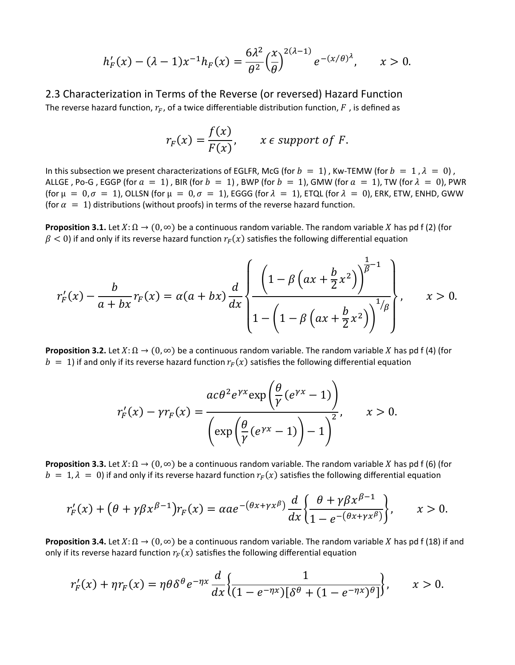$$
h'_{F}(x) - (\lambda - 1)x^{-1}h_{F}(x) = \frac{6\lambda^{2}}{\theta^{2}} \left(\frac{x}{\theta}\right)^{2(\lambda - 1)} e^{-(x/\theta)^{\lambda}}, \qquad x > 0.
$$

2.3 Characterization in Terms of the Reverse (or reversed) Hazard Function The reverse hazard function,  $r_F$ , of a twice differentiable distribution function,  $F$ , is defined as

$$
r_F(x) = \frac{f(x)}{F(x)}, \qquad x \in support \text{ of } F.
$$

In this subsection we present characterizations of EGLFR, McG (for  $b = 1$ ), Kw-TEMW (for  $b = 1$ ,  $\lambda = 0$ ), ALLGE, Po-G, EGGP (for  $a = 1$ ), BIR (for  $b = 1$ ), BWP (for  $b = 1$ ), GMW (for  $a = 1$ ), TW (for  $\lambda = 0$ ), PWR (for  $\mu = 0, \sigma = 1$ ), OLLSN (for  $\mu = 0, \sigma = 1$ ), EGGG (for  $\lambda = 1$ ), ETQL (for  $\lambda = 0$ ), ERK, ETW, ENHD, GWW (for  $\alpha = 1$ ) distributions (without proofs) in terms of the reverse hazard function.

**Proposition 3.1.** Let  $X: \Omega \to (0, \infty)$  be a continuous random variable. The random variable X has pd f (2) (for  $\beta$  < 0) if and only if its reverse hazard function  $r_F(x)$  satisfies the following differential equation

$$
r'_{F}(x) - \frac{b}{a + bx}r_{F}(x) = \alpha(a + bx)\frac{d}{dx}\left\{\frac{\left(1 - \beta\left(ax + \frac{b}{2}x^{2}\right)\right)^{\frac{1}{\beta} - 1}}{1 - \left(1 - \beta\left(ax + \frac{b}{2}x^{2}\right)\right)^{1/\beta}}\right\}, \qquad x > 0.
$$

**Proposition 3.2.** Let  $X: \Omega \to (0, \infty)$  be a continuous random variable. The random variable X has pd f (4) (for  $b = 1$ ) if and only if its reverse hazard function  $r_F(x)$  satisfies the following differential equation

$$
r'_{F}(x) - \gamma r_{F}(x) = \frac{ac\theta^{2}e^{\gamma x} \exp\left(\frac{\theta}{\gamma}(e^{\gamma x} - 1)\right)}{\left(\exp\left(\frac{\theta}{\gamma}(e^{\gamma x} - 1)\right) - 1\right)^{2}}, \qquad x > 0.
$$

**Proposition 3.3.** Let  $X: \Omega \to (0, \infty)$  be a continuous random variable. The random variable X has pd f (6) (for  $b = 1, \lambda = 0$ ) if and only if its reverse hazard function  $r_F(x)$  satisfies the following differential equation

$$
r'_{F}(x) + \left(\theta + \gamma \beta x^{\beta - 1}\right) r_{F}(x) = \alpha a e^{-\left(\theta x + \gamma x^{\beta}\right)} \frac{d}{dx} \left\{\frac{\theta + \gamma \beta x^{\beta - 1}}{1 - e^{-\left(\theta x + \gamma x^{\beta}\right)}}\right\}, \qquad x > 0.
$$

**Proposition 3.4.** Let  $X: \Omega \to (0, \infty)$  be a continuous random variable. The random variable X has pd f (18) if and only if its reverse hazard function  $r_F(x)$  satisfies the following differential equation

$$
r'_{F}(x) + \eta r_{F}(x) = \eta \theta \delta^{\theta} e^{-\eta x} \frac{d}{dx} \left\{ \frac{1}{(1 - e^{-\eta x})[\delta^{\theta} + (1 - e^{-\eta x})^{\theta}]} \right\}, \qquad x > 0.
$$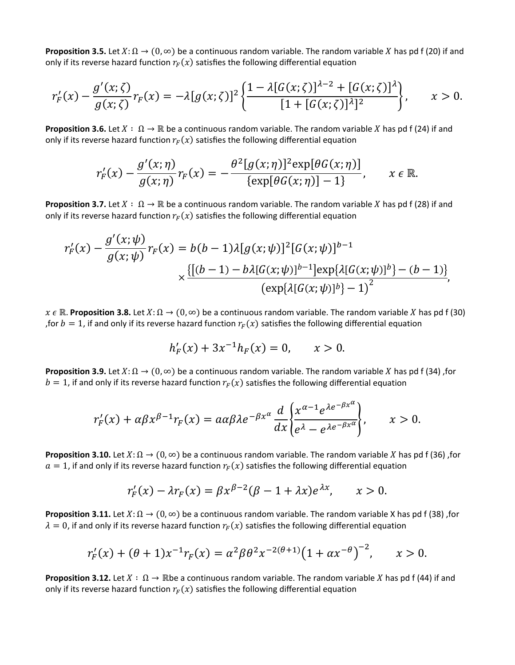**Proposition 3.5.** Let  $X: \Omega \to (0, \infty)$  be a continuous random variable. The random variable X has pd f (20) if and only if its reverse hazard function  $r_F(x)$  satisfies the following differential equation

$$
r'_{F}(x) - \frac{g'(x;\zeta)}{g(x;\zeta)}r_{F}(x) = -\lambda[g(x;\zeta)]^{2} \left\{ \frac{1 - \lambda[g(x;\zeta)]^{\lambda-2} + [G(x;\zeta)]^{\lambda}}{[1 + [G(x;\zeta)]^{\lambda}]^{2}} \right\}, \qquad x > 0.
$$

**Proposition 3.6.** Let  $X : \Omega \to \mathbb{R}$  be a continuous random variable. The random variable X has pd f (24) if and only if its reverse hazard function  $r_F(x)$  satisfies the following differential equation

$$
r'_{F}(x) - \frac{g'(x;\eta)}{g(x;\eta)}r_{F}(x) = -\frac{\theta^{2}[g(x;\eta)]^{2}\exp[\theta G(x;\eta)]}{\{\exp[\theta G(x;\eta)]-1\}}, \qquad x \in \mathbb{R}.
$$

**Proposition 3.7.** Let  $X : \Omega \to \mathbb{R}$  be a continuous random variable. The random variable X has pd f (28) if and only if its reverse hazard function  $r_F(x)$  satisfies the following differential equation

$$
r'_{F}(x) - \frac{g'(x;\psi)}{g(x;\psi)}r_{F}(x) = b(b-1)\lambda[g(x;\psi)]^{2}[G(x;\psi)]^{b-1}
$$

$$
\times \frac{\{[(b-1)-b\lambda[G(x;\psi)]^{b-1}]\exp{\lambda[G(x;\psi)]^{b}}] - (b-1)\}}{(\exp{\lambda[G(x;\psi)]^{b}}) - 1)^{2}},
$$

 $x \in \mathbb{R}$ . **Proposition 3.8.** Let  $X: \Omega \to (0, \infty)$  be a continuous random variable. The random variable X has pd f (30) , for  $b = 1$ , if and only if its reverse hazard function  $r_F(x)$  satisfies the following differential equation

$$
h'_{F}(x) + 3x^{-1}h_{F}(x) = 0, \qquad x > 0.
$$

**Proposition 3.9.** Let  $X: \Omega \to (0, \infty)$  be a continuous random variable. The random variable X has pd f (34) ,for  $b = 1$ , if and only if its reverse hazard function  $r_F(x)$  satisfies the following differential equation

$$
r_F'(x) + \alpha \beta x^{\beta - 1} r_F(x) = a \alpha \beta \lambda e^{-\beta x^{\alpha}} \frac{d}{dx} \left\{ \frac{x^{\alpha - 1} e^{\lambda e^{-\beta x^{\alpha}}}}{e^{\lambda} - e^{\lambda e^{-\beta x^{\alpha}}}} \right\}, \qquad x > 0.
$$

**Proposition 3.10.** Let  $X: \Omega \to (0, \infty)$  be a continuous random variable. The random variable X has pd f (36) ,for  $a = 1$ , if and only if its reverse hazard function  $r_F(x)$  satisfies the following differential equation

$$
r_F'(x) - \lambda r_F(x) = \beta x^{\beta - 2} (\beta - 1 + \lambda x) e^{\lambda x}, \qquad x > 0.
$$

**Proposition 3.11.** Let  $X: \Omega \to (0, \infty)$  be a continuous random variable. The random variable X has pd f (38) ,for  $\lambda = 0$ , if and only if its reverse hazard function  $r_F(x)$  satisfies the following differential equation

$$
r'_{F}(x) + (\theta + 1)x^{-1}r_{F}(x) = \alpha^{2}\beta\theta^{2}x^{-2(\theta+1)}\left(1 + \alpha x^{-\theta}\right)^{-2}, \qquad x > 0.
$$

**Proposition 3.12.** Let  $X : \Omega \to \mathbb{R}$  be a continuous random variable. The random variable X has pd f (44) if and only if its reverse hazard function  $r_F(x)$  satisfies the following differential equation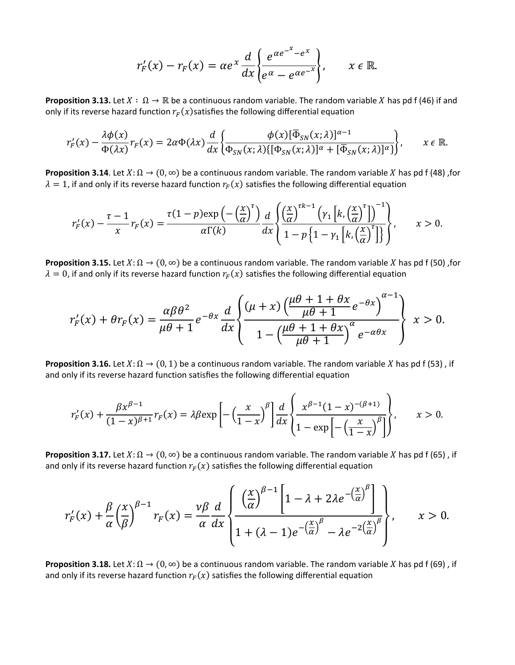$$
r_F'(x) - r_F(x) = \alpha e^x \frac{d}{dx} \bigg\{ \frac{e^{\alpha e^{-x}} - e^x}{e^{\alpha} - e^{\alpha e^{-x}}} \bigg\}, \qquad x \in \mathbb{R}.
$$

**Proposition 3.13.** Let  $X : \Omega \to \mathbb{R}$  be a continuous random variable. The random variable X has pd f (46) if and only if its reverse hazard function  $r_F(x)$  satisfies the following differential equation

$$
r'_{F}(x) - \frac{\lambda \phi(x)}{\Phi(\lambda x)} r_{F}(x) = 2\alpha \Phi(\lambda x) \frac{d}{dx} \left\{ \frac{\phi(x)[\overline{\Phi}_{SN}(x;\lambda)]^{\alpha-1}}{\Phi_{SN}(x;\lambda)[\Phi_{SN}(x;\lambda)]^{\alpha} + [\overline{\Phi}_{SN}(x;\lambda)]^{\alpha} } \right\}, \qquad x \in \mathbb{R}.
$$

**Proposition 3.14**. Let  $X: \Omega \to (0, \infty)$  be a continuous random variable. The random variable X has pd f (48) ,for  $\lambda = 1$ , if and only if its reverse hazard function  $r_F(x)$  satisfies the following differential equation

$$
r'_{F}(x) - \frac{\tau - 1}{x}r_{F}(x) = \frac{\tau(1 - p)\exp\left(-\left(\frac{x}{\alpha}\right)^{\tau}\right)}{\alpha\Gamma(k)}\frac{d}{dx}\left\{\frac{\left(\frac{x}{\alpha}\right)^{\tau k - 1}\left(\gamma_{1}\left[k,\left(\frac{x}{\alpha}\right)^{\tau}\right]\right)^{-1}}{1 - p\left\{1 - \gamma_{1}\left[k,\left(\frac{x}{\alpha}\right)^{\tau}\right]\right\}}, \qquad x > 0.
$$

**Proposition 3.15.** Let  $X: \Omega \to (0, \infty)$  be a continuous random variable. The random variable X has pd f (50), for  $\lambda = 0$ , if and only if its reverse hazard function  $r_F(x)$  satisfies the following differential equation

$$
r'_{F}(x) + \theta r_{F}(x) = \frac{\alpha \beta \theta^{2}}{\mu \theta + 1} e^{-\theta x} \frac{d}{dx} \left\{ \frac{(\mu + x) \left(\frac{\mu \theta + 1 + \theta x}{\mu \theta + 1} e^{-\theta x}\right)^{\alpha - 1}}{1 - \left(\frac{\mu \theta + 1 + \theta x}{\mu \theta + 1}\right)^{\alpha} e^{-\alpha \theta x}} \right\} \ x > 0.
$$

**Proposition 3.16.** Let  $X: \Omega \to (0,1)$  be a continuous random variable. The random variable X has pd f (53), if and only if its reverse hazard function satisfies the following differential equation

$$
r_F'(x) + \frac{\beta x^{\beta-1}}{(1-x)^{\beta+1}} r_F(x) = \lambda \beta \exp\left[-\left(\frac{x}{1-x}\right)^{\beta}\right] \frac{d}{dx} \left\{\frac{x^{\beta-1}(1-x)^{-(\beta+1)}}{1-\exp\left[-\left(\frac{x}{1-x}\right)^{\beta}\right]}\right\}, \qquad x > 0.
$$

**Proposition 3.17.** Let  $X: \Omega \to (0, \infty)$  be a continuous random variable. The random variable X has pd f (65), if and only if its reverse hazard function  $r_F(x)$  satisfies the following differential equation

$$
r'_{F}(x) + \frac{\beta}{\alpha} \left(\frac{x}{\beta}\right)^{\beta-1} r_{F}(x) = \frac{\nu \beta}{\alpha} \frac{d}{dx} \left\{ \frac{\left(\frac{x}{\alpha}\right)^{\beta-1} \left[1 - \lambda + 2\lambda e^{-\left(\frac{x}{\alpha}\right)^{\beta}}\right]}{1 + (\lambda - 1)e^{-\left(\frac{x}{\alpha}\right)^{\beta}} - \lambda e^{-2\left(\frac{x}{\alpha}\right)^{\beta}} \right\}}, \qquad x > 0.
$$

**Proposition 3.18.** Let  $X: \Omega \to (0, \infty)$  be a continuous random variable. The random variable X has pd f (69), if and only if its reverse hazard function  $r_F(x)$  satisfies the following differential equation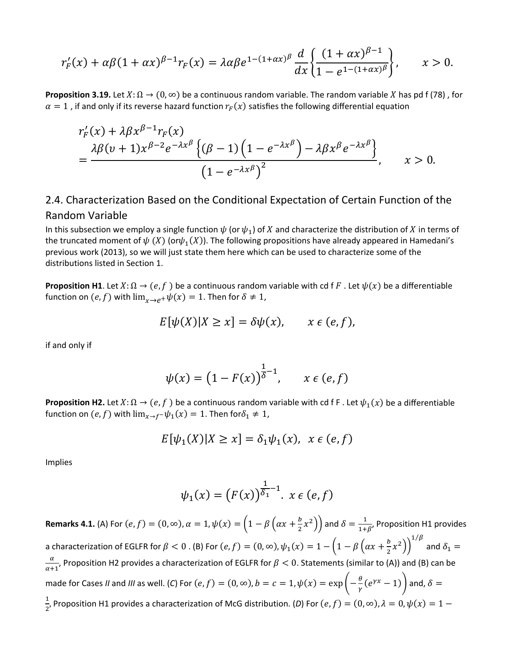$$
r'_{F}(x) + \alpha \beta (1 + \alpha x)^{\beta - 1} r_{F}(x) = \lambda \alpha \beta e^{1 - (1 + \alpha x)^{\beta}} \frac{d}{dx} \left\{ \frac{(1 + \alpha x)^{\beta - 1}}{1 - e^{1 - (1 + \alpha x)^{\beta}}} \right\}, \qquad x > 0.
$$

**Proposition 3.19.** Let  $X: \Omega \to (0, \infty)$  be a continuous random variable. The random variable X has pd f (78), for  $\alpha = 1$ , if and only if its reverse hazard function  $r_F(x)$  satisfies the following differential equation

$$
r'_{F}(x) + \lambda \beta x^{\beta - 1} r_{F}(x)
$$
  
= 
$$
\frac{\lambda \beta (v + 1) x^{\beta - 2} e^{-\lambda x^{\beta}} \left\{ (\beta - 1) \left( 1 - e^{-\lambda x^{\beta}} \right) - \lambda \beta x^{\beta} e^{-\lambda x^{\beta}} \right\}}{\left( 1 - e^{-\lambda x^{\beta}} \right)^{2}}, \qquad x > 0.
$$

## 2.4. Characterization Based on the Conditional Expectation of Certain Function of the Random Variable

In this subsection we employ a single function  $\psi$  (or  $\psi_1$ ) of X and characterize the distribution of X in terms of the truncated moment of  $\psi(X)$  (or $\psi_1(X)$ ). The following propositions have already appeared in Hamedani's previous work (2013), so we will just state them here which can be used to characterize some of the distributions listed in Section 1.

**Proposition H1**. Let  $X: \Omega \to (e, f)$  be a continuous random variable with cd f F. Let  $\psi(x)$  be a differentiable function on  $(e, f)$  with  $\lim_{x\to e^+}\psi(x) = 1$ . Then for  $\delta \neq 1$ ,

$$
E[\psi(X)|X \ge x] = \delta \psi(x), \qquad x \in (e, f),
$$

if and only if

$$
\psi(x) = \left(1 - F(x)\right)^{\frac{1}{\delta} - 1}, \qquad x \in (e, f)
$$

**Proposition H2.** Let  $X: \Omega \to (e, f)$  be a continuous random variable with cd f F . Let  $\psi_1(x)$  be a differentiable function on  $(e, f)$  with  $\lim_{x\to f^-}\psi_1(x) = 1$ . Then for  $\delta_1 \neq 1$ ,

$$
E[\psi_1(X)|X \ge x] = \delta_1 \psi_1(x), \quad x \in (e, f)
$$

Implies

$$
\psi_1(x) = \left(F(x)\right)^{\frac{1}{\delta_1} - 1} \cdot x \in (e, f)
$$

**Remarks 4.1.** (A) For  $(e, f) = (0, \infty)$ ,  $\alpha = 1$ ,  $\psi(x) = \left(1 - \beta \left(\alpha x + \frac{b}{2}x^2\right)\right)$  and  $\delta = \frac{1}{1+\beta}$ , Proposition H1 provides a characterization of EGLFR for  $\beta < 0$  . (B) For  $(e,f)=(0,\infty)$ ,  $\psi_1(x)=1-\left(1-\beta\left(\alpha x+\frac{b}{2}x^2\right)\right)^{1/\beta}$  and  $\delta_1=0$  $\alpha$  $\frac{u}{\alpha+1}$ , Proposition H2 provides a characterization of EGLFR for  $\beta < 0$ . Statements (similar to (A)) and (B) can be made for Cases *II* and *III* as well. (*C*) For  $(e, f) = (0, \infty)$ ,  $b = c = 1$ ,  $\psi(x) = \exp\left(-\frac{\theta}{\gamma}(e^{\gamma x} - 1)\right)$  and,  $\delta =$ 1  $\frac{1}{2}$ , Proposition H1 provides a characterization of McG distribution. (*D*) For  $(e, f) = (0, \infty)$ ,  $\lambda = 0$ ,  $\psi(x) = 1 -$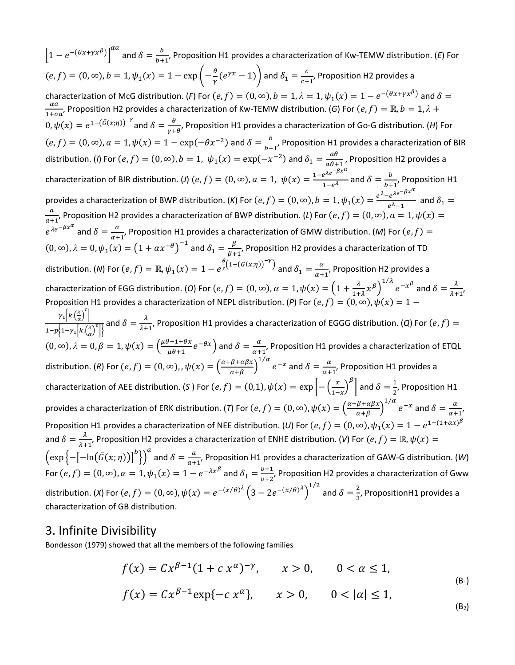$\left[1-e^{-(\theta x+\gamma x^{\beta})}\right]^{\alpha a}$  and  $\delta=\frac{b}{b+1}$ , Proposition H1 provides a characterization of Kw-TEMW distribution. (E) For  $b+1$  $(e,f) = (0,\infty), b = 1, \psi_1(x) = 1 - \exp\left(-\frac{\theta}{\gamma}(e^{\gamma x}-1)\right)$  and  $\delta_1 = \frac{c}{c+1}$ , Proposition H2 provides a characterization of McG distribution. (*F*) For  $(e, f) = (0, \infty)$ ,  $b = 1$ ,  $\lambda = 1$ ,  $\psi_1(x) = 1 - e^{-(\theta x + \gamma x^{\beta})}$  and  $\delta = \frac{\alpha a}{\lambda}$ . Proposition H2 provides a characterization of KW TEMW distribution. (*G*) Eqs. (*e*, *f*) =  $\frac{du}{1+\alpha a}$ , Proposition H2 provides a characterization of Kw-TEMW distribution. (*G*) For  $(e, f) = \mathbb{R}, b = 1, \lambda +$  $0, ψ(x) = e^{1-(\bar{G}(x,\eta))^{-\gamma}}$  and  $\delta = \frac{\theta}{\gamma+\theta}$ , Proposition H1 provides a characterization of Go-G distribution. (*H*) For  $(e, f) = (0, \infty), a = 1, \psi(x) = 1 - \exp(-\theta x^{-2})$  and  $\delta = \frac{b}{b+1}$ , Proposition H1 provides a characterization of BIR distribution. (*I*) For  $(e, f) = (0, \infty)$ ,  $b = 1$ ,  $\psi_1(x) = \exp(-x^{-2})$  and  $\delta_1 = \frac{ab}{a\theta+1}$ , Proposition H2 provides a characterization of BIR distribution. (*J*)  $(e, f) = (0, \infty)$ ,  $a = 1$ ,  $\psi(x) = \frac{1 - e^{\lambda e^{-\beta x^{\alpha}}}}{1 - e^{\lambda}}$  and  $\delta = \frac{b}{b+1}$ , Proposition H1 provides a characterization of BWP distribution. (*K*) For  $(e, f) = (0, \infty)$ ,  $b = 1$ ,  $\psi_1(x) = \frac{e^{\lambda} - e^{\lambda e^{-\beta x^{\alpha}}}}{e^{\lambda} - 1}$  and  $\delta_1 =$  $\overline{a}$  $\frac{u}{a+1}$ , Proposition H2 provides a characterization of BWP distribution. (*L*) For  $(e, f) = (0, \infty)$ ,  $a = 1, \psi(x) =$  $e^{\lambda e^{-\beta x^{\alpha}}}$  and  $\delta=\frac{\alpha}{\alpha+1}$ , Proposition H1 provides a characterization of GMW distribution. (M) For  $(e,f)=$  $\alpha+1$  $(0, \infty)$ ,  $\lambda = 0$ ,  $\psi_1(x) = (1 + \alpha x^{-\theta})^{-1}$  and  $\delta_1 = \frac{\beta}{\beta + 1}$ , Proposition H2 provides a characterization of TD distribution. (*N*) For  $(e, f) = \mathbb{R}$ ,  $\psi_1(x) = 1 - e^{\frac{\theta}{\gamma}(1 - (\bar{G}(x;\eta))^{-\gamma}})$  and  $\delta_1 = \frac{\alpha}{\alpha+1}$ , Proposition H2 provides a characterization of EGG distribution. (*O*) For  $(e, f) = (0, \infty)$ ,  $\alpha = 1$ ,  $\psi(x) = \left(1 + \frac{\lambda}{1+\lambda} x^{\beta}\right)^{1/\lambda} e^{-x^{\beta}}$  and  $\delta = \frac{\lambda}{\lambda+1}$ , Proposition H1 provides a characterization of NEPL distribution. (*P*) For  $(e, f) = (0, \infty)$ ,  $\psi(x) = 1 \gamma_1\left[k,\left(\frac{x}{\alpha}\right)^{\tau}\right]$  $\frac{1}{1-p\left\{1-\gamma_1\left[k,\left(\frac{x}{\alpha}\right)^T\right]\right\}}$  and  $\delta=\frac{\lambda}{\lambda+1}$ , Proposition H1 provides a characterization of EGGG distribution. (*Q*) For  $(e,f)=$  $(0, \infty)$ ,  $\lambda = 0$ ,  $\beta = 1$ ,  $\psi(x) = \left(\frac{\mu\theta + 1 + \theta}{\mu\theta + 1}\right)$  $\frac{d+1+\theta x}{\mu\theta+1}e^{-\theta x}$  and  $\delta=\frac{\alpha}{\alpha+1}$ , Proposition H1 provides a characterization of ETQL distribution. (*R*) For  $(e, f) = (0, \infty)$ , ,  $\psi(x) = \left(\frac{\alpha + \beta + \alpha \beta x}{\alpha + \beta}\right)$  $\int_{1/\alpha}^{1/\alpha} e^{-x}$  and  $\delta = \frac{\alpha}{\alpha+1}$ , Proposition H1 provides a characterization of AEE distribution. (*S* ) For  $(e, f) = (0, 1)$ ,  $\psi(x) = \exp\left[-\left(\frac{x}{1-x}\right)\right]$  $\int_{0}^{\beta}$  and  $\delta = \frac{1}{2}$ , Proposition H1 provides a characterization of ERK distribution. (*T*) For  $(e, f) = (0, \infty)$ ,  $\psi(x) = \left(\frac{\alpha + \beta + \alpha \beta x}{\alpha + \beta}\right)$  $\int_{0}^{1/\alpha} e^{-x}$  and  $\delta = \frac{\alpha}{\alpha+1}$ , Proposition H1 provides a characterization of NEE distribution. (*U*) For  $(e, f) = (0, \infty)$ ,  $\psi_1(x) = 1 - e^{1-(1+\alpha x)\beta}$ and  $\delta = \frac{\lambda}{\lambda+1}$ , Proposition H2 provides a characterization of ENHE distribution. (*V*) For  $(e, f) = \mathbb{R}, \psi(x) =$  $\left(\exp\left\{-\left[-\ln(\bar{G}(x;\eta))\right]^b\right\}\right)$ and  $\delta = \frac{a}{a+1}$ , Proposition H1 provides a characterization of GAW-G distribution. (*W*) For  $(e, f) = (0, \infty)$ ,  $\alpha = 1$ ,  $\psi_1(x) = 1 - e^{-\lambda x^{\beta}}$  and  $\delta_1 = \frac{v+1}{v+2}$ , Proposition H2 provides a characterization of Gww distribution. (*X*) For  $(e, f) = (0, \infty)$ ,  $\psi(x) = e^{-(x/\theta)^A} \left(3 - 2e^{-(x/\theta)^A}\right)$  $\frac{1}{2}$  and  $\delta = \frac{2}{3}$ , PropositionH1 provides a characterization of GB distribution.

#### 3. Infinite Divisibility

Bondesson (1979) showed that all the members of the following families

$$
f(x) = C x^{\beta - 1} (1 + c x^{\alpha})^{-\gamma}, \qquad x > 0, \qquad 0 < \alpha \le 1,
$$
  

$$
f(x) = C x^{\beta - 1} \exp\{-c x^{\alpha}\}, \qquad x > 0, \qquad 0 < |\alpha| \le 1,
$$
 (B<sub>1</sub>)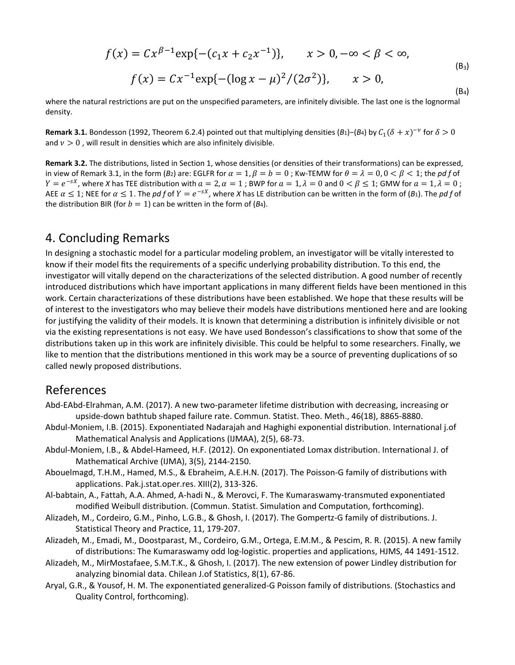$$
f(x) = C x^{\beta - 1} \exp\{-(c_1 x + c_2 x^{-1})\}, \qquad x > 0, -\infty < \beta < \infty,
$$
  

$$
f(x) = C x^{-1} \exp\{-(\log x - \mu)^2/(2\sigma^2)\}, \qquad x > 0,
$$
  
(B<sub>3</sub>)

where the natural restrictions are put on the unspecified parameters, are infinitely divisible. The last one is the lognormal density.

**Remark 3.1.** Bondesson (1992, Theorem 6.2.4) pointed out that multiplying densities ( $B_1$ )−( $B_4$ ) by  $C_1(\delta + x)^{-\nu}$  for  $\delta > 0$ and  $v > 0$ , will result in densities which are also infinitely divisible.

**Remark 3.2.** The distributions, listed in Section 1, whose densities (or densities of their transformations) can be expressed, in view of Remark 3.1, in the form ( $B_2$ ) are: EGLFR for  $\alpha = 1$ ,  $\beta = b = 0$ ; Kw-TEMW for  $\theta = \lambda = 0$ ,  $0 < \beta < 1$ ; the *pdf* of  $Y = e^{-sX}$ , where *X* has TEE distribution with  $a = 2$ ,  $\alpha = 1$ ; BWP for  $a = 1$ ,  $\lambda = 0$  and  $0 < \beta \le 1$ ; GMW for  $a = 1$ ,  $\lambda = 0$ ; AEE  $\alpha \le 1$ ; NEE for  $\alpha \le 1$ . The *pd f* of  $Y = e^{-sX}$ , where *X* has LE distribution can be written in the form of (*B*<sub>1</sub>). The *pd f* of the distribution BIR (for  $b = 1$ ) can be written in the form of (*B*<sub>4</sub>).

#### 4. Concluding Remarks

In designing a stochastic model for a particular modeling problem, an investigator will be vitally interested to know if their model fits the requirements of a specific underlying probability distribution. To this end, the investigator will vitally depend on the characterizations of the selected distribution. A good number of recently introduced distributions which have important applications in many different fields have been mentioned in this work. Certain characterizations of these distributions have been established. We hope that these results will be of interest to the investigators who may believe their models have distributions mentioned here and are looking for justifying the validity of their models. It is known that determining a distribution is infinitely divisible or not via the existing representations is not easy. We have used Bondesson's classifications to show that some of the distributions taken up in this work are infinitely divisible. This could be helpful to some researchers. Finally, we like to mention that the distributions mentioned in this work may be a source of preventing duplications of so called newly proposed distributions.

#### References

- Abd-EAbd-Elrahman, A.M. (2017). A new two-parameter lifetime distribution with decreasing, increasing or upside-down bathtub shaped failure rate. Commun. Statist. Theo. Meth., 46(18), 8865-8880.
- Abdul-Moniem, I.B. (2015). Exponentiated Nadarajah and Haghighi exponential distribution. International j.of Mathematical Analysis and Applications (IJMAA), 2(5), 68-73.
- Abdul-Moniem, I.B., & Abdel-Hameed, H.F. (2012). On exponentiated Lomax distribution. International J. of Mathematical Archive (IJMA), 3(5), 2144-2150.
- Abouelmagd, T.H.M., Hamed, M.S., & Ebraheim, A.E.H.N. (2017). The Poisson-G family of distributions with applications. Pak.j.stat.oper.res. XIII(2), 313-326.
- Al-babtain, A., Fattah, A.A. Ahmed, A-hadi N., & Merovci, F. The Kumaraswamy-transmuted exponentiated modified Weibull distribution. (Commun. Statist. Simulation and Computation, forthcoming).
- Alizadeh, M., Cordeiro, G.M., Pinho, L.G.B., & Ghosh, I. (2017). The Gompertz-G family of distributions. J. Statistical Theory and Practice, 11, 179-207.
- Alizadeh, M., Emadi, M., Doostparast, M., Cordeiro, G.M., Ortega, E.M.M., & Pescim, R. R. (2015). A new family of distributions: The Kumaraswamy odd log-logistic. properties and applications, HJMS, 44 1491-1512.
- Alizadeh, M., MirMostafaee, S.M.T.K., & Ghosh, I. (2017). The new extension of power Lindley distribution for analyzing binomial data. Chilean J.of Statistics, 8(1), 67-86.
- Aryal, G.R., & Yousof, H. M. The exponentiated generalized-G Poisson family of distributions. (Stochastics and Quality Control, forthcoming).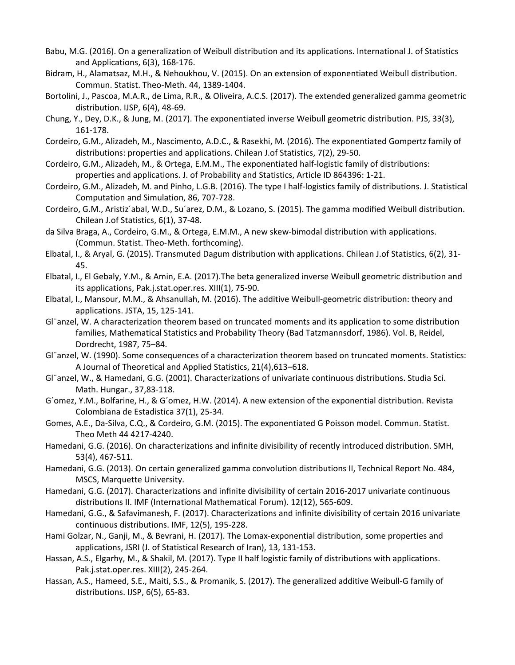- Babu, M.G. (2016). On a generalization of Weibull distribution and its applications. International J. of Statistics and Applications, 6(3), 168-176.
- Bidram, H., Alamatsaz, M.H., & Nehoukhou, V. (2015). On an extension of exponentiated Weibull distribution. Commun. Statist. Theo-Meth. 44, 1389-1404.
- Bortolini, J., Pascoa, M.A.R., de Lima, R.R., & Oliveira, A.C.S. (2017). The extended generalized gamma geometric distribution. IJSP, 6(4), 48-69.
- Chung, Y., Dey, D.K., & Jung, M. (2017). The exponentiated inverse Weibull geometric distribution. PJS, 33(3), 161-178.
- Cordeiro, G.M., Alizadeh, M., Nascimento, A.D.C., & Rasekhi, M. (2016). The exponentiated Gompertz family of distributions: properties and applications. Chilean J.of Statistics, 7(2), 29-50.
- Cordeiro, G.M., Alizadeh, M., & Ortega, E.M.M., The exponentiated half-logistic family of distributions: properties and applications. J. of Probability and Statistics, Article ID 864396: 1-21.
- Cordeiro, G.M., Alizadeh, M. and Pinho, L.G.B. (2016). The type I half-logistics family of distributions. J. Statistical Computation and Simulation, 86, 707-728.
- Cordeiro, G.M., Aristiz´abal, W.D., Su´arez, D.M., & Lozano, S. (2015). The gamma modified Weibull distribution. Chilean J.of Statistics, 6(1), 37-48.
- da Silva Braga, A., Cordeiro, G.M., & Ortega, E.M.M., A new skew-bimodal distribution with applications. (Commun. Statist. Theo-Meth. forthcoming).
- Elbatal, I., & Aryal, G. (2015). Transmuted Dagum distribution with applications. Chilean J.of Statistics, 6(2), 31- 45.
- Elbatal, I., El Gebaly, Y.M., & Amin, E.A. (2017).The beta generalized inverse Weibull geometric distribution and its applications, Pak.j.stat.oper.res. XIII(1), 75-90.
- Elbatal, I., Mansour, M.M., & Ahsanullah, M. (2016). The additive Weibull-geometric distribution: theory and applications. JSTA, 15, 125-141.
- Gl¨anzel, W. A characterization theorem based on truncated moments and its application to some distribution families, Mathematical Statistics and Probability Theory (Bad Tatzmannsdorf, 1986). Vol. B, Reidel, Dordrecht, 1987, 75–84.
- Gl¨anzel, W. (1990). Some consequences of a characterization theorem based on truncated moments. Statistics: A Journal of Theoretical and Applied Statistics, 21(4),613–618.
- Gl¨anzel, W., & Hamedani, G.G. (2001). Characterizations of univariate continuous distributions. Studia Sci. Math. Hungar., 37,83-118.
- G´omez, Y.M., Bolfarine, H., & G´omez, H.W. (2014). A new extension of the exponential distribution. Revista Colombiana de Estadistica 37(1), 25-34.
- Gomes, A.E., Da-Silva, C.Q., & Cordeiro, G.M. (2015). The exponentiated G Poisson model. Commun. Statist. Theo Meth 44 4217-4240.
- Hamedani, G.G. (2016). On characterizations and infinite divisibility of recently introduced distribution. SMH, 53(4), 467-511.
- Hamedani, G.G. (2013). On certain generalized gamma convolution distributions II, Technical Report No. 484, MSCS, Marquette University.
- Hamedani, G.G. (2017). Characterizations and infinite divisibility of certain 2016-2017 univariate continuous distributions II. IMF (International Mathematical Forum). 12(12), 565-609.
- Hamedani, G.G., & Safavimanesh, F. (2017). Characterizations and infinite divisibility of certain 2016 univariate continuous distributions. IMF, 12(5), 195-228.
- Hami Golzar, N., Ganji, M., & Bevrani, H. (2017). The Lomax-exponential distribution, some properties and applications, JSRI (J. of Statistical Research of Iran), 13, 131-153.
- Hassan, A.S., Elgarhy, M., & Shakil, M. (2017). Type II half logistic family of distributions with applications. Pak.j.stat.oper.res. XIII(2), 245-264.
- Hassan, A.S., Hameed, S.E., Maiti, S.S., & Promanik, S. (2017). The generalized additive Weibull-G family of distributions. IJSP, 6(5), 65-83.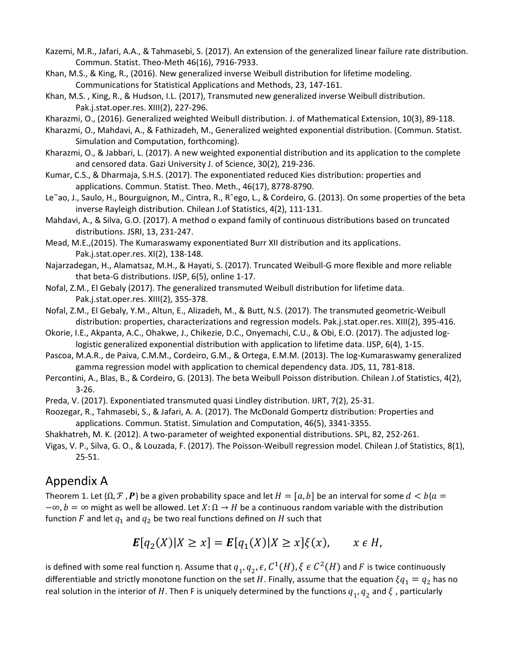- Kazemi, M.R., Jafari, A.A., & Tahmasebi, S. (2017). An extension of the generalized linear failure rate distribution. Commun. Statist. Theo-Meth 46(16), 7916-7933.
- Khan, M.S., & King, R., (2016). New generalized inverse Weibull distribution for lifetime modeling. Communications for Statistical Applications and Methods, 23, 147-161.
- Khan, M.S. , King, R., & Hudson, I.L. (2017), Transmuted new generalized inverse Weibull distribution. Pak.j.stat.oper.res. XIII(2), 227-296.
- Kharazmi, O., (2016). Generalized weighted Weibull distribution. J. of Mathematical Extension, 10(3), 89-118.
- Kharazmi, O., Mahdavi, A., & Fathizadeh, M., Generalized weighted exponential distribution. (Commun. Statist. Simulation and Computation, forthcoming).
- Kharazmi, O., & Jabbari, L. (2017). A new weighted exponential distribution and its application to the complete and censored data. Gazi University J. of Science, 30(2), 219-236.
- Kumar, C.S., & Dharmaja, S.H.S. (2017). The exponentiated reduced Kies distribution: properties and applications. Commun. Statist. Theo. Meth., 46(17), 8778-8790.
- Le˜ao, J., Saulo, H., Bourguignon, M., Cintra, R., Rˆego, L., & Cordeiro, G. (2013). On some properties of the beta inverse Rayleigh distribution. Chilean J.of Statistics, 4(2), 111-131.
- Mahdavi, A., & Silva, G.O. (2017). A method o expand family of continuous distributions based on truncated distributions. JSRI, 13, 231-247.

Mead, M.E.,(2015). The Kumaraswamy exponentiated Burr XII distribution and its applications. Pak.j.stat.oper.res. XI(2), 138-148.

- Najarzadegan, H., Alamatsaz, M.H., & Hayati, S. (2017). Truncated Weibull-G more flexible and more reliable that beta-G distributions. IJSP, 6(5), online 1-17.
- Nofal, Z.M., El Gebaly (2017). The generalized transmuted Weibull distribution for lifetime data. Pak.j.stat.oper.res. XIII(2), 355-378.
- Nofal, Z.M., El Gebaly, Y.M., Altun, E., Alizadeh, M., & Butt, N.S. (2017). The transmuted geometric-Weibull distribution: properties, characterizations and regression models. Pak.j.stat.oper.res. XIII(2), 395-416.
- Okorie, I.E., Akpanta, A.C., Ohakwe, J., Chikezie, D.C., Onyemachi, C.U., & Obi, E.O. (2017). The adjusted loglogistic generalized exponential distribution with application to lifetime data. IJSP, 6(4), 1-15.
- Pascoa, M.A.R., de Paiva, C.M.M., Cordeiro, G.M., & Ortega, E.M.M. (2013). The log-Kumaraswamy generalized gamma regression model with application to chemical dependency data. JDS, 11, 781-818.
- Percontini, A., Blas, B., & Cordeiro, G. (2013). The beta Weibull Poisson distribution. Chilean J.of Statistics, 4(2), 3-26.
- Preda, V. (2017). Exponentiated transmuted quasi Lindley distribution. IJRT, 7(2), 25-31.
- Roozegar, R., Tahmasebi, S., & Jafari, A. A. (2017). The McDonald Gompertz distribution: Properties and applications. Commun. Statist. Simulation and Computation, 46(5), 3341-3355.
- Shakhatreh, M. K. (2012). A two-parameter of weighted exponential distributions. SPL, 82, 252-261.
- Vigas, V. P., Silva, G. O., & Louzada, F. (2017). The Poisson-Weibull regression model. Chilean J.of Statistics, 8(1), 25-51.

# Appendix A

Theorem 1. Let  $(\Omega, \mathcal{F}, P)$  be a given probability space and let  $H = [a, b]$  be an interval for some  $d < b(a = b)$  $-\infty$ ,  $b = \infty$  might as well be allowed. Let  $X: \Omega \to H$  be a continuous random variable with the distribution function F and let  $q_1$  and  $q_2$  be two real functions defined on H such that

$$
\boldsymbol{E}[q_2(X)|X \ge x] = \boldsymbol{E}[q_1(X)|X \ge x] \xi(x), \qquad x \in H,
$$

is defined with some real function η. Assume that  $q_1, q_2, \epsilon, C^1(H), \xi \epsilon C^2(H)$  and F is twice continuously differentiable and strictly monotone function on the set H. Finally, assume that the equation  $\xi q_1 = q_2$  has no real solution in the interior of H. Then F is uniquely determined by the functions  $q_1$ ,  $q_2$  and  $\xi$ , particularly